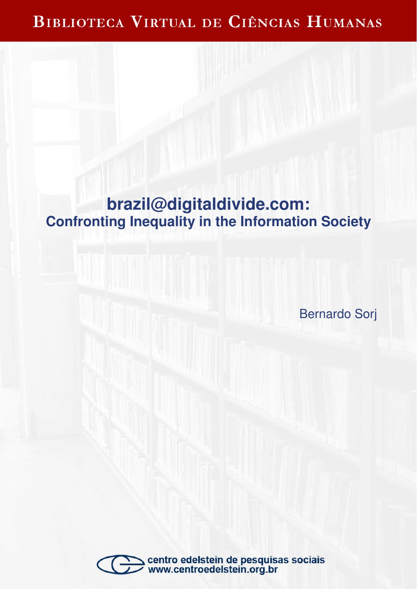# BIBLIOTECA VIRTUAL DE CIÊNCIAS HUMANAS

# **brazil@digitaldivide.com: Confronting Inequality in the Information Society**

Bernardo Sorj

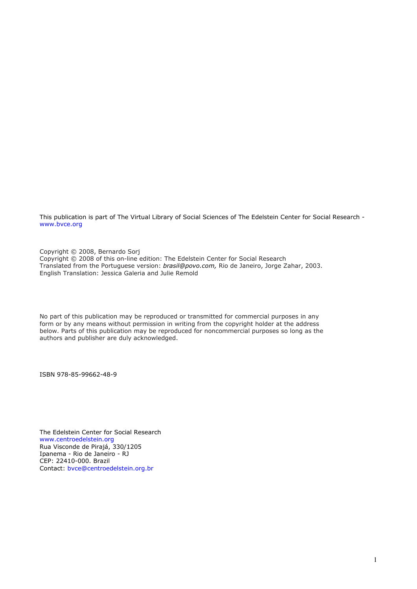This publication is part of The Virtual Library of Social Sciences of The Edelstein Center for Social Research www.bvce.org

Copyright © 2008, Bernardo Sorj Copyright © 2008 of this on-line edition: The Edelstein Center for Social Research Translated from the Portuguese version: brasil@povo.com, Rio de Janeiro, Jorge Zahar, 2003. English Translation: Jessica Galeria and Julie Remold

No part of this publication may be reproduced or transmitted for commercial purposes in any form or by any means without permission in writing from the copyright holder at the address below. Parts of this publication may be reproduced for noncommercial purposes so long as the authors and publisher are duly acknowledged.

ISBN 978-85-99662-48-9

The Edelstein Center for Social Research www.centroedelstein.org Rua Visconde de Pirajá, 330/1205 Ipanema - Rio de Janeiro - RJ CEP: 22410-000. Brazil Contact: bvce@centroedelstein.org.br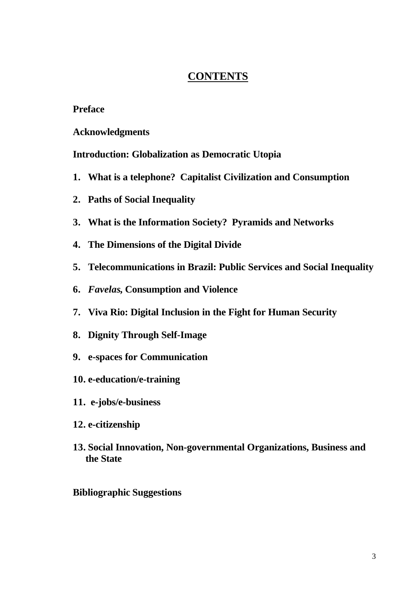# **CONTENTS**

# **Preface**

**Acknowledgments**

**Introduction: Globalization as Democratic Utopia**

- **1. What is a telephone? Capitalist Civilization and Consumption**
- **2. Paths of Social Inequality**
- **3. What is the Information Society? Pyramids and Networks**
- **4. The Dimensions of the Digital Divide**
- **5. Telecommunications in Brazil: Public Services and Social Inequality**
- **6.** *Favelas***, Consumption and Violence**
- **7. Viva Rio: Digital Inclusion in the Fight for Human Security**
- **8. Dignity Through Self-Image**
- **9. e-spaces for Communication**
- **10. e-education/e-training**
- **11. e-jobs/e-business**
- **12. e-citizenship**
- **13. Social Innovation, Non-governmental Organizations, Business and the State**

# **Bibliographic Suggestions**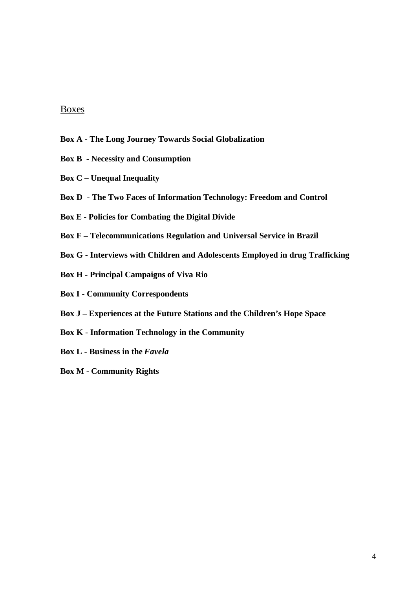### Boxes

- **Box A The Long Journey Towards Social Globalization**
- **Box B Necessity and Consumption**
- **Box C Unequal Inequality**
- **Box D The Two Faces of Information Technology: Freedom and Control**
- **Box E Policies for Combating the Digital Divide**
- **Box F Telecommunications Regulation and Universal Service in Brazil**
- **Box G Interviews with Children and Adolescents Employed in drug Trafficking**
- **Box H Principal Campaigns of Viva Rio**
- **Box I Community Correspondents**
- **Box J Experiences at the Future Stations and the Children's Hope Space**
- **Box K Information Technology in the Community**
- **Box L Business in the** *Favela*
- **Box M Community Rights**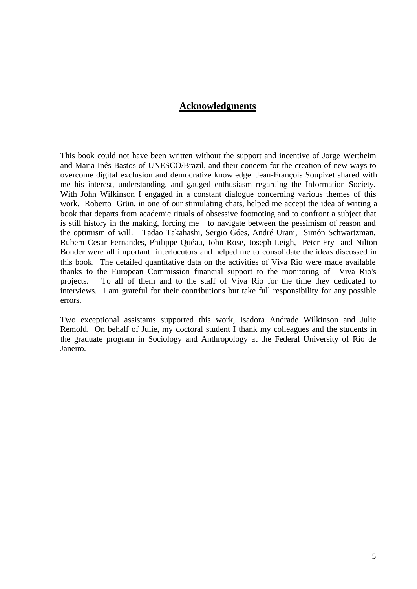# **Acknowledgments**

This book could not have been written without the support and incentive of Jorge Wertheim and Maria Inês Bastos of UNESCO/Brazil, and their concern for the creation of new ways to overcome digital exclusion and democratize knowledge. Jean-François Soupizet shared with me his interest, understanding, and gauged enthusiasm regarding the Information Society. With John Wilkinson I engaged in a constant dialogue concerning various themes of this work. Roberto Grün, in one of our stimulating chats, helped me accept the idea of writing a book that departs from academic rituals of obsessive footnoting and to confront a subject that is still history in the making, forcing me to navigate between the pessimism of reason and the optimism of will. Tadao Takahashi, Sergio Góes, André Urani, Simón Schwartzman, Rubem Cesar Fernandes, Philippe Quéau, John Rose, Joseph Leigh, Peter Fry and Nilton Bonder were all important interlocutors and helped me to consolidate the ideas discussed in this book. The detailed quantitative data on the activities of Viva Rio were made available thanks to the European Commission financial support to the monitoring of Viva Rio's projects. To all of them and to the staff of Viva Rio for the time they dedicated to interviews. I am grateful for their contributions but take full responsibility for any possible errors.

Two exceptional assistants supported this work, Isadora Andrade Wilkinson and Julie Remold. On behalf of Julie, my doctoral student I thank my colleagues and the students in the graduate program in Sociology and Anthropology at the Federal University of Rio de Janeiro.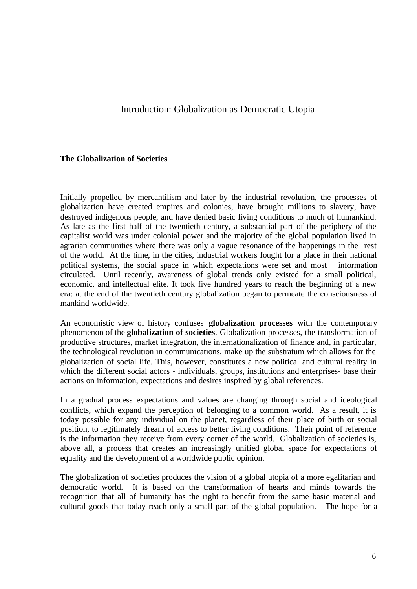# Introduction: Globalization as Democratic Utopia

#### **The Globalization of Societies**

Initially propelled by mercantilism and later by the industrial revolution, the processes of globalization have created empires and colonies, have brought millions to slavery, have destroyed indigenous people, and have denied basic living conditions to much of humankind. As late as the first half of the twentieth century, a substantial part of the periphery of the capitalist world was under colonial power and the majority of the global population lived in agrarian communities where there was only a vague resonance of the happenings in the rest of the world. At the time, in the cities, industrial workers fought for a place in their national political systems, the social space in which expectations were set and most information circulated. Until recently, awareness of global trends only existed for a small political, economic, and intellectual elite. It took five hundred years to reach the beginning of a new era: at the end of the twentieth century globalization began to permeate the consciousness of mankind worldwide.

An economistic view of history confuses **globalization processes** with the contemporary phenomenon of the **globalization of societies**. Globalization processes, the transformation of productive structures, market integration, the internationalization of finance and, in particular, the technological revolution in communications, make up the substratum which allows for the globalization of social life. This, however, constitutes a new political and cultural reality in which the different social actors - individuals, groups, institutions and enterprises- base their actions on information, expectations and desires inspired by global references.

In a gradual process expectations and values are changing through social and ideological conflicts, which expand the perception of belonging to a common world. As a result, it is today possible for any individual on the planet, regardless of their place of birth or social position, to legitimately dream of access to better living conditions. Their point of reference is the information they receive from every corner of the world. Globalization of societies is, above all, a process that creates an increasingly unified global space for expectations of equality and the development of a worldwide public opinion.

The globalization of societies produces the vision of a global utopia of a more egalitarian and democratic world. It is based on the transformation of hearts and minds towards the recognition that all of humanity has the right to benefit from the same basic material and cultural goods that today reach only a small part of the global population. The hope for a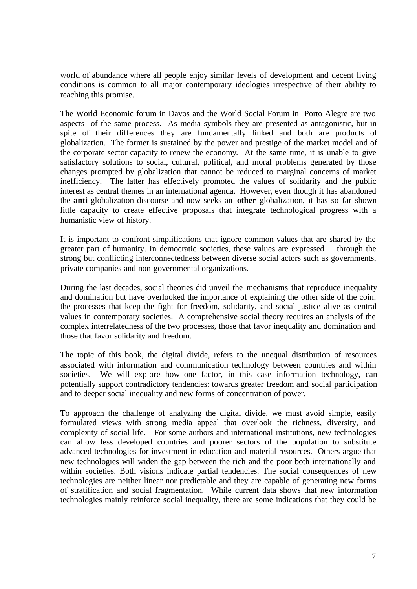world of abundance where all people enjoy similar levels of development and decent living conditions is common to all major contemporary ideologies irrespective of their ability to reaching this promise.

The World Economic forum in Davos and the World Social Forum in Porto Alegre are two aspects of the same process. As media symbols they are presented as antagonistic, but in spite of their differences they are fundamentally linked and both are products of globalization. The former is sustained by the power and prestige of the market model and of the corporate sector capacity to renew the economy. At the same time, it is unable to give satisfactory solutions to social, cultural, political, and moral problems generated by those changes prompted by globalization that cannot be reduced to marginal concerns of market inefficiency. The latter has effectively promoted the values of solidarity and the public interest as central themes in an international agenda. However, even though it has abandoned the **anti-**globalization discourse and now seeks an **other-**globalization, it has so far shown little capacity to create effective proposals that integrate technological progress with a humanistic view of history.

It is important to confront simplifications that ignore common values that are shared by the greater part of humanity. In democratic societies, these values are expressed through the strong but conflicting interconnectedness between diverse social actors such as governments, private companies and non-governmental organizations.

During the last decades, social theories did unveil the mechanisms that reproduce inequality and domination but have overlooked the importance of explaining the other side of the coin: the processes that keep the fight for freedom, solidarity, and social justice alive as central values in contemporary societies. A comprehensive social theory requires an analysis of the complex interrelatedness of the two processes, those that favor inequality and domination and those that favor solidarity and freedom.

The topic of this book, the digital divide, refers to the unequal distribution of resources associated with information and communication technology between countries and within societies. We will explore how one factor, in this case information technology, can potentially support contradictory tendencies: towards greater freedom and social participation and to deeper social inequality and new forms of concentration of power.

To approach the challenge of analyzing the digital divide, we must avoid simple, easily formulated views with strong media appeal that overlook the richness, diversity, and complexity of social life. For some authors and international institutions, new technologies can allow less developed countries and poorer sectors of the population to substitute advanced technologies for investment in education and material resources. Others argue that new technologies will widen the gap between the rich and the poor both internationally and within societies. Both visions indicate partial tendencies. The social consequences of new technologies are neither linear nor predictable and they are capable of generating new forms of stratification and social fragmentation. While current data shows that new information technologies mainly reinforce social inequality, there are some indications that they could be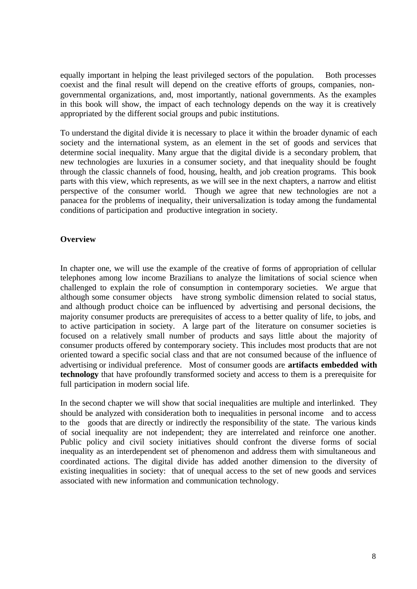equally important in helping the least privileged sectors of the population. Both processes coexist and the final result will depend on the creative efforts of groups, companies, nongovernmental organizations, and, most importantly, national governments. As the examples in this book will show, the impact of each technology depends on the way it is creatively appropriated by the different social groups and pubic institutions.

To understand the digital divide it is necessary to place it within the broader dynamic of each society and the international system, as an element in the set of goods and services that determine social inequality. Many argue that the digital divide is a secondary problem, that new technologies are luxuries in a consumer society, and that inequality should be fought through the classic channels of food, housing, health, and job creation programs. This book parts with this view, which represents, as we will see in the next chapters, a narrow and elitist perspective of the consumer world. Though we agree that new technologies are not a panacea for the problems of inequality, their universalization is today among the fundamental conditions of participation and productive integration in society.

#### **Overview**

In chapter one, we will use the example of the creative of forms of appropriation of cellular telephones among low income Brazilians to analyze the limitations of social science when challenged to explain the role of consumption in contemporary societies. We argue that although some consumer objects have strong symbolic dimension related to social status, and although product choice can be influenced by advertising and personal decisions, the majority consumer products are prerequisites of access to a better quality of life, to jobs, and to active participation in society. A large part of the literature on consumer societies is focused on a relatively small number of products and says little about the majority of consumer products offered by contemporary society. This includes most products that are not oriented toward a specific social class and that are not consumed because of the influence of advertising or individual preference. Most of consumer goods are **artifacts embedded with technology** that have profoundly transformed society and access to them is a prerequisite for full participation in modern social life.

In the second chapter we will show that social inequalities are multiple and interlinked. They should be analyzed with consideration both to inequalities in personal income and to access to the goods that are directly or indirectly the responsibility of the state. The various kinds of social inequality are not independent; they are interrelated and reinforce one another. Public policy and civil society initiatives should confront the diverse forms of social inequality as an interdependent set of phenomenon and address them with simultaneous and coordinated actions. The digital divide has added another dimension to the diversity of existing inequalities in society: that of unequal access to the set of new goods and services associated with new information and communication technology.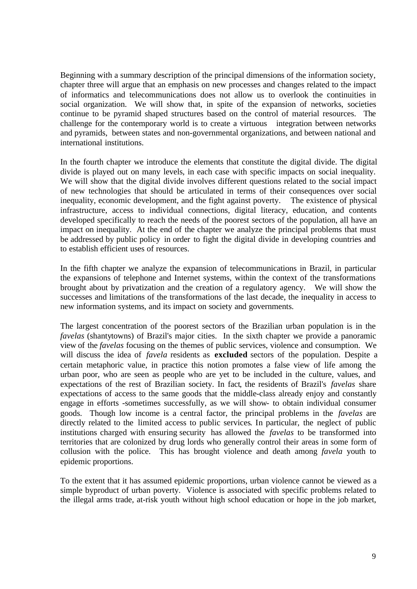Beginning with a summary description of the principal dimensions of the information society, chapter three will argue that an emphasis on new processes and changes related to the impact of informatics and telecommunications does not allow us to overlook the continuities in social organization. We will show that, in spite of the expansion of networks, societies continue to be pyramid shaped structures based on the control of material resources. The challenge for the contemporary world is to create a virtuous integration between networks and pyramids, between states and non-governmental organizations, and between national and international institutions.

In the fourth chapter we introduce the elements that constitute the digital divide. The digital divide is played out on many levels, in each case with specific impacts on social inequality. We will show that the digital divide involves different questions related to the social impact of new technologies that should be articulated in terms of their consequences over social inequality, economic development, and the fight against poverty. infrastructure, access to individual connections, digital literacy, education, and contents developed specifically to reach the needs of the poorest sectors of the population, all have an impact on inequality. At the end of the chapter we analyze the principal problems that must be addressed by public policy in order to fight the digital divide in developing countries and to establish efficient uses of resources.

In the fifth chapter we analyze the expansion of telecommunications in Brazil, in particular the expansions of telephone and Internet systems, within the context of the transformations brought about by privatization and the creation of a regulatory agency. We will show the successes and limitations of the transformations of the last decade, the inequality in access to new information systems, and its impact on society and governments.

The largest concentration of the poorest sectors of the Brazilian urban population is in the *favelas* (shantytowns) of Brazil's major cities. In the sixth chapter we provide a panoramic view of the *favelas* focusing on the themes of public services, violence and consumption. We will discuss the idea of *favela* residents as **excluded** sectors of the population. Despite a certain metaphoric value, in practice this notion promotes a false view of life among the urban poor, who are seen as people who are yet to be included in the culture, values, and expectations of the rest of Brazilian society. In fact, the residents of Brazil's *favelas* share expectations of access to the same goods that the middle-class already enjoy and constantly engage in efforts -sometimes successfully, as we will show- to obtain individual consumer goods. Though low income is a central factor, the principal problems in the *favelas* are directly related to the limited access to public services. In particular, the neglect of public institutions charged with ensuring security has allowed the *favelas* to be transformed into territories that are colonized by drug lords who generally control their areas in some form of collusion with the police. This has brought violence and death among *favela* youth to epidemic proportions.

To the extent that it has assumed epidemic proportions, urban violence cannot be viewed as a simple byproduct of urban poverty. Violence is associated with specific problems related to the illegal arms trade, at-risk youth without high school education or hope in the job market,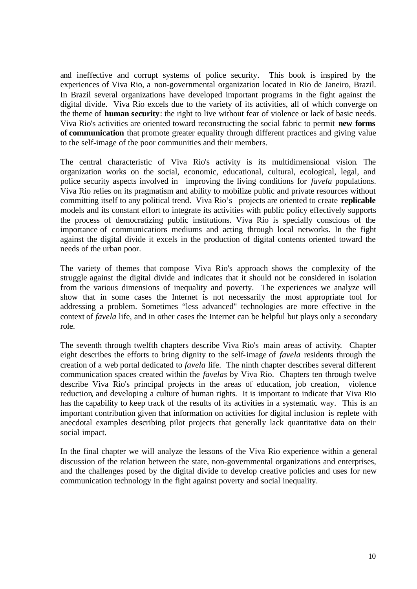and ineffective and corrupt systems of police security. This book is inspired by the experiences of Viva Rio, a non-governmental organization located in Rio de Janeiro, Brazil. In Brazil several organizations have developed important programs in the fight against the digital divide. Viva Rio excels due to the variety of its activities, all of which converge on the theme of **human security**: the right to live without fear of violence or lack of basic needs. Viva Rio's activities are oriented toward reconstructing the social fabric to permit **new forms of communication** that promote greater equality through different practices and giving value to the self-image of the poor communities and their members.

The central characteristic of Viva Rio's activity is its multidimensional vision. The organization works on the social, economic, educational, cultural, ecological, legal, and police security aspects involved in improving the living conditions for *favela* populations. Viva Rio relies on its pragmatism and ability to mobilize public and private resources without committing itself to any political trend. Viva Rio's projects are oriented to create **replicable** models and its constant effort to integrate its activities with public policy effectively supports the process of democratizing public institutions. Viva Rio is specially conscious of the importance of communications mediums and acting through local networks. In the fight against the digital divide it excels in the production of digital contents oriented toward the needs of the urban poor.

The variety of themes that compose Viva Rio's approach shows the complexity of the struggle against the digital divide and indicates that it should not be considered in isolation from the various dimensions of inequality and poverty. The experiences we analyze will show that in some cases the Internet is not necessarily the most appropriate tool for addressing a problem. Sometimes "less advanced" technologies are more effective in the context of *favela* life, and in other cases the Internet can be helpful but plays only a secondary role.

The seventh through twelfth chapters describe Viva Rio's main areas of activity. Chapter eight describes the efforts to bring dignity to the self-image of *favela* residents through the creation of a web portal dedicated to *favela* life. The ninth chapter describes several different communication spaces created within the *favelas* by Viva Rio. Chapters ten through twelve describe Viva Rio's principal projects in the areas of education, job creation, violence reduction, and developing a culture of human rights. It is important to indicate that Viva Rio has the capability to keep track of the results of its activities in a systematic way. This is an important contribution given that information on activities for digital inclusion is replete with anecdotal examples describing pilot projects that generally lack quantitative data on their social impact.

In the final chapter we will analyze the lessons of the Viva Rio experience within a general discussion of the relation between the state, non-governmental organizations and enterprises, and the challenges posed by the digital divide to develop creative policies and uses for new communication technology in the fight against poverty and social inequality.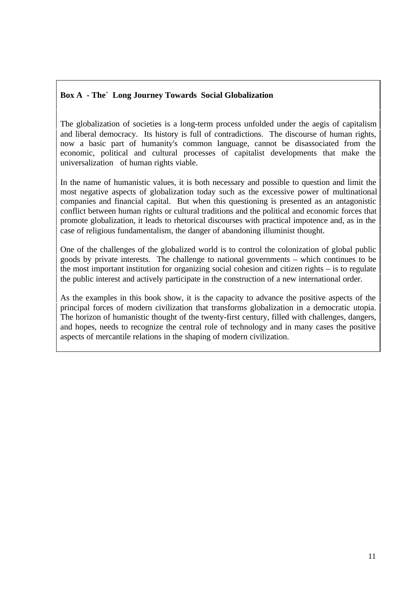## **Box A - The` Long Journey Towards Social Globalization**

The globalization of societies is a long-term process unfolded under the aegis of capitalism and liberal democracy. Its history is full of contradictions. The discourse of human rights, now a basic part of humanity's common language, cannot be disassociated from the economic, political and cultural processes of capitalist developments that make the universalization of human rights viable.

In the name of humanistic values, it is both necessary and possible to question and limit the most negative aspects of globalization today such as the excessive power of multinational companies and financial capital. But when this questioning is presented as an antagonistic conflict between human rights or cultural traditions and the political and economic forces that promote globalization, it leads to rhetorical discourses with practical impotence and, as in the case of religious fundamentalism, the danger of abandoning illuminist thought.

One of the challenges of the globalized world is to control the colonization of global public goods by private interests. The challenge to national governments – which continues to be the most important institution for organizing social cohesion and citizen rights – is to regulate the public interest and actively participate in the construction of a new international order.

As the examples in this book show, it is the capacity to advance the positive aspects of the principal forces of modern civilization that transforms globalization in a democratic utopia. The horizon of humanistic thought of the twenty-first century, filled with challenges, dangers, and hopes, needs to recognize the central role of technology and in many cases the positive aspects of mercantile relations in the shaping of modern civilization.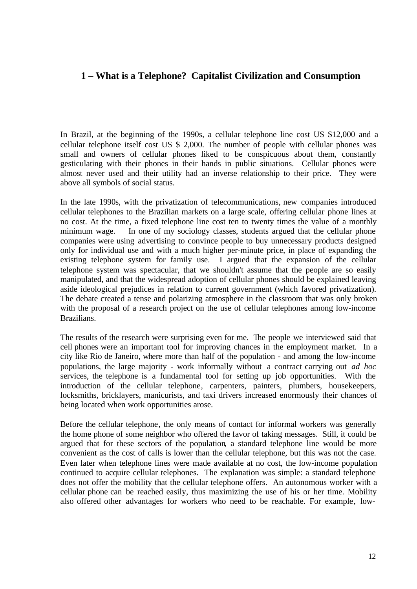# **1 – What is a Telephone? Capitalist Civilization and Consumption**

In Brazil, at the beginning of the 1990s, a cellular telephone line cost US \$12,000 and a cellular telephone itself cost US \$ 2,000. The number of people with cellular phones was small and owners of cellular phones liked to be conspicuous about them, constantly gesticulating with their phones in their hands in public situations. Cellular phones were almost never used and their utility had an inverse relationship to their price. They were above all symbols of social status.

In the late 1990s, with the privatization of telecommunications, new companies introduced cellular telephones to the Brazilian markets on a large scale, offering cellular phone lines at no cost. At the time, a fixed telephone line cost ten to twenty times the value of a monthly minimum wage. In one of my sociology classes, students argued that the cellular phone companies were using advertising to convince people to buy unnecessary products designed only for individual use and with a much higher per-minute price, in place of expanding the existing telephone system for family use. I argued that the expansion of the cellular telephone system was spectacular, that we shouldn't assume that the people are so easily manipulated, and that the widespread adoption of cellular phones should be explained leaving aside ideological prejudices in relation to current government (which favored privatization). The debate created a tense and polarizing atmosphere in the classroom that was only broken with the proposal of a research project on the use of cellular telephones among low-income Brazilians.

The results of the research were surprising even for me. The people we interviewed said that cell phones were an important tool for improving chances in the employment market. In a city like Rio de Janeiro, where more than half of the population - and among the low-income populations, the large majority - work informally without a contract carrying out *ad hoc* services, the telephone is a fundamental tool for setting up job opportunities. With the introduction of the cellular telephone, carpenters, painters, plumbers, housekeepers, locksmiths, bricklayers, manicurists, and taxi drivers increased enormously their chances of being located when work opportunities arose.

Before the cellular telephone, the only means of contact for informal workers was generally the home phone of some neighbor who offered the favor of taking messages. Still, it could be argued that for these sectors of the population, a standard telephone line would be more convenient as the cost of calls is lower than the cellular telephone, but this was not the case. Even later when telephone lines were made available at no cost, the low-income population continued to acquire cellular telephones. The explanation was simple: a standard telephone does not offer the mobility that the cellular telephone offers. An autonomous worker with a cellular phone can be reached easily, thus maximizing the use of his or her time. Mobility also offered other advantages for workers who need to be reachable. For example, low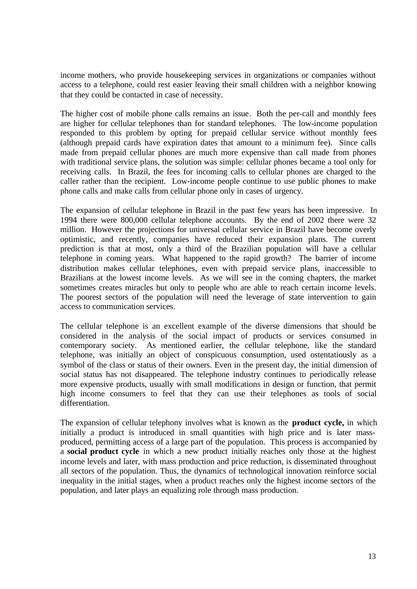income mothers, who provide housekeeping services in organizations or companies without access to a telephone, could rest easier leaving their small children with a neighbor knowing that they could be contacted in case of necessity.

The higher cost of mobile phone calls remains an issue. Both the per-call and monthly fees are higher for cellular telephones than for standard telephones. The low-income population responded to this problem by opting for prepaid cellular service without monthly fees (although prepaid cards have expiration dates that amount to a minimum fee). Since calls made from prepaid cellular phones are much more expensive than call made from phones with traditional service plans, the solution was simple: cellular phones became a tool only for receiving calls. In Brazil, the fees for incoming calls to cellular phones are charged to the caller rather than the recipient. Low-income people continue to use public phones to make phone calls and make calls from cellular phone only in cases of urgency.

The expansion of cellular telephone in Brazil in the past few years has been impressive. In 1994 there were 800,000 cellular telephone accounts. By the end of 2002 there were 32 million. However the projections for universal cellular service in Brazil have become overly optimistic, and recently, companies have reduced their expansion plans. The current prediction is that at most, only a third of the Brazilian population will have a cellular telephone in coming years. What happened to the rapid growth? The barrier of income distribution makes cellular telephones, even with prepaid service plans, inaccessible to Brazilians at the lowest income levels. As we will see in the coming chapters, the market sometimes creates miracles but only to people who are able to reach certain income levels. The poorest sectors of the population will need the leverage of state intervention to gain access to communication services.

The cellular telephone is an excellent example of the diverse dimensions that should be considered in the analysis of the social impact of products or services consumed in contemporary society. As mentioned earlier, the cellular telephone, like the standard telephone, was initially an object of conspicuous consumption, used ostentatiously as a symbol of the class or status of their owners. Even in the present day, the initial dimension of social status has not disappeared. The telephone industry continues to periodically release more expensive products, usually with small modifications in design or function, that permit high income consumers to feel that they can use their telephones as tools of social differentiation.

The expansion of cellular telephony involves what is known as the **product cycle,** in which initially a product is introduced in small quantities with high price and is later massproduced, permitting access of a large part of the population. This process is accompanied by a **social product cycle** in which a new product initially reaches only those at the highest income levels and later, with mass production and price reduction, is disseminated throughout all sectors of the population. Thus, the dynamics of technological innovation reinforce social inequality in the initial stages, when a product reaches only the highest income sectors of the population, and later plays an equalizing role through mass production.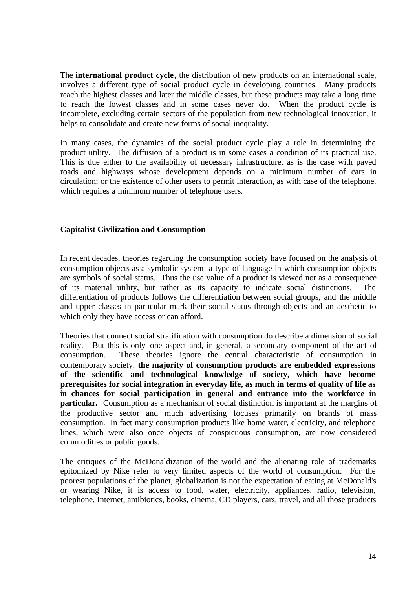The **international product cycle**, the distribution of new products on an international scale, involves a different type of social product cycle in developing countries. Many products reach the highest classes and later the middle classes, but these products may take a long time to reach the lowest classes and in some cases never do. When the product cycle is incomplete, excluding certain sectors of the population from new technological innovation, it helps to consolidate and create new forms of social inequality.

In many cases, the dynamics of the social product cycle play a role in determining the product utility. The diffusion of a product is in some cases a condition of its practical use. This is due either to the availability of necessary infrastructure, as is the case with paved roads and highways whose development depends on a minimum number of cars in circulation; or the existence of other users to permit interaction, as with case of the telephone, which requires a minimum number of telephone users.

#### **Capitalist Civilization and Consumption**

In recent decades, theories regarding the consumption society have focused on the analysis of consumption objects as a symbolic system -a type of language in which consumption objects are symbols of social status. Thus the use value of a product is viewed not as a consequence of its material utility, but rather as its capacity to indicate social distinctions. The differentiation of products follows the differentiation between social groups, and the middle and upper classes in particular mark their social status through objects and an aesthetic to which only they have access or can afford.

Theories that connect social stratification with consumption do describe a dimension of social reality. But this is only one aspect and, in general, a secondary component of the act of consumption. These theories ignore the central characteristic of consumption in contemporary society: **the majority of consumption products are embedded expressions of the scientific and technological knowledge of society, which have become prerequisites for social integration in everyday life, as much in terms of quality of life as in chances for social participation in general and entrance into the workforce in particular.** Consumption as a mechanism of social distinction is important at the margins of the productive sector and much advertising focuses primarily on brands of mass consumption. In fact many consumption products like home water, electricity, and telephone lines, which were also once objects of conspicuous consumption, are now considered commodities or public goods.

The critiques of the McDonaldization of the world and the alienating role of trademarks epitomized by Nike refer to very limited aspects of the world of consumption. For the poorest populations of the planet, globalization is not the expectation of eating at McDonald's or wearing Nike, it is access to food, water, electricity, appliances, radio, television, telephone, Internet, antibiotics, books, cinema, CD players, cars, travel, and all those products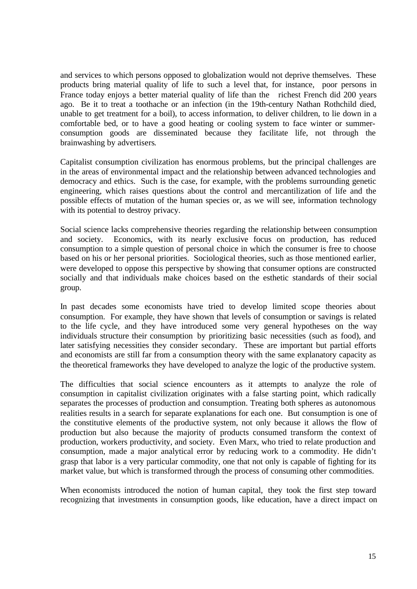and services to which persons opposed to globalization would not deprive themselves. These products bring material quality of life to such a level that, for instance, poor persons in France today enjoys a better material quality of life than the richest French did 200 years ago. Be it to treat a toothache or an infection (in the 19th-century Nathan Rothchild died, unable to get treatment for a boil), to access information, to deliver children, to lie down in a comfortable bed, or to have a good heating or cooling system to face winter or summerconsumption goods are disseminated because they facilitate life, not through the brainwashing by advertisers.

Capitalist consumption civilization has enormous problems, but the principal challenges are in the areas of environmental impact and the relationship between advanced technologies and democracy and ethics. Such is the case, for example, with the problems surrounding genetic engineering, which raises questions about the control and mercantilization of life and the possible effects of mutation of the human species or, as we will see, information technology with its potential to destroy privacy.

Social science lacks comprehensive theories regarding the relationship between consumption and society. Economics, with its nearly exclusive focus on production, has reduced consumption to a simple question of personal choice in which the consumer is free to choose based on his or her personal priorities. Sociological theories, such as those mentioned earlier, were developed to oppose this perspective by showing that consumer options are constructed socially and that individuals make choices based on the esthetic standards of their social group.

In past decades some economists have tried to develop limited scope theories about consumption. For example, they have shown that levels of consumption or savings is related to the life cycle, and they have introduced some very general hypotheses on the way individuals structure their consumption by prioritizing basic necessities (such as food), and later satisfying necessities they consider secondary. These are important but partial efforts and economists are still far from a consumption theory with the same explanatory capacity as the theoretical frameworks they have developed to analyze the logic of the productive system.

The difficulties that social science encounters as it attempts to analyze the role of consumption in capitalist civilization originates with a false starting point, which radically separates the processes of production and consumption. Treating both spheres as autonomous realities results in a search for separate explanations for each one. But consumption is one of the constitutive elements of the productive system, not only because it allows the flow of production but also because the majority of products consumed transform the context of production, workers productivity, and society. Even Marx, who tried to relate production and consumption, made a major analytical error by reducing work to a commodity. He didn't grasp that labor is a very particular commodity, one that not only is capable of fighting for its market value, but which is transformed through the process of consuming other commodities.

When economists introduced the notion of human capital, they took the first step toward recognizing that investments in consumption goods, like education, have a direct impact on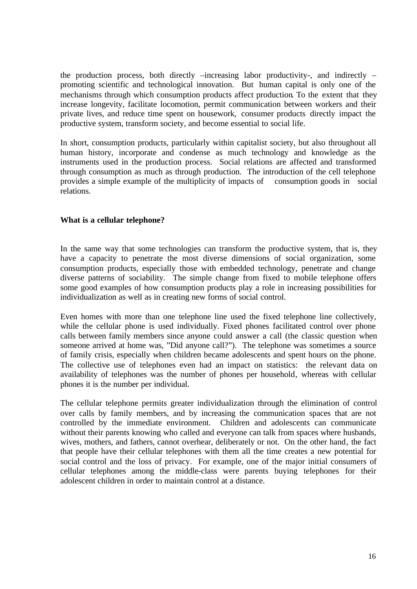the production process, both directly –increasing labor productivity-, and indirectly – promoting scientific and technological innovation. But human capital is only one of the mechanisms through which consumption products affect production. To the extent that they increase longevity, facilitate locomotion, permit communication between workers and their private lives, and reduce time spent on housework, consumer products directly impact the productive system, transform society, and become essential to social life.

In short, consumption products, particularly within capitalist society, but also throughout all human history, incorporate and condense as much technology and knowledge as the instruments used in the production process. Social relations are affected and transformed through consumption as much as through production. The introduction of the cell telephone provides a simple example of the multiplicity of impacts of consumption goods in social relations.

### **What is a cellular telephone?**

In the same way that some technologies can transform the productive system, that is, they have a capacity to penetrate the most diverse dimensions of social organization, some consumption products, especially those with embedded technology, penetrate and change diverse patterns of sociability. The simple change from fixed to mobile telephone offers some good examples of how consumption products play a role in increasing possibilities for individualization as well as in creating new forms of social control.

Even homes with more than one telephone line used the fixed telephone line collectively, while the cellular phone is used individually. Fixed phones facilitated control over phone calls between family members since anyone could answer a call (the classic question when someone arrived at home was, "Did anyone call?"). The telephone was sometimes a source of family crisis, especially when children became adolescents and spent hours on the phone. The collective use of telephones even had an impact on statistics: the relevant data on availability of telephones was the number of phones per household, whereas with cellular phones it is the number per individual.

The cellular telephone permits greater individualization through the elimination of control over calls by family members, and by increasing the communication spaces that are not controlled by the immediate environment. Children and adolescents can communicate without their parents knowing who called and everyone can talk from spaces where husbands, wives, mothers, and fathers, cannot overhear, deliberately or not. On the other hand, the fact that people have their cellular telephones with them all the time creates a new potential for social control and the loss of privacy. For example, one of the major initial consumers of cellular telephones among the middle-class were parents buying telephones for their adolescent children in order to maintain control at a distance.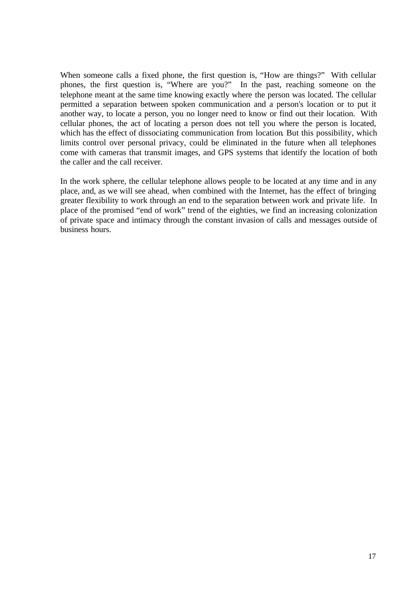When someone calls a fixed phone, the first question is, "How are things?" With cellular phones, the first question is, "Where are you?" In the past, reaching someone on the telephone meant at the same time knowing exactly where the person was located. The cellular permitted a separation between spoken communication and a person's location or to put it another way, to locate a person, you no longer need to know or find out their location. With cellular phones, the act of locating a person does not tell you where the person is located, which has the effect of dissociating communication from location. But this possibility, which limits control over personal privacy, could be eliminated in the future when all telephones come with cameras that transmit images, and GPS systems that identify the location of both the caller and the call receiver.

In the work sphere, the cellular telephone allows people to be located at any time and in any place, and, as we will see ahead, when combined with the Internet, has the effect of bringing greater flexibility to work through an end to the separation between work and private life. In place of the promised "end of work" trend of the eighties, we find an increasing colonization of private space and intimacy through the constant invasion of calls and messages outside of business hours.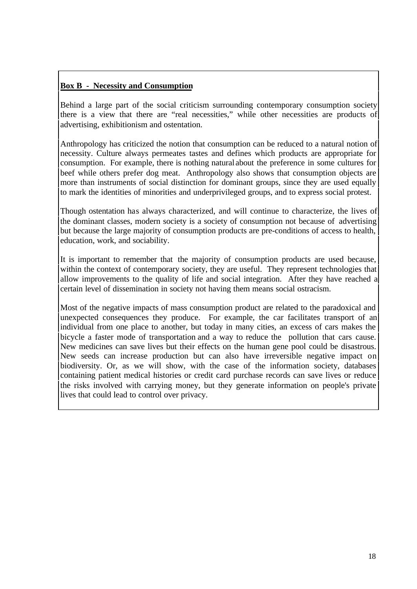# **Box B - Necessity and Consumption**

Behind a large part of the social criticism surrounding contemporary consumption society there is a view that there are "real necessities," while other necessities are products of advertising, exhibitionism and ostentation.

Anthropology has criticized the notion that consumption can be reduced to a natural notion of necessity. Culture always permeates tastes and defines which products are appropriate for consumption. For example, there is nothing natural about the preference in some cultures for beef while others prefer dog meat. Anthropology also shows that consumption objects are more than instruments of social distinction for dominant groups, since they are used equally to mark the identities of minorities and underprivileged groups, and to express social protest.

Though ostentation has always characterized, and will continue to characterize, the lives of the dominant classes, modern society is a society of consumption not because of advertising but because the large majority of consumption products are pre-conditions of access to health, education, work, and sociability.

It is important to remember that the majority of consumption products are used because, within the context of contemporary society, they are useful. They represent technologies that allow improvements to the quality of life and social integration. After they have reached a certain level of dissemination in society not having them means social ostracism.

Most of the negative impacts of mass consumption product are related to the paradoxical and unexpected consequences they produce. For example, the car facilitates transport of an individual from one place to another, but today in many cities, an excess of cars makes the bicycle a faster mode of transportation and a way to reduce the pollution that cars cause. New medicines can save lives but their effects on the human gene pool could be disastrous. New seeds can increase production but can also have irreversible negative impact on biodiversity. Or, as we will show, with the case of the information society, databases containing patient medical histories or credit card purchase records can save lives or reduce the risks involved with carrying money, but they generate information on people's private lives that could lead to control over privacy.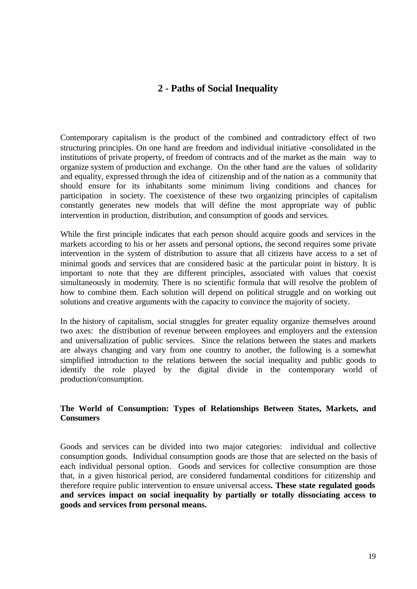# **2 - Paths of Social Inequality**

Contemporary capitalism is the product of the combined and contradictory effect of two structuring principles. On one hand are freedom and individual initiative -consolidated in the institutions of private property, of freedom of contracts and of the market as the main way to organize system of production and exchange. On the other hand are the values of solidarity and equality, expressed through the idea of citizenship and of the nation as a community that should ensure for its inhabitants some minimum living conditions and chances for participation in society. The coexistence of these two organizing principles of capitalism constantly generates new models that will define the most appropriate way of public intervention in production, distribution, and consumption of goods and services.

While the first principle indicates that each person should acquire goods and services in the markets according to his or her assets and personal options, the second requires some private intervention in the system of distribution to assure that all citizens have access to a set of minimal goods and services that are considered basic at the particular point in history. It is important to note that they are different principles, associated with values that coexist simultaneously in modernity. There is no scientific formula that will resolve the problem of how to combine them. Each solution will depend on political struggle and on working out solutions and creative arguments with the capacity to convince the majority of society.

In the history of capitalism, social struggles for greater equality organize themselves around two axes: the distribution of revenue between employees and employers and the extension and universalization of public services. Since the relations between the states and markets are always changing and vary from one country to another, the following is a somewhat simplified introduction to the relations between the social inequality and public goods to identify the role played by the digital divide in the contemporary world of production/consumption.

### **The World of Consumption: Types of Relationships Between States, Markets, and Consumers**

Goods and services can be divided into two major categories: individual and collective consumption goods. Individual consumption goods are those that are selected on the basis of each individual personal option. Goods and services for collective consumption are those that, in a given historical period, are considered fundamental conditions for citizenship and therefore require public intervention to ensure universal access**. These state regulated goods and services impact on social inequality by partially or totally dissociating access to goods and services from personal means.**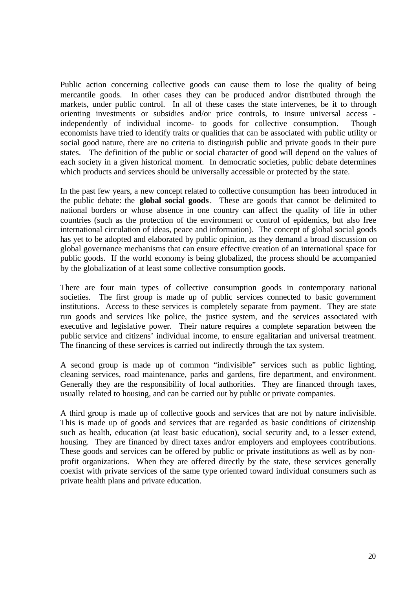Public action concerning collective goods can cause them to lose the quality of being mercantile goods. In other cases they can be produced and/or distributed through the markets, under public control. In all of these cases the state intervenes, be it to through orienting investments or subsidies and/or price controls, to insure universal access independently of individual income- to goods for collective consumption. Though economists have tried to identify traits or qualities that can be associated with public utility or social good nature, there are no criteria to distinguish public and private goods in their pure states. The definition of the public or social character of good will depend on the values of each society in a given historical moment. In democratic societies, public debate determines which products and services should be universally accessible or protected by the state.

In the past few years, a new concept related to collective consumption has been introduced in the public debate: the **global social goods**. These are goods that cannot be delimited to national borders or whose absence in one country can affect the quality of life in other countries (such as the protection of the environment or control of epidemics, but also free international circulation of ideas, peace and information). The concept of global social goods has yet to be adopted and elaborated by public opinion, as they demand a broad discussion on global governance mechanisms that can ensure effective creation of an international space for public goods. If the world economy is being globalized, the process should be accompanied by the globalization of at least some collective consumption goods.

There are four main types of collective consumption goods in contemporary national societies. The first group is made up of public services connected to basic government institutions. Access to these services is completely separate from payment. They are state run goods and services like police, the justice system, and the services associated with executive and legislative power. Their nature requires a complete separation between the public service and citizens' individual income, to ensure egalitarian and universal treatment. The financing of these services is carried out indirectly through the tax system.

A second group is made up of common "indivisible" services such as public lighting, cleaning services, road maintenance, parks and gardens, fire department, and environment. Generally they are the responsibility of local authorities. They are financed through taxes, usually related to housing, and can be carried out by public or private companies.

A third group is made up of collective goods and services that are not by nature indivisible. This is made up of goods and services that are regarded as basic conditions of citizenship such as health, education (at least basic education), social security and, to a lesser extend, housing. They are financed by direct taxes and/or employers and employees contributions. These goods and services can be offered by public or private institutions as well as by nonprofit organizations. When they are offered directly by the state, these services generally coexist with private services of the same type oriented toward individual consumers such as private health plans and private education.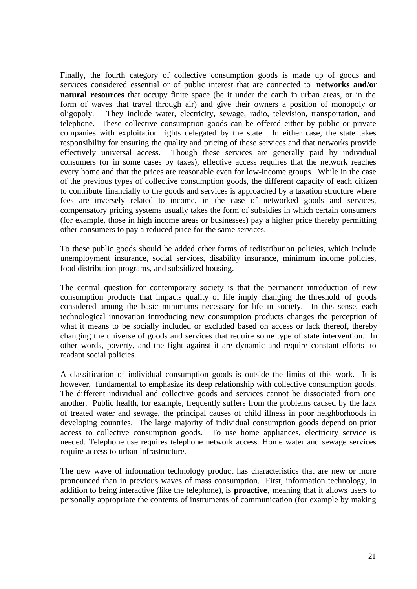Finally, the fourth category of collective consumption goods is made up of goods and services considered essential or of public interest that are connected to **networks and/or natural resources** that occupy finite space (be it under the earth in urban areas, or in the form of waves that travel through air) and give their owners a position of monopoly or oligopoly. They include water, electricity, sewage, radio, television, transportation, and telephone. These collective consumption goods can be offered either by public or private companies with exploitation rights delegated by the state. In either case, the state takes responsibility for ensuring the quality and pricing of these services and that networks provide effectively universal access. Though these services are generally paid by individual consumers (or in some cases by taxes), effective access requires that the network reaches every home and that the prices are reasonable even for low-income groups. While in the case of the previous types of collective consumption goods, the different capacity of each citizen to contribute financially to the goods and services is approached by a taxation structure where fees are inversely related to income, in the case of networked goods and services, compensatory pricing systems usually takes the form of subsidies in which certain consumers (for example, those in high income areas or businesses) pay a higher price thereby permitting other consumers to pay a reduced price for the same services.

To these public goods should be added other forms of redistribution policies, which include unemployment insurance, social services, disability insurance, minimum income policies, food distribution programs, and subsidized housing.

The central question for contemporary society is that the permanent introduction of new consumption products that impacts quality of life imply changing the threshold of goods considered among the basic minimums necessary for life in society. In this sense, each technological innovation introducing new consumption products changes the perception of what it means to be socially included or excluded based on access or lack thereof, thereby changing the universe of goods and services that require some type of state intervention. In other words, poverty, and the fight against it are dynamic and require constant efforts to readapt social policies.

A classification of individual consumption goods is outside the limits of this work. It is however, fundamental to emphasize its deep relationship with collective consumption goods. The different individual and collective goods and services cannot be dissociated from one another. Public health, for example, frequently suffers from the problems caused by the lack of treated water and sewage, the principal causes of child illness in poor neighborhoods in developing countries. The large majority of individual consumption goods depend on prior access to collective consumption goods. To use home appliances, electricity service is needed. Telephone use requires telephone network access. Home water and sewage services require access to urban infrastructure.

The new wave of information technology product has characteristics that are new or more pronounced than in previous waves of mass consumption. First, information technology, in addition to being interactive (like the telephone), is **proactive**, meaning that it allows users to personally appropriate the contents of instruments of communication (for example by making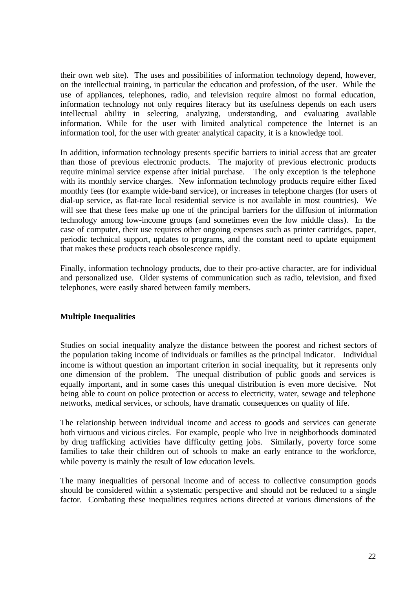their own web site). The uses and possibilities of information technology depend, however, on the intellectual training, in particular the education and profession, of the user. While the use of appliances, telephones, radio, and television require almost no formal education, information technology not only requires literacy but its usefulness depends on each users intellectual ability in selecting, analyzing, understanding, and evaluating available information. While for the user with limited analytical competence the Internet is an information tool, for the user with greater analytical capacity, it is a knowledge tool.

In addition, information technology presents specific barriers to initial access that are greater than those of previous electronic products. The majority of previous electronic products require minimal service expense after initial purchase. The only exception is the telephone with its monthly service charges. New information technology products require either fixed monthly fees (for example wide-band service), or increases in telephone charges (for users of dial-up service, as flat-rate local residential service is not available in most countries). We will see that these fees make up one of the principal barriers for the diffusion of information technology among low-income groups (and sometimes even the low middle class). In the case of computer, their use requires other ongoing expenses such as printer cartridges, paper, periodic technical support, updates to programs, and the constant need to update equipment that makes these products reach obsolescence rapidly.

Finally, information technology products, due to their pro-active character, are for individual and personalized use. Older systems of communication such as radio, television, and fixed telephones, were easily shared between family members.

### **Multiple Inequalities**

Studies on social inequality analyze the distance between the poorest and richest sectors of the population taking income of individuals or families as the principal indicator. Individual income is without question an important criterion in social inequality, but it represents only one dimension of the problem. The unequal distribution of public goods and services is equally important, and in some cases this unequal distribution is even more decisive. Not being able to count on police protection or access to electricity, water, sewage and telephone networks, medical services, or schools, have dramatic consequences on quality of life.

The relationship between individual income and access to goods and services can generate both virtuous and vicious circles. For example, people who live in neighborhoods dominated by drug trafficking activities have difficulty getting jobs. Similarly, poverty force some families to take their children out of schools to make an early entrance to the workforce, while poverty is mainly the result of low education levels.

The many inequalities of personal income and of access to collective consumption goods should be considered within a systematic perspective and should not be reduced to a single factor. Combating these inequalities requires actions directed at various dimensions of the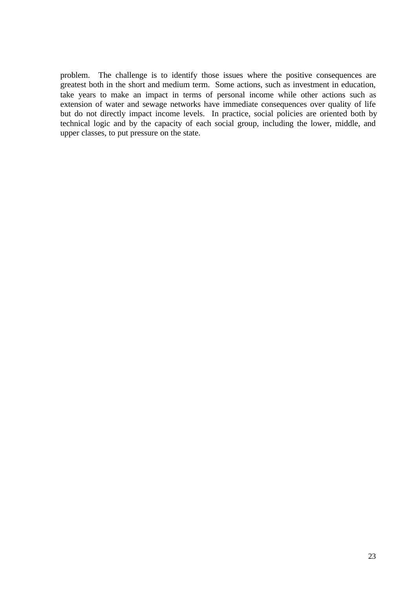problem. The challenge is to identify those issues where the positive consequences are greatest both in the short and medium term. Some actions, such as investment in education, take years to make an impact in terms of personal income while other actions such as extension of water and sewage networks have immediate consequences over quality of life but do not directly impact income levels. In practice, social policies are oriented both by technical logic and by the capacity of each social group, including the lower, middle, and upper classes, to put pressure on the state.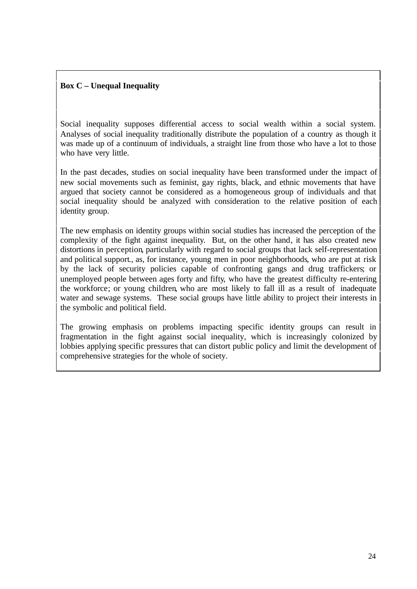## **Box C – Unequal Inequality**

Social inequality supposes differential access to social wealth within a social system. Analyses of social inequality traditionally distribute the population of a country as though it was made up of a continuum of individuals, a straight line from those who have a lot to those who have very little.

In the past decades, studies on social inequality have been transformed under the impact of new social movements such as feminist, gay rights, black, and ethnic movements that have argued that society cannot be considered as a homogeneous group of individuals and that social inequality should be analyzed with consideration to the relative position of each identity group.

The new emphasis on identity groups within social studies has increased the perception of the complexity of the fight against inequality. But, on the other hand, it has also created new distortions in perception, particularly with regard to social groups that lack self-representation and political support., as, for instance, young men in poor neighborhoods, who are put at risk by the lack of security policies capable of confronting gangs and drug traffickers; or unemployed people between ages forty and fifty, who have the greatest difficulty re-entering the workforce; or young children, who are most likely to fall ill as a result of inadequate water and sewage systems. These social groups have little ability to project their interests in the symbolic and political field.

The growing emphasis on problems impacting specific identity groups can result in fragmentation in the fight against social inequality, which is increasingly colonized by lobbies applying specific pressures that can distort public policy and limit the development of comprehensive strategies for the whole of society.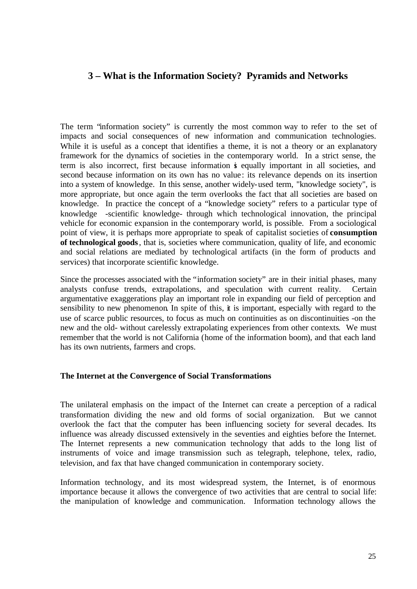# **3 – What is the Information Society? Pyramids and Networks**

The term "information society" is currently the most common way to refer to the set of impacts and social consequences of new information and communication technologies. While it is useful as a concept that identifies a theme, it is not a theory or an explanatory framework for the dynamics of societies in the contemporary world. In a strict sense, the term is also incorrect, first because information is equally important in all societies, and second because information on its own has no value: its relevance depends on its insertion into a system of knowledge. In this sense, another widely-used term, "knowledge society", is more appropriate, but once again the term overlooks the fact that all societies are based on knowledge. In practice the concept of a "knowledge society" refers to a particular type of knowledge -scientific knowledge- through which technological innovation, the principal vehicle for economic expansion in the contemporary world, is possible. From a sociological point of view, it is perhaps more appropriate to speak of capitalist societies of **consumption of technological goods**, that is, societies where communication, quality of life, and economic and social relations are mediated by technological artifacts (in the form of products and services) that incorporate scientific knowledge.

Since the processes associated with the "information society" are in their initial phases, many analysts confuse trends, extrapolations, and speculation with current reality. Certain argumentative exaggerations play an important role in expanding our field of perception and sensibility to new phenomenon. In spite of this, it is important, especially with regard to the use of scarce public resources, to focus as much on continuities as on discontinuities -on the new and the old- without carelessly extrapolating experiences from other contexts. We must remember that the world is not California (home of the information boom), and that each land has its own nutrients, farmers and crops.

#### **The Internet at the Convergence of Social Transformations**

The unilateral emphasis on the impact of the Internet can create a perception of a radical transformation dividing the new and old forms of social organization. But we cannot overlook the fact that the computer has been influencing society for several decades. Its influence was already discussed extensively in the seventies and eighties before the Internet. The Internet represents a new communication technology that adds to the long list of instruments of voice and image transmission such as telegraph, telephone, telex, radio, television, and fax that have changed communication in contemporary society.

Information technology, and its most widespread system, the Internet, is of enormous importance because it allows the convergence of two activities that are central to social life: the manipulation of knowledge and communication. Information technology allows the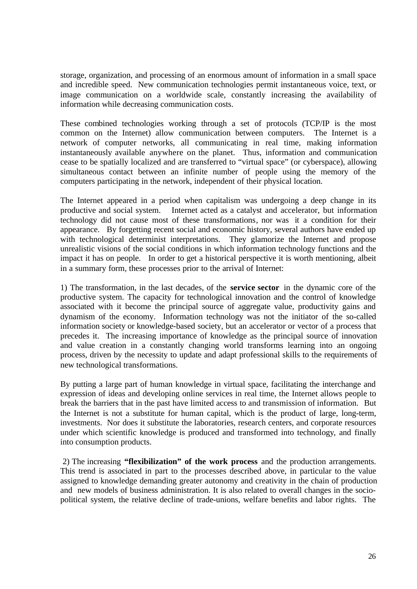storage, organization, and processing of an enormous amount of information in a small space and incredible speed. New communication technologies permit instantaneous voice, text, or image communication on a worldwide scale, constantly increasing the availability of information while decreasing communication costs.

These combined technologies working through a set of protocols (TCP/IP is the most common on the Internet) allow communication between computers. The Internet is a network of computer networks, all communicating in real time, making information instantaneously available anywhere on the planet. Thus, information and communication cease to be spatially localized and are transferred to "virtual space" (or cyberspace), allowing simultaneous contact between an infinite number of people using the memory of the computers participating in the network, independent of their physical location.

The Internet appeared in a period when capitalism was undergoing a deep change in its productive and social system. Internet acted as a catalyst and accelerator, but information technology did not cause most of these transformations, nor was it a condition for their appearance. By forgetting recent social and economic history, several authors have ended up with technological determinist interpretations. They glamorize the Internet and propose unrealistic visions of the social conditions in which information technology functions and the impact it has on people. In order to get a historical perspective it is worth mentioning, albeit in a summary form, these processes prior to the arrival of Internet:

1) The transformation, in the last decades, of the **service sector** in the dynamic core of the productive system. The capacity for technological innovation and the control of knowledge associated with it become the principal source of aggregate value, productivity gains and dynamism of the economy. Information technology was not the initiator of the so-called information society or knowledge-based society, but an accelerator or vector of a process that precedes it. The increasing importance of knowledge as the principal source of innovation and value creation in a constantly changing world transforms learning into an ongoing process, driven by the necessity to update and adapt professional skills to the requirements of new technological transformations.

By putting a large part of human knowledge in virtual space, facilitating the interchange and expression of ideas and developing online services in real time, the Internet allows people to break the barriers that in the past have limited access to and transmission of information. But the Internet is not a substitute for human capital, which is the product of large, long-term, investments. Nor does it substitute the laboratories, research centers, and corporate resources under which scientific knowledge is produced and transformed into technology, and finally into consumption products.

 2) The increasing **"flexibilization" of the work process** and the production arrangements. This trend is associated in part to the processes described above, in particular to the value assigned to knowledge demanding greater autonomy and creativity in the chain of production and new models of business administration. It is also related to overall changes in the sociopolitical system, the relative decline of trade-unions, welfare benefits and labor rights. The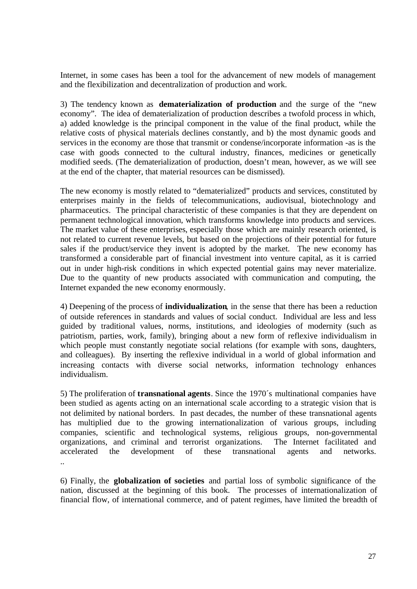Internet, in some cases has been a tool for the advancement of new models of management and the flexibilization and decentralization of production and work.

3) The tendency known as **dematerialization of production** and the surge of the "new economy". The idea of dematerialization of production describes a twofold process in which, a) added knowledge is the principal component in the value of the final product, while the relative costs of physical materials declines constantly, and b) the most dynamic goods and services in the economy are those that transmit or condense/incorporate information -as is the case with goods connected to the cultural industry, finances, medicines or genetically modified seeds. (The dematerialization of production, doesn't mean, however, as we will see at the end of the chapter, that material resources can be dismissed).

The new economy is mostly related to "dematerialized" products and services, constituted by enterprises mainly in the fields of telecommunications, audiovisual, biotechnology and pharmaceutics. The principal characteristic of these companies is that they are dependent on permanent technological innovation, which transforms knowledge into products and services. The market value of these enterprises, especially those which are mainly research oriented, is not related to current revenue levels, but based on the projections of their potential for future sales if the product/service they invent is adopted by the market. The new economy has transformed a considerable part of financial investment into venture capital, as it is carried out in under high-risk conditions in which expected potential gains may never materialize. Due to the quantity of new products associated with communication and computing, the Internet expanded the new economy enormously.

4) Deepening of the process of **individualization**, in the sense that there has been a reduction of outside references in standards and values of social conduct. Individual are less and less guided by traditional values, norms, institutions, and ideologies of modernity (such as patriotism, parties, work, family), bringing about a new form of reflexive individualism in which people must constantly negotiate social relations (for example with sons, daughters, and colleagues). By inserting the reflexive individual in a world of global information and increasing contacts with diverse social networks, information technology enhances individualism.

5) The proliferation of **transnational agents**. Since the 1970´s multinational companies have been studied as agents acting on an international scale according to a strategic vision that is not delimited by national borders. In past decades, the number of these transnational agents has multiplied due to the growing internationalization of various groups, including companies, scientific and technological systems, religious groups, non-governmental organizations, and criminal and terrorist organizations. The Internet facilitated and accelerated the development of these transnational agents and networks. ..

6) Finally, the **globalization of societies** and partial loss of symbolic significance of the nation, discussed at the beginning of this book. The processes of internationalization of financial flow, of international commerce, and of patent regimes, have limited the breadth of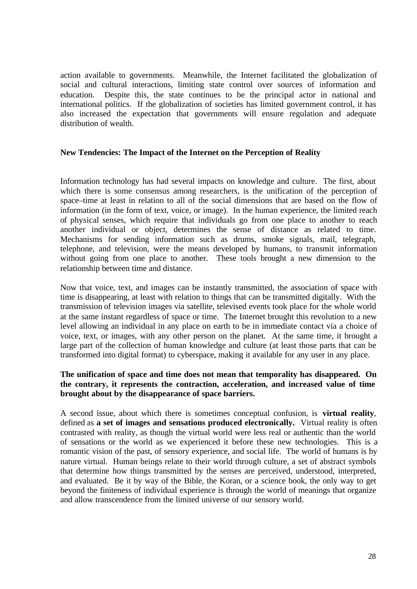action available to governments. Meanwhile, the Internet facilitated the globalization of social and cultural interactions, limiting state control over sources of information and education. Despite this, the state continues to be the principal actor in national and international politics. If the globalization of societies has limited government control, it has also increased the expectation that governments will ensure regulation and adequate distribution of wealth.

#### **New Tendencies: The Impact of the Internet on the Perception of Reality**

Information technology has had several impacts on knowledge and culture. The first, about which there is some consensus among researchers, is the unification of the perception of space–time at least in relation to all of the social dimensions that are based on the flow of information (in the form of text, voice, or image). In the human experience, the limited reach of physical senses, which require that individuals go from one place to another to reach another individual or object, determines the sense of distance as related to time. Mechanisms for sending information such as drums, smoke signals, mail, telegraph, telephone, and television, were the means developed by humans, to transmit information without going from one place to another. These tools brought a new dimension to the relationship between time and distance.

Now that voice, text, and images can be instantly transmitted, the association of space with time is disappearing, at least with relation to things that can be transmitted digitally. With the transmission of television images via satellite, televised events took place for the whole world at the same instant regardless of space or time. The Internet brought this revolution to a new level allowing an individual in any place on earth to be in immediate contact via a choice of voice, text, or images, with any other person on the planet. At the same time, it brought a large part of the collection of human knowledge and culture (at least those parts that can be transformed into digital format) to cyberspace, making it available for any user in any place.

#### **The unification of space and time does not mean that temporality has disappeared. On the contrary, it represents the contraction, acceleration, and increased value of time brought about by the disappearance of space barriers.**

A second issue, about which there is sometimes conceptual confusion, is **virtual reality**, defined as **a set of images and sensations produced electronically.** Virtual reality is often contrasted with reality, as though the virtual world were less real or authentic than the world of sensations or the world as we experienced it before these new technologies. This is a romantic vision of the past, of sensory experience, and social life. The world of humans is by nature virtual. Human beings relate to their world through culture, a set of abstract symbols that determine how things transmitted by the senses are perceived, understood, interpreted, and evaluated. Be it by way of the Bible, the Koran, or a science book, the only way to get beyond the finiteness of individual experience is through the world of meanings that organize and allow transcendence from the limited universe of our sensory world.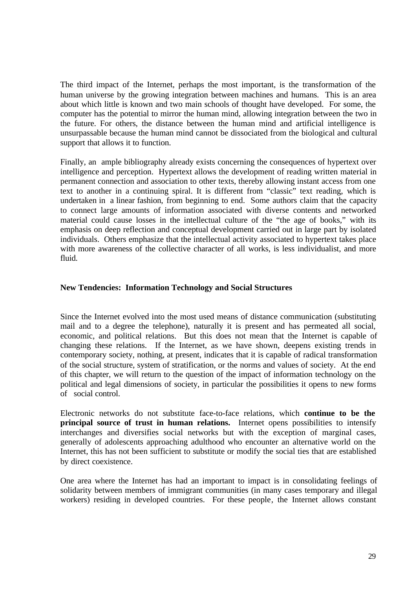The third impact of the Internet, perhaps the most important, is the transformation of the human universe by the growing integration between machines and humans. This is an area about which little is known and two main schools of thought have developed. For some, the computer has the potential to mirror the human mind, allowing integration between the two in the future. For others, the distance between the human mind and artificial intelligence is unsurpassable because the human mind cannot be dissociated from the biological and cultural support that allows it to function.

Finally, an ample bibliography already exists concerning the consequences of hypertext over intelligence and perception. Hypertext allows the development of reading written material in permanent connection and association to other texts, thereby allowing instant access from one text to another in a continuing spiral. It is different from "classic" text reading, which is undertaken in a linear fashion, from beginning to end. Some authors claim that the capacity to connect large amounts of information associated with diverse contents and networked material could cause losses in the intellectual culture of the "the age of books," with its emphasis on deep reflection and conceptual development carried out in large part by isolated individuals. Others emphasize that the intellectual activity associated to hypertext takes place with more awareness of the collective character of all works, is less individualist, and more fluid.

#### **New Tendencies: Information Technology and Social Structures**

Since the Internet evolved into the most used means of distance communication (substituting mail and to a degree the telephone), naturally it is present and has permeated all social, economic, and political relations. But this does not mean that the Internet is capable of changing these relations. If the Internet, as we have shown, deepens existing trends in contemporary society, nothing, at present, indicates that it is capable of radical transformation of the social structure, system of stratification, or the norms and values of society. At the end of this chapter, we will return to the question of the impact of information technology on the political and legal dimensions of society, in particular the possibilities it opens to new forms of social control.

Electronic networks do not substitute face-to-face relations, which **continue to be the principal source of trust in human relations.** Internet opens possibilities to intensify interchanges and diversifies social networks but with the exception of marginal cases, generally of adolescents approaching adulthood who encounter an alternative world on the Internet, this has not been sufficient to substitute or modify the social ties that are established by direct coexistence.

One area where the Internet has had an important to impact is in consolidating feelings of solidarity between members of immigrant communities (in many cases temporary and illegal workers) residing in developed countries. For these people, the Internet allows constant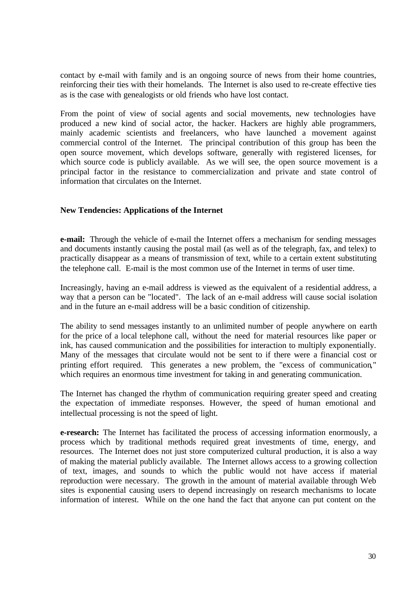contact by e-mail with family and is an ongoing source of news from their home countries, reinforcing their ties with their homelands. The Internet is also used to re-create effective ties as is the case with genealogists or old friends who have lost contact.

From the point of view of social agents and social movements, new technologies have produced a new kind of social actor, the hacker. Hackers are highly able programmers, mainly academic scientists and freelancers, who have launched a movement against commercial control of the Internet. The principal contribution of this group has been the open source movement, which develops software, generally with registered licenses, for which source code is publicly available. As we will see, the open source movement is a principal factor in the resistance to commercialization and private and state control of information that circulates on the Internet.

#### **New Tendencies: Applications of the Internet**

**e-mail:** Through the vehicle of e-mail the Internet offers a mechanism for sending messages and documents instantly causing the postal mail (as well as of the telegraph, fax, and telex) to practically disappear as a means of transmission of text, while to a certain extent substituting the telephone call. E-mail is the most common use of the Internet in terms of user time.

Increasingly, having an e-mail address is viewed as the equivalent of a residential address, a way that a person can be "located". The lack of an e-mail address will cause social isolation and in the future an e-mail address will be a basic condition of citizenship.

The ability to send messages instantly to an unlimited number of people anywhere on earth for the price of a local telephone call, without the need for material resources like paper or ink, has caused communication and the possibilities for interaction to multiply exponentially. Many of the messages that circulate would not be sent to if there were a financial cost or printing effort required. This generates a new problem, the "excess of communication," which requires an enormous time investment for taking in and generating communication.

The Internet has changed the rhythm of communication requiring greater speed and creating the expectation of immediate responses. However, the speed of human emotional and intellectual processing is not the speed of light.

**e-research:** The Internet has facilitated the process of accessing information enormously, a process which by traditional methods required great investments of time, energy, and resources. The Internet does not just store computerized cultural production, it is also a way of making the material publicly available. The Internet allows access to a growing collection of text, images, and sounds to which the public would not have access if material reproduction were necessary. The growth in the amount of material available through Web sites is exponential causing users to depend increasingly on research mechanisms to locate information of interest. While on the one hand the fact that anyone can put content on the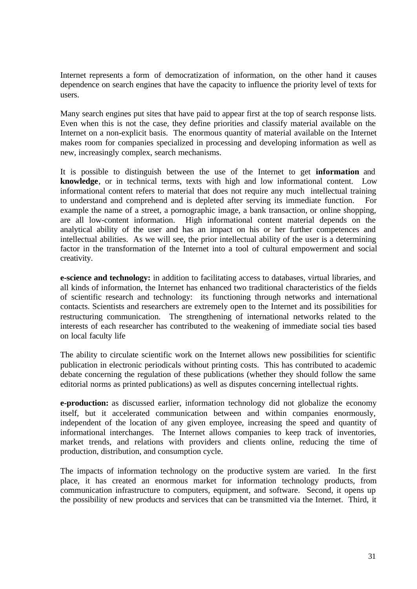Internet represents a form of democratization of information, on the other hand it causes dependence on search engines that have the capacity to influence the priority level of texts for users.

Many search engines put sites that have paid to appear first at the top of search response lists. Even when this is not the case, they define priorities and classify material available on the Internet on a non-explicit basis. The enormous quantity of material available on the Internet makes room for companies specialized in processing and developing information as well as new, increasingly complex, search mechanisms.

It is possible to distinguish between the use of the Internet to get **information** and **knowledge**, or in technical terms, texts with high and low informational content. Low informational content refers to material that does not require any much intellectual training to understand and comprehend and is depleted after serving its immediate function. For example the name of a street, a pornographic image, a bank transaction, or online shopping, are all low-content information. High informational content material depends on the analytical ability of the user and has an impact on his or her further competences and intellectual abilities. As we will see, the prior intellectual ability of the user is a determining factor in the transformation of the Internet into a tool of cultural empowerment and social creativity.

**e-science and technology:** in addition to facilitating access to databases, virtual libraries, and all kinds of information, the Internet has enhanced two traditional characteristics of the fields of scientific research and technology: its functioning through networks and international contacts. Scientists and researchers are extremely open to the Internet and its possibilities for restructuring communication. The strengthening of international networks related to the interests of each researcher has contributed to the weakening of immediate social ties based on local faculty life

The ability to circulate scientific work on the Internet allows new possibilities for scientific publication in electronic periodicals without printing costs. This has contributed to academic debate concerning the regulation of these publications (whether they should follow the same editorial norms as printed publications) as well as disputes concerning intellectual rights.

**e-production:** as discussed earlier, information technology did not globalize the economy itself, but it accelerated communication between and within companies enormously, independent of the location of any given employee, increasing the speed and quantity of informational interchanges. The Internet allows companies to keep track of inventories, market trends, and relations with providers and clients online, reducing the time of production, distribution, and consumption cycle.

The impacts of information technology on the productive system are varied. In the first place, it has created an enormous market for information technology products, from communication infrastructure to computers, equipment, and software. Second, it opens up the possibility of new products and services that can be transmitted via the Internet. Third, it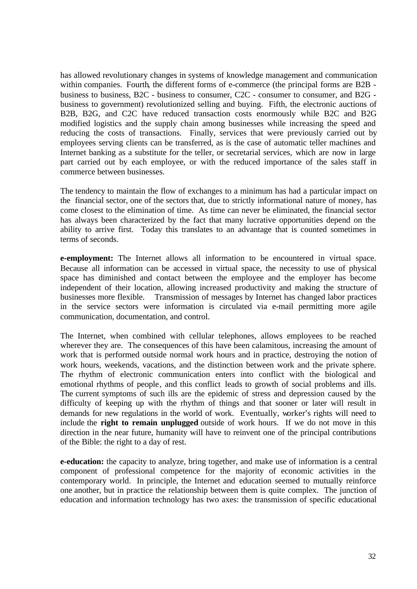has allowed revolutionary changes in systems of knowledge management and communication within companies. Fourth, the different forms of e-commerce (the principal forms are B2B business to business, B2C - business to consumer, C2C - consumer to consumer, and B2G business to government) revolutionized selling and buying. Fifth, the electronic auctions of B2B, B2G, and C2C have reduced transaction costs enormously while B2C and B2G modified logistics and the supply chain among businesses while increasing the speed and reducing the costs of transactions. Finally, services that were previously carried out by employees serving clients can be transferred, as is the case of automatic teller machines and Internet banking as a substitute for the teller, or secretarial services, which are now in large part carried out by each employee, or with the reduced importance of the sales staff in commerce between businesses.

The tendency to maintain the flow of exchanges to a minimum has had a particular impact on the financial sector, one of the sectors that, due to strictly informational nature of money, has come closest to the elimination of time. As time can never be eliminated, the financial sector has always been characterized by the fact that many lucrative opportunities depend on the ability to arrive first. Today this translates to an advantage that is counted sometimes in terms of seconds.

**e-employment:** The Internet allows all information to be encountered in virtual space. Because all information can be accessed in virtual space, the necessity to use of physical space has diminished and contact between the employee and the employer has become independent of their location, allowing increased productivity and making the structure of businesses more flexible. Transmission of messages by Internet has changed labor practices in the service sectors were information is circulated via e-mail permitting more agile communication, documentation, and control.

The Internet, when combined with cellular telephones, allows employees to be reached wherever they are. The consequences of this have been calamitous, increasing the amount of work that is performed outside normal work hours and in practice, destroying the notion of work hours, weekends, vacations, and the distinction between work and the private sphere. The rhythm of electronic communication enters into conflict with the biological and emotional rhythms of people, and this conflict leads to growth of social problems and ills. The current symptoms of such ills are the epidemic of stress and depression caused by the difficulty of keeping up with the rhythm of things and that sooner or later will result in demands for new regulations in the world of work. Eventually, worker's rights will need to include the **right to remain unplugged** outside of work hours. If we do not move in this direction in the near future, humanity will have to reinvent one of the principal contributions of the Bible: the right to a day of rest.

**e-education:** the capacity to analyze, bring together, and make use of information is a central component of professional competence for the majority of economic activities in the contemporary world. In principle, the Internet and education seemed to mutually reinforce one another, but in practice the relationship between them is quite complex. The junction of education and information technology has two axes: the transmission of specific educational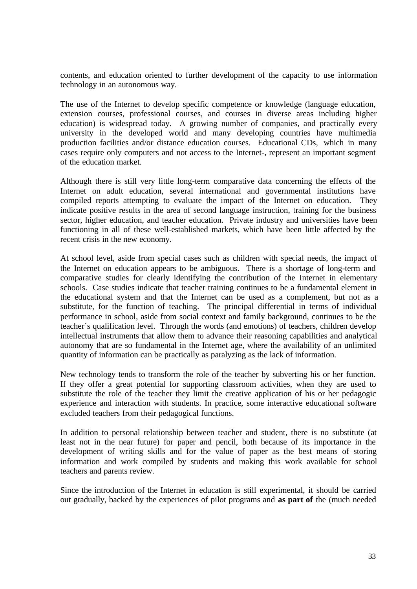contents, and education oriented to further development of the capacity to use information technology in an autonomous way.

The use of the Internet to develop specific competence or knowledge (language education, extension courses, professional courses, and courses in diverse areas including higher education) is widespread today. A growing number of companies, and practically every university in the developed world and many developing countries have multimedia production facilities and/or distance education courses. Educational CDs, which in many cases require only computers and not access to the Internet-, represent an important segment of the education market.

Although there is still very little long-term comparative data concerning the effects of the Internet on adult education, several international and governmental institutions have compiled reports attempting to evaluate the impact of the Internet on education. They indicate positive results in the area of second language instruction, training for the business sector, higher education, and teacher education. Private industry and universities have been functioning in all of these well-established markets, which have been little affected by the recent crisis in the new economy.

At school level, aside from special cases such as children with special needs, the impact of the Internet on education appears to be ambiguous. There is a shortage of long-term and comparative studies for clearly identifying the contribution of the Internet in elementary schools. Case studies indicate that teacher training continues to be a fundamental element in the educational system and that the Internet can be used as a complement, but not as a substitute, for the function of teaching. The principal differential in terms of individual performance in school, aside from social context and family background, continues to be the teacher´s qualification level. Through the words (and emotions) of teachers, children develop intellectual instruments that allow them to advance their reasoning capabilities and analytical autonomy that are so fundamental in the Internet age, where the availability of an unlimited quantity of information can be practically as paralyzing as the lack of information.

New technology tends to transform the role of the teacher by subverting his or her function. If they offer a great potential for supporting classroom activities, when they are used to substitute the role of the teacher they limit the creative application of his or her pedagogic experience and interaction with students. In practice, some interactive educational software excluded teachers from their pedagogical functions.

In addition to personal relationship between teacher and student, there is no substitute (at least not in the near future) for paper and pencil, both because of its importance in the development of writing skills and for the value of paper as the best means of storing information and work compiled by students and making this work available for school teachers and parents review.

Since the introduction of the Internet in education is still experimental, it should be carried out gradually, backed by the experiences of pilot programs and **as part of** the (much needed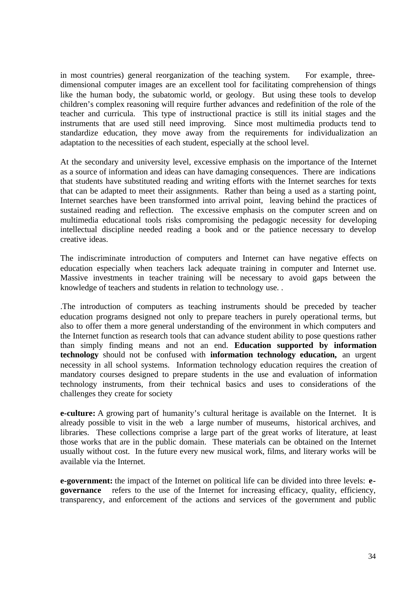in most countries) general reorganization of the teaching system. For example, threedimensional computer images are an excellent tool for facilitating comprehension of things like the human body, the subatomic world, or geology. But using these tools to develop children's complex reasoning will require further advances and redefinition of the role of the teacher and curricula. This type of instructional practice is still its initial stages and the instruments that are used still need improving. Since most multimedia products tend to standardize education, they move away from the requirements for individualization an adaptation to the necessities of each student, especially at the school level.

At the secondary and university level, excessive emphasis on the importance of the Internet as a source of information and ideas can have damaging consequences. There are indications that students have substituted reading and writing efforts with the Internet searches for texts that can be adapted to meet their assignments. Rather than being a used as a starting point, Internet searches have been transformed into arrival point, leaving behind the practices of sustained reading and reflection. The excessive emphasis on the computer screen and on multimedia educational tools risks compromising the pedagogic necessity for developing intellectual discipline needed reading a book and or the patience necessary to develop creative ideas.

The indiscriminate introduction of computers and Internet can have negative effects on education especially when teachers lack adequate training in computer and Internet use. Massive investments in teacher training will be necessary to avoid gaps between the knowledge of teachers and students in relation to technology use. .

.The introduction of computers as teaching instruments should be preceded by teacher education programs designed not only to prepare teachers in purely operational terms, but also to offer them a more general understanding of the environment in which computers and the Internet function as research tools that can advance student ability to pose questions rather than simply finding means and not an end. **Education supported by information technology** should not be confused with **information technology education,** an urgent necessity in all school systems. Information technology education requires the creation of mandatory courses designed to prepare students in the use and evaluation of information technology instruments, from their technical basics and uses to considerations of the challenges they create for society

**e-culture:** A growing part of humanity's cultural heritage is available on the Internet. It is already possible to visit in the web a large number of museums, historical archives, and libraries. These collections comprise a large part of the great works of literature, at least those works that are in the public domain. These materials can be obtained on the Internet usually without cost. In the future every new musical work, films, and literary works will be available via the Internet.

**e-government:** the impact of the Internet on political life can be divided into three levels: **egovernance** refers to the use of the Internet for increasing efficacy, quality, efficiency, transparency, and enforcement of the actions and services of the government and public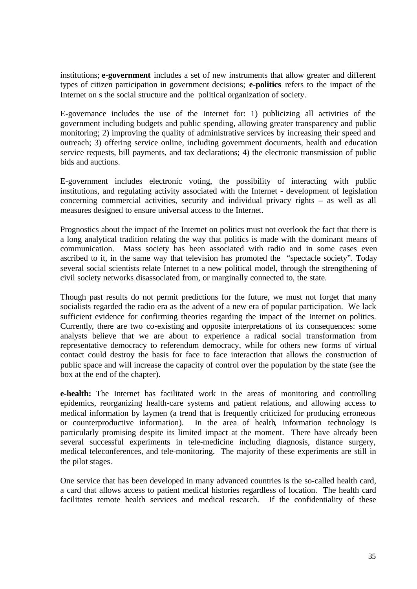institutions; **e-government** includes a set of new instruments that allow greater and different types of citizen participation in government decisions; **e-politics** refers to the impact of the Internet on s the social structure and the political organization of society.

E-governance includes the use of the Internet for: 1) publicizing all activities of the government including budgets and public spending, allowing greater transparency and public monitoring; 2) improving the quality of administrative services by increasing their speed and outreach; 3) offering service online, including government documents, health and education service requests, bill payments, and tax declarations; 4) the electronic transmission of public bids and auctions.

E-government includes electronic voting, the possibility of interacting with public institutions, and regulating activity associated with the Internet - development of legislation concerning commercial activities, security and individual privacy rights – as well as all measures designed to ensure universal access to the Internet.

Prognostics about the impact of the Internet on politics must not overlook the fact that there is a long analytical tradition relating the way that politics is made with the dominant means of communication. Mass society has been associated with radio and in some cases even ascribed to it, in the same way that television has promoted the "spectacle society". Today several social scientists relate Internet to a new political model, through the strengthening of civil society networks disassociated from, or marginally connected to, the state.

Though past results do not permit predictions for the future, we must not forget that many socialists regarded the radio era as the advent of a new era of popular participation. We lack sufficient evidence for confirming theories regarding the impact of the Internet on politics. Currently, there are two co-existing and opposite interpretations of its consequences: some analysts believe that we are about to experience a radical social transformation from representative democracy to referendum democracy, while for others new forms of virtual contact could destroy the basis for face to face interaction that allows the construction of public space and will increase the capacity of control over the population by the state (see the box at the end of the chapter).

**e-health:** The Internet has facilitated work in the areas of monitoring and controlling epidemics, reorganizing health-care systems and patient relations, and allowing access to medical information by laymen (a trend that is frequently criticized for producing erroneous or counterproductive information). In the area of health, information technology is particularly promising despite its limited impact at the moment. There have already been several successful experiments in tele-medicine including diagnosis, distance surgery, medical teleconferences, and tele-monitoring. The majority of these experiments are still in the pilot stages.

One service that has been developed in many advanced countries is the so-called health card, a card that allows access to patient medical histories regardless of location. The health card facilitates remote health services and medical research. If the confidentiality of these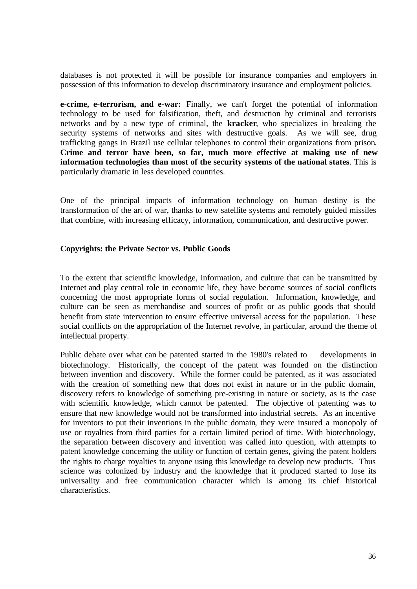databases is not protected it will be possible for insurance companies and employers in possession of this information to develop discriminatory insurance and employment policies.

**e-crime, e-terrorism, and e-war:** Finally, we can't forget the potential of information technology to be used for falsification, theft, and destruction by criminal and terrorists networks and by a new type of criminal, the **kracker**, who specializes in breaking the security systems of networks and sites with destructive goals. As we will see, drug trafficking gangs in Brazil use cellular telephones to control their organizations from prison**. Crime and terror have been, so far, much more effective at making use of new information technologies than most of the security systems of the national states**. This is particularly dramatic in less developed countries.

One of the principal impacts of information technology on human destiny is the transformation of the art of war, thanks to new satellite systems and remotely guided missiles that combine, with increasing efficacy, information, communication, and destructive power.

#### **Copyrights: the Private Sector vs. Public Goods**

To the extent that scientific knowledge, information, and culture that can be transmitted by Internet and play central role in economic life, they have become sources of social conflicts concerning the most appropriate forms of social regulation. Information, knowledge, and culture can be seen as merchandise and sources of profit or as public goods that should benefit from state intervention to ensure effective universal access for the population. These social conflicts on the appropriation of the Internet revolve, in particular, around the theme of intellectual property.

Public debate over what can be patented started in the 1980's related to developments in biotechnology. Historically, the concept of the patent was founded on the distinction between invention and discovery. While the former could be patented, as it was associated with the creation of something new that does not exist in nature or in the public domain, discovery refers to knowledge of something pre-existing in nature or society, as is the case with scientific knowledge, which cannot be patented. The objective of patenting was to ensure that new knowledge would not be transformed into industrial secrets. As an incentive for inventors to put their inventions in the public domain, they were insured a monopoly of use or royalties from third parties for a certain limited period of time. With biotechnology, the separation between discovery and invention was called into question, with attempts to patent knowledge concerning the utility or function of certain genes, giving the patent holders the rights to charge royalties to anyone using this knowledge to develop new products. Thus science was colonized by industry and the knowledge that it produced started to lose its universality and free communication character which is among its chief historical characteristics.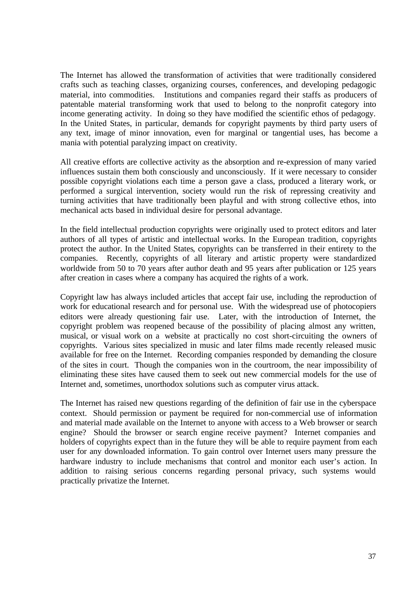The Internet has allowed the transformation of activities that were traditionally considered crafts such as teaching classes, organizing courses, conferences, and developing pedagogic material, into commodities. Institutions and companies regard their staffs as producers of patentable material transforming work that used to belong to the nonprofit category into income generating activity. In doing so they have modified the scientific ethos of pedagogy. In the United States, in particular, demands for copyright payments by third party users of any text, image of minor innovation, even for marginal or tangential uses, has become a mania with potential paralyzing impact on creativity.

All creative efforts are collective activity as the absorption and re-expression of many varied influences sustain them both consciously and unconsciously. If it were necessary to consider possible copyright violations each time a person gave a class, produced a literary work, or performed a surgical intervention, society would run the risk of repressing creativity and turning activities that have traditionally been playful and with strong collective ethos, into mechanical acts based in individual desire for personal advantage.

In the field intellectual production copyrights were originally used to protect editors and later authors of all types of artistic and intellectual works. In the European tradition, copyrights protect the author. In the United States, copyrights can be transferred in their entirety to the companies. Recently, copyrights of all literary and artistic property were standardized worldwide from 50 to 70 years after author death and 95 years after publication or 125 years after creation in cases where a company has acquired the rights of a work.

Copyright law has always included articles that accept fair use, including the reproduction of work for educational research and for personal use. With the widespread use of photocopiers editors were already questioning fair use. Later, with the introduction of Internet, the copyright problem was reopened because of the possibility of placing almost any written, musical, or visual work on a website at practically no cost short-circuiting the owners of copyrights. Various sites specialized in music and later films made recently released music available for free on the Internet. Recording companies responded by demanding the closure of the sites in court. Though the companies won in the courtroom, the near impossibility of eliminating these sites have caused them to seek out new commercial models for the use of Internet and, sometimes, unorthodox solutions such as computer virus attack.

The Internet has raised new questions regarding of the definition of fair use in the cyberspace context. Should permission or payment be required for non-commercial use of information and material made available on the Internet to anyone with access to a Web browser or search engine? Should the browser or search engine receive payment? Internet companies and holders of copyrights expect than in the future they will be able to require payment from each user for any downloaded information. To gain control over Internet users many pressure the hardware industry to include mechanisms that control and monitor each user's action. In addition to raising serious concerns regarding personal privacy, such systems would practically privatize the Internet.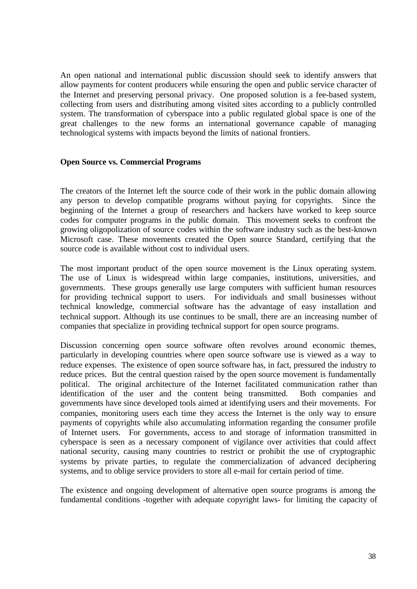An open national and international public discussion should seek to identify answers that allow payments for content producers while ensuring the open and public service character of the Internet and preserving personal privacy. One proposed solution is a fee-based system, collecting from users and distributing among visited sites according to a publicly controlled system. The transformation of cyberspace into a public regulated global space is one of the great challenges to the new forms an international governance capable of managing technological systems with impacts beyond the limits of national frontiers.

### **Open Source vs. Commercial Programs**

The creators of the Internet left the source code of their work in the public domain allowing any person to develop compatible programs without paying for copyrights. Since the beginning of the Internet a group of researchers and hackers have worked to keep source codes for computer programs in the public domain. This movement seeks to confront the growing oligopolization of source codes within the software industry such as the best-known Microsoft case. These movements created the Open source Standard, certifying that the source code is available without cost to individual users.

The most important product of the open source movement is the Linux operating system. The use of Linux is widespread within large companies, institutions, universities, and governments. These groups generally use large computers with sufficient human resources for providing technical support to users. For individuals and small businesses without technical knowledge, commercial software has the advantage of easy installation and technical support. Although its use continues to be small, there are an increasing number of companies that specialize in providing technical support for open source programs.

Discussion concerning open source software often revolves around economic themes, particularly in developing countries where open source software use is viewed as a way to reduce expenses. The existence of open source software has, in fact, pressured the industry to reduce prices. But the central question raised by the open source movement is fundamentally political. The original architecture of the Internet facilitated communication rather than identification of the user and the content being transmitted. Both companies and governments have since developed tools aimed at identifying users and their movements. For companies, monitoring users each time they access the Internet is the only way to ensure payments of copyrights while also accumulating information regarding the consumer profile of Internet users. For governments, access to and storage of information transmitted in cyberspace is seen as a necessary component of vigilance over activities that could affect national security, causing many countries to restrict or prohibit the use of cryptographic systems by private parties, to regulate the commercialization of advanced deciphering systems, and to oblige service providers to store all e-mail for certain period of time.

The existence and ongoing development of alternative open source programs is among the fundamental conditions -together with adequate copyright laws- for limiting the capacity of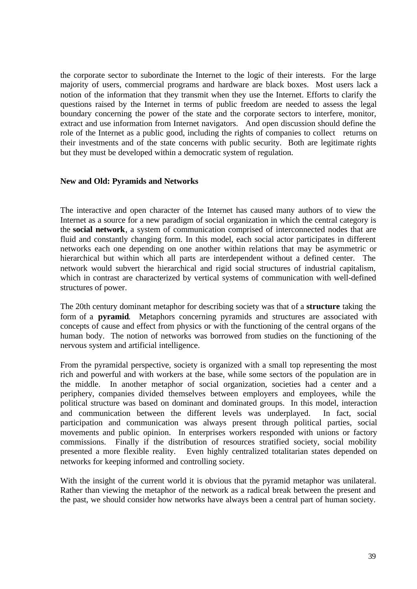the corporate sector to subordinate the Internet to the logic of their interests. For the large majority of users, commercial programs and hardware are black boxes. Most users lack a notion of the information that they transmit when they use the Internet. Efforts to clarify the questions raised by the Internet in terms of public freedom are needed to assess the legal boundary concerning the power of the state and the corporate sectors to interfere, monitor, extract and use information from Internet navigators. And open discussion should define the role of the Internet as a public good, including the rights of companies to collect returns on their investments and of the state concerns with public security. Both are legitimate rights but they must be developed within a democratic system of regulation.

### **New and Old: Pyramids and Networks**

The interactive and open character of the Internet has caused many authors of to view the Internet as a source for a new paradigm of social organization in which the central category is the **social network**, a system of communication comprised of interconnected nodes that are fluid and constantly changing form. In this model, each social actor participates in different networks each one depending on one another within relations that may be asymmetric or hierarchical but within which all parts are interdependent without a defined center. The network would subvert the hierarchical and rigid social structures of industrial capitalism, which in contrast are characterized by vertical systems of communication with well-defined structures of power.

The 20th century dominant metaphor for describing society was that of a **structure** taking the form of a **pyramid**. Metaphors concerning pyramids and structures are associated with concepts of cause and effect from physics or with the functioning of the central organs of the human body. The notion of networks was borrowed from studies on the functioning of the nervous system and artificial intelligence.

From the pyramidal perspective, society is organized with a small top representing the most rich and powerful and with workers at the base, while some sectors of the population are in the middle. In another metaphor of social organization, societies had a center and a periphery, companies divided themselves between employers and employees, while the political structure was based on dominant and dominated groups. In this model, interaction and communication between the different levels was underplayed. In fact, social participation and communication was always present through political parties, social movements and public opinion. In enterprises workers responded with unions or factory commissions. Finally if the distribution of resources stratified society, social mobility presented a more flexible reality. Even highly centralized totalitarian states depended on networks for keeping informed and controlling society.

With the insight of the current world it is obvious that the pyramid metaphor was unilateral. Rather than viewing the metaphor of the network as a radical break between the present and the past, we should consider how networks have always been a central part of human society.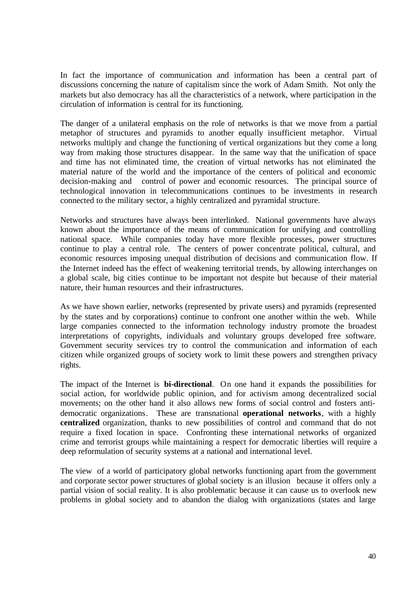In fact the importance of communication and information has been a central part of discussions concerning the nature of capitalism since the work of Adam Smith. Not only the markets but also democracy has all the characteristics of a network, where participation in the circulation of information is central for its functioning.

The danger of a unilateral emphasis on the role of networks is that we move from a partial metaphor of structures and pyramids to another equally insufficient metaphor. Virtual networks multiply and change the functioning of vertical organizations but they come a long way from making those structures disappear. In the same way that the unification of space and time has not eliminated time, the creation of virtual networks has not eliminated the material nature of the world and the importance of the centers of political and economic decision-making and control of power and economic resources. The principal source of technological innovation in telecommunications continues to be investments in research connected to the military sector, a highly centralized and pyramidal structure.

Networks and structures have always been interlinked. National governments have always known about the importance of the means of communication for unifying and controlling national space. While companies today have more flexible processes, power structures continue to play a central role. The centers of power concentrate political, cultural, and economic resources imposing unequal distribution of decisions and communication flow. If the Internet indeed has the effect of weakening territorial trends, by allowing interchanges on a global scale, big cities continue to be important not despite but because of their material nature, their human resources and their infrastructures.

As we have shown earlier, networks (represented by private users) and pyramids (represented by the states and by corporations) continue to confront one another within the web. While large companies connected to the information technology industry promote the broadest interpretations of copyrights, individuals and voluntary groups developed free software. Government security services try to control the communication and information of each citizen while organized groups of society work to limit these powers and strengthen privacy rights.

The impact of the Internet is **bi-directional**. On one hand it expands the possibilities for social action, for worldwide public opinion, and for activism among decentralized social movements; on the other hand it also allows new forms of social control and fosters antidemocratic organizations. These are transnational **operational networks**, with a highly **centralized** organization, thanks to new possibilities of control and command that do not require a fixed location in space. Confronting these international networks of organized crime and terrorist groups while maintaining a respect for democratic liberties will require a deep reformulation of security systems at a national and international level.

The view of a world of participatory global networks functioning apart from the government and corporate sector power structures of global society is an illusion because it offers only a partial vision of social reality. It is also problematic because it can cause us to overlook new problems in global society and to abandon the dialog with organizations (states and large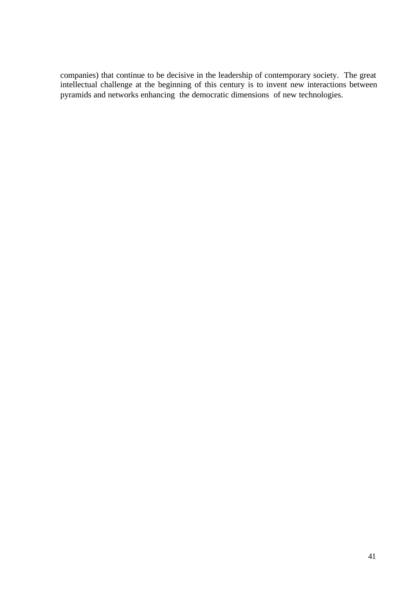companies) that continue to be decisive in the leadership of contemporary society. The great intellectual challenge at the beginning of this century is to invent new interactions between pyramids and networks enhancing the democratic dimensions of new technologies.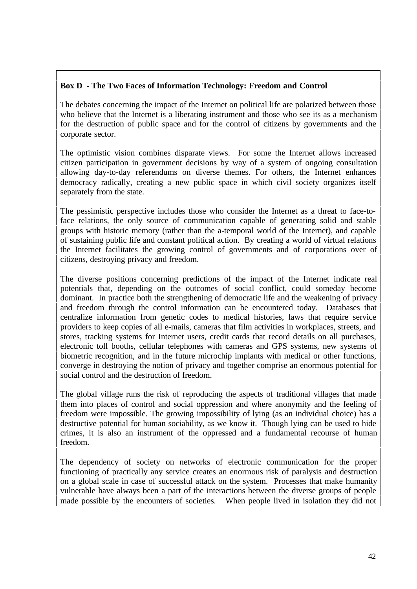# **Box D - The Two Faces of Information Technology: Freedom and Control**

The debates concerning the impact of the Internet on political life are polarized between those who believe that the Internet is a liberating instrument and those who see its as a mechanism for the destruction of public space and for the control of citizens by governments and the corporate sector.

The optimistic vision combines disparate views. For some the Internet allows increased citizen participation in government decisions by way of a system of ongoing consultation allowing day-to-day referendums on diverse themes. For others, the Internet enhances democracy radically, creating a new public space in which civil society organizes itself separately from the state.

The pessimistic perspective includes those who consider the Internet as a threat to face-toface relations, the only source of communication capable of generating solid and stable groups with historic memory (rather than the a-temporal world of the Internet), and capable of sustaining public life and constant political action. By creating a world of virtual relations the Internet facilitates the growing control of governments and of corporations over of citizens, destroying privacy and freedom.

The diverse positions concerning predictions of the impact of the Internet indicate real potentials that, depending on the outcomes of social conflict, could someday become dominant. In practice both the strengthening of democratic life and the weakening of privacy and freedom through the control information can be encountered today. Databases that centralize information from genetic codes to medical histories, laws that require service providers to keep copies of all e-mails, cameras that film activities in workplaces, streets, and stores, tracking systems for Internet users, credit cards that record details on all purchases, electronic toll booths, cellular telephones with cameras and GPS systems, new systems of biometric recognition, and in the future microchip implants with medical or other functions, converge in destroying the notion of privacy and together comprise an enormous potential for social control and the destruction of freedom.

The global village runs the risk of reproducing the aspects of traditional villages that made them into places of control and social oppression and where anonymity and the feeling of freedom were impossible. The growing impossibility of lying (as an individual choice) has a destructive potential for human sociability, as we know it. Though lying can be used to hide crimes, it is also an instrument of the oppressed and a fundamental recourse of human freedom.

The dependency of society on networks of electronic communication for the proper functioning of practically any service creates an enormous risk of paralysis and destruction on a global scale in case of successful attack on the system. Processes that make humanity vulnerable have always been a part of the interactions between the diverse groups of people made possible by the encounters of societies. When people lived in isolation they did not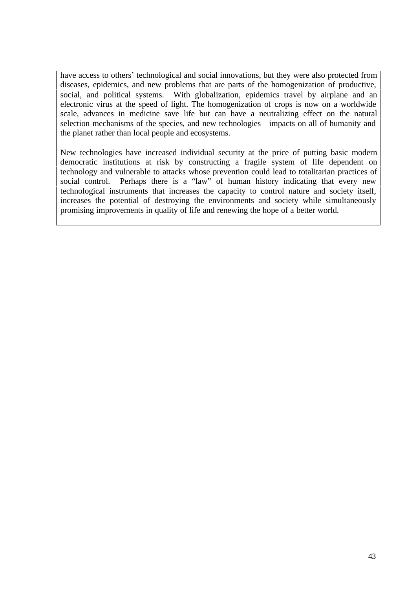have access to others' technological and social innovations, but they were also protected from diseases, epidemics, and new problems that are parts of the homogenization of productive, social, and political systems. With globalization, epidemics travel by airplane and an electronic virus at the speed of light. The homogenization of crops is now on a worldwide scale, advances in medicine save life but can have a neutralizing effect on the natural selection mechanisms of the species, and new technologies impacts on all of humanity and the planet rather than local people and ecosystems.

New technologies have increased individual security at the price of putting basic modern democratic institutions at risk by constructing a fragile system of life dependent on technology and vulnerable to attacks whose prevention could lead to totalitarian practices of social control. Perhaps there is a "law" of human history indicating that every new technological instruments that increases the capacity to control nature and society itself, increases the potential of destroying the environments and society while simultaneously promising improvements in quality of life and renewing the hope of a better world.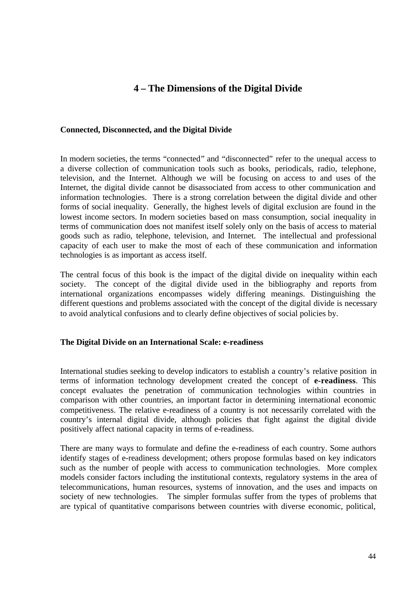# **4 – The Dimensions of the Digital Divide**

### **Connected, Disconnected, and the Digital Divide**

In modern societies, the terms "connected" and "disconnected" refer to the unequal access to a diverse collection of communication tools such as books, periodicals, radio, telephone, television, and the Internet. Although we will be focusing on access to and uses of the Internet, the digital divide cannot be disassociated from access to other communication and information technologies. There is a strong correlation between the digital divide and other forms of social inequality. Generally, the highest levels of digital exclusion are found in the lowest income sectors. In modern societies based on mass consumption, social inequality in terms of communication does not manifest itself solely only on the basis of access to material goods such as radio, telephone, television, and Internet. The intellectual and professional capacity of each user to make the most of each of these communication and information technologies is as important as access itself.

The central focus of this book is the impact of the digital divide on inequality within each society. The concept of the digital divide used in the bibliography and reports from international organizations encompasses widely differing meanings. Distinguishing the different questions and problems associated with the concept of the digital divide is necessary to avoid analytical confusions and to clearly define objectives of social policies by.

## **The Digital Divide on an International Scale: e-readiness**

International studies seeking to develop indicators to establish a country's relative position in terms of information technology development created the concept of **e-readiness**. This concept evaluates the penetration of communication technologies within countries in comparison with other countries, an important factor in determining international economic competitiveness. The relative e-readiness of a country is not necessarily correlated with the country's internal digital divide, although policies that fight against the digital divide positively affect national capacity in terms of e-readiness.

There are many ways to formulate and define the e-readiness of each country. Some authors identify stages of e-readiness development; others propose formulas based on key indicators such as the number of people with access to communication technologies. More complex models consider factors including the institutional contexts, regulatory systems in the area of telecommunications, human resources, systems of innovation, and the uses and impacts on society of new technologies. The simpler formulas suffer from the types of problems that are typical of quantitative comparisons between countries with diverse economic, political,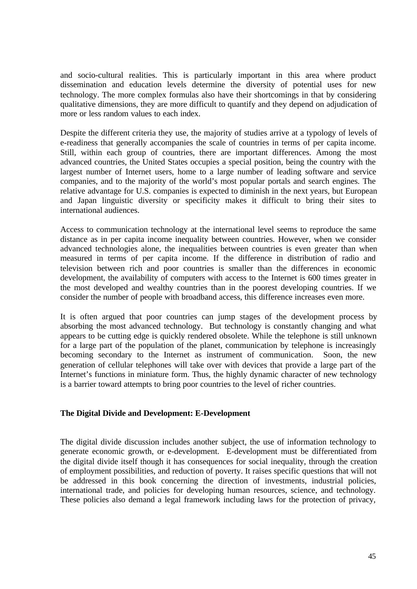and socio-cultural realities. This is particularly important in this area where product dissemination and education levels determine the diversity of potential uses for new technology. The more complex formulas also have their shortcomings in that by considering qualitative dimensions, they are more difficult to quantify and they depend on adjudication of more or less random values to each index.

Despite the different criteria they use, the majority of studies arrive at a typology of levels of e-readiness that generally accompanies the scale of countries in terms of per capita income. Still, within each group of countries, there are important differences. Among the most advanced countries, the United States occupies a special position, being the country with the largest number of Internet users, home to a large number of leading software and service companies, and to the majority of the world's most popular portals and search engines. The relative advantage for U.S. companies is expected to diminish in the next years, but European and Japan linguistic diversity or specificity makes it difficult to bring their sites to international audiences.

Access to communication technology at the international level seems to reproduce the same distance as in per capita income inequality between countries. However, when we consider advanced technologies alone, the inequalities between countries is even greater than when measured in terms of per capita income. If the difference in distribution of radio and television between rich and poor countries is smaller than the differences in economic development, the availability of computers with access to the Internet is 600 times greater in the most developed and wealthy countries than in the poorest developing countries. If we consider the number of people with broadband access, this difference increases even more.

It is often argued that poor countries can jump stages of the development process by absorbing the most advanced technology. But technology is constantly changing and what appears to be cutting edge is quickly rendered obsolete. While the telephone is still unknown for a large part of the population of the planet, communication by telephone is increasingly becoming secondary to the Internet as instrument of communication. Soon, the new generation of cellular telephones will take over with devices that provide a large part of the Internet's functions in miniature form. Thus, the highly dynamic character of new technology is a barrier toward attempts to bring poor countries to the level of richer countries.

## **The Digital Divide and Development: E-Development**

The digital divide discussion includes another subject, the use of information technology to generate economic growth, or e-development. E-development must be differentiated from the digital divide itself though it has consequences for social inequality, through the creation of employment possibilities, and reduction of poverty. It raises specific questions that will not be addressed in this book concerning the direction of investments, industrial policies, international trade, and policies for developing human resources, science, and technology. These policies also demand a legal framework including laws for the protection of privacy,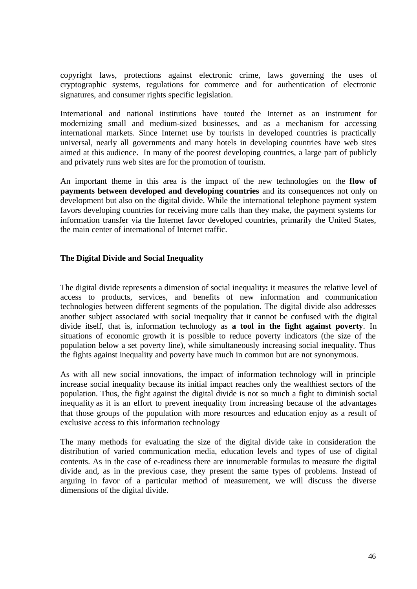copyright laws, protections against electronic crime, laws governing the uses of cryptographic systems, regulations for commerce and for authentication of electronic signatures, and consumer rights specific legislation.

International and national institutions have touted the Internet as an instrument for modernizing small and medium-sized businesses, and as a mechanism for accessing international markets. Since Internet use by tourists in developed countries is practically universal, nearly all governments and many hotels in developing countries have web sites aimed at this audience. In many of the poorest developing countries, a large part of publicly and privately runs web sites are for the promotion of tourism.

An important theme in this area is the impact of the new technologies on the **flow of payments between developed and developing countries** and its consequences not only on development but also on the digital divide. While the international telephone payment system favors developing countries for receiving more calls than they make, the payment systems for information transfer via the Internet favor developed countries, primarily the United States, the main center of international of Internet traffic.

# **The Digital Divide and Social Inequality**

The digital divide represents a dimension of social inequality**:** it measures the relative level of access to products, services, and benefits of new information and communication technologies between different segments of the population. The digital divide also addresses another subject associated with social inequality that it cannot be confused with the digital divide itself, that is, information technology as **a tool in the fight against poverty**. In situations of economic growth it is possible to reduce poverty indicators (the size of the population below a set poverty line), while simultaneously increasing social inequality. Thus the fights against inequality and poverty have much in common but are not synonymous.

As with all new social innovations, the impact of information technology will in principle increase social inequality because its initial impact reaches only the wealthiest sectors of the population. Thus, the fight against the digital divide is not so much a fight to diminish social inequality as it is an effort to prevent inequality from increasing because of the advantages that those groups of the population with more resources and education enjoy as a result of exclusive access to this information technology

The many methods for evaluating the size of the digital divide take in consideration the distribution of varied communication media, education levels and types of use of digital contents. As in the case of e-readiness there are innumerable formulas to measure the digital divide and, as in the previous case, they present the same types of problems. Instead of arguing in favor of a particular method of measurement, we will discuss the diverse dimensions of the digital divide.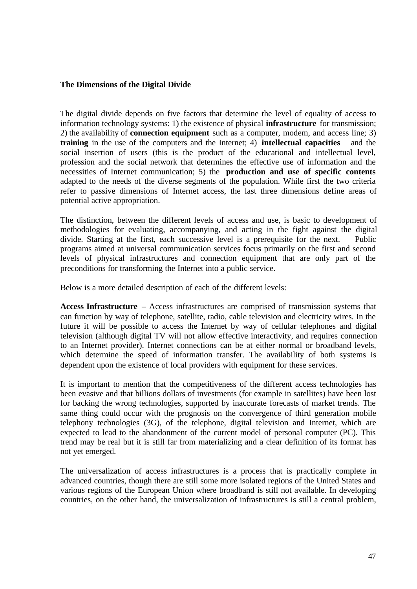### **The Dimensions of the Digital Divide**

The digital divide depends on five factors that determine the level of equality of access to information technology systems: 1) the existence of physical **infrastructure** for transmission; 2) the availability of **connection equipment** such as a computer, modem, and access line; 3) **training** in the use of the computers and the Internet; 4) **intellectual capacities** and the social insertion of users (this is the product of the educational and intellectual level, profession and the social network that determines the effective use of information and the necessities of Internet communication; 5) the **production and use of specific contents** adapted to the needs of the diverse segments of the population. While first the two criteria refer to passive dimensions of Internet access, the last three dimensions define areas of potential active appropriation.

The distinction, between the different levels of access and use, is basic to development of methodologies for evaluating, accompanying, and acting in the fight against the digital divide. Starting at the first, each successive level is a prerequisite for the next. Public programs aimed at universal communication services focus primarily on the first and second levels of physical infrastructures and connection equipment that are only part of the preconditions for transforming the Internet into a public service.

Below is a more detailed description of each of the different levels:

**Access Infrastructure** – Access infrastructures are comprised of transmission systems that can function by way of telephone, satellite, radio, cable television and electricity wires. In the future it will be possible to access the Internet by way of cellular telephones and digital television (although digital TV will not allow effective interactivity, and requires connection to an Internet provider). Internet connections can be at either normal or broadband levels, which determine the speed of information transfer. The availability of both systems is dependent upon the existence of local providers with equipment for these services.

It is important to mention that the competitiveness of the different access technologies has been evasive and that billions dollars of investments (for example in satellites) have been lost for backing the wrong technologies, supported by inaccurate forecasts of market trends. The same thing could occur with the prognosis on the convergence of third generation mobile telephony technologies (3G), of the telephone, digital television and Internet, which are expected to lead to the abandonment of the current model of personal computer (PC). This trend may be real but it is still far from materializing and a clear definition of its format has not yet emerged.

The universalization of access infrastructures is a process that is practically complete in advanced countries, though there are still some more isolated regions of the United States and various regions of the European Union where broadband is still not available. In developing countries, on the other hand, the universalization of infrastructures is still a central problem,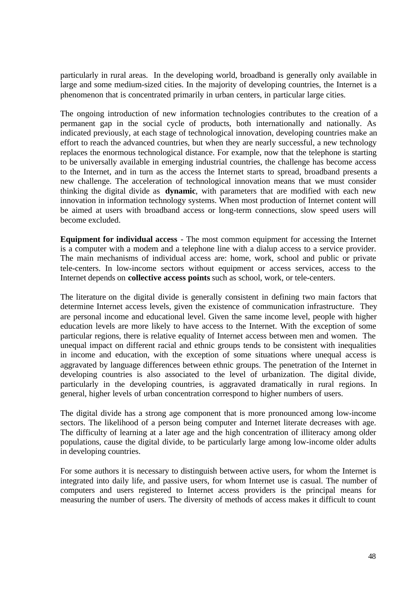particularly in rural areas. In the developing world, broadband is generally only available in large and some medium-sized cities. In the majority of developing countries, the Internet is a phenomenon that is concentrated primarily in urban centers, in particular large cities.

The ongoing introduction of new information technologies contributes to the creation of a permanent gap in the social cycle of products, both internationally and nationally. As indicated previously, at each stage of technological innovation, developing countries make an effort to reach the advanced countries, but when they are nearly successful, a new technology replaces the enormous technological distance. For example, now that the telephone is starting to be universally available in emerging industrial countries, the challenge has become access to the Internet, and in turn as the access the Internet starts to spread, broadband presents a new challenge. The acceleration of technological innovation means that we must consider thinking the digital divide as **dynamic**, with parameters that are modified with each new innovation in information technology systems. When most production of Internet content will be aimed at users with broadband access or long-term connections, slow speed users will become excluded.

**Equipment for individual access** - The most common equipment for accessing the Internet is a computer with a modem and a telephone line with a dialup access to a service provider. The main mechanisms of individual access are: home, work, school and public or private tele-centers. In low-income sectors without equipment or access services, access to the Internet depends on **collective access points** such as school, work, or tele-centers.

The literature on the digital divide is generally consistent in defining two main factors that determine Internet access levels, given the existence of communication infrastructure. They are personal income and educational level. Given the same income level, people with higher education levels are more likely to have access to the Internet. With the exception of some particular regions, there is relative equality of Internet access between men and women. The unequal impact on different racial and ethnic groups tends to be consistent with inequalities in income and education, with the exception of some situations where unequal access is aggravated by language differences between ethnic groups. The penetration of the Internet in developing countries is also associated to the level of urbanization. The digital divide, particularly in the developing countries, is aggravated dramatically in rural regions. In general, higher levels of urban concentration correspond to higher numbers of users.

The digital divide has a strong age component that is more pronounced among low-income sectors. The likelihood of a person being computer and Internet literate decreases with age. The difficulty of learning at a later age and the high concentration of illiteracy among older populations, cause the digital divide, to be particularly large among low-income older adults in developing countries.

For some authors it is necessary to distinguish between active users, for whom the Internet is integrated into daily life, and passive users, for whom Internet use is casual. The number of computers and users registered to Internet access providers is the principal means for measuring the number of users. The diversity of methods of access makes it difficult to count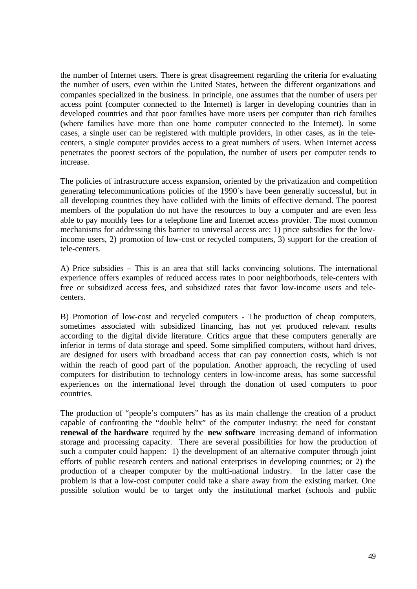the number of Internet users. There is great disagreement regarding the criteria for evaluating the number of users, even within the United States, between the different organizations and companies specialized in the business. In principle, one assumes that the number of users per access point (computer connected to the Internet) is larger in developing countries than in developed countries and that poor families have more users per computer than rich families (where families have more than one home computer connected to the Internet). In some cases, a single user can be registered with multiple providers, in other cases, as in the telecenters, a single computer provides access to a great numbers of users. When Internet access penetrates the poorest sectors of the population, the number of users per computer tends to increase.

The policies of infrastructure access expansion, oriented by the privatization and competition generating telecommunications policies of the 1990´s have been generally successful, but in all developing countries they have collided with the limits of effective demand. The poorest members of the population do not have the resources to buy a computer and are even less able to pay monthly fees for a telephone line and Internet access provider. The most common mechanisms for addressing this barrier to universal access are: 1) price subsidies for the lowincome users, 2) promotion of low-cost or recycled computers, 3) support for the creation of tele-centers.

A) Price subsidies – This is an area that still lacks convincing solutions. The international experience offers examples of reduced access rates in poor neighborhoods, tele-centers with free or subsidized access fees, and subsidized rates that favor low-income users and telecenters.

B) Promotion of low-cost and recycled computers - The production of cheap computers, sometimes associated with subsidized financing, has not yet produced relevant results according to the digital divide literature. Critics argue that these computers generally are inferior in terms of data storage and speed. Some simplified computers, without hard drives, are designed for users with broadband access that can pay connection costs, which is not within the reach of good part of the population. Another approach, the recycling of used computers for distribution to technology centers in low-income areas, has some successful experiences on the international level through the donation of used computers to poor countries.

The production of "people's computers" has as its main challenge the creation of a product capable of confronting the "double helix" of the computer industry: the need for constant **renewal of the hardware** required by the **new software** increasing demand of information storage and processing capacity. There are several possibilities for how the production of such a computer could happen: 1) the development of an alternative computer through joint efforts of public research centers and national enterprises in developing countries; or 2) the production of a cheaper computer by the multi-national industry. In the latter case the problem is that a low-cost computer could take a share away from the existing market. One possible solution would be to target only the institutional market (schools and public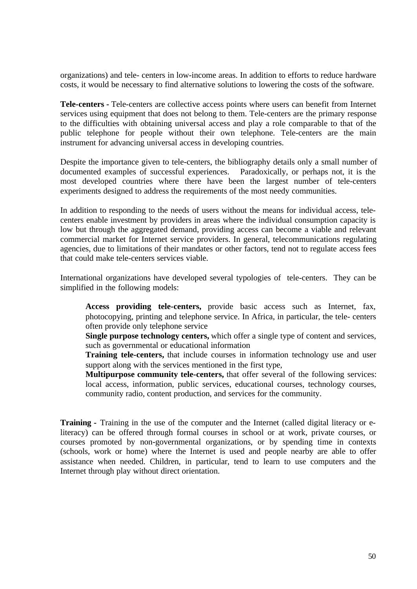organizations) and tele- centers in low-income areas. In addition to efforts to reduce hardware costs, it would be necessary to find alternative solutions to lowering the costs of the software.

**Tele-centers -** Tele-centers are collective access points where users can benefit from Internet services using equipment that does not belong to them. Tele-centers are the primary response to the difficulties with obtaining universal access and play a role comparable to that of the public telephone for people without their own telephone. Tele-centers are the main instrument for advancing universal access in developing countries.

Despite the importance given to tele-centers, the bibliography details only a small number of documented examples of successful experiences. Paradoxically, or perhaps not, it is the most developed countries where there have been the largest number of tele-centers experiments designed to address the requirements of the most needy communities.

In addition to responding to the needs of users without the means for individual access, telecenters enable investment by providers in areas where the individual consumption capacity is low but through the aggregated demand, providing access can become a viable and relevant commercial market for Internet service providers. In general, telecommunications regulating agencies, due to limitations of their mandates or other factors, tend not to regulate access fees that could make tele-centers services viable.

International organizations have developed several typologies of tele-centers. They can be simplified in the following models:

**Access providing tele-centers,** provide basic access such as Internet, fax, photocopying, printing and telephone service. In Africa, in particular, the tele- centers often provide only telephone service

**Single purpose technology centers,** which offer a single type of content and services, such as governmental or educational information

**Training tele-centers,** that include courses in information technology use and user support along with the services mentioned in the first type,

**Multipurpose community tele-centers,** that offer several of the following services: local access, information, public services, educational courses, technology courses, community radio, content production, and services for the community.

**Training -** Training in the use of the computer and the Internet (called digital literacy or eliteracy) can be offered through formal courses in school or at work, private courses, or courses promoted by non-governmental organizations, or by spending time in contexts (schools, work or home) where the Internet is used and people nearby are able to offer assistance when needed. Children, in particular, tend to learn to use computers and the Internet through play without direct orientation.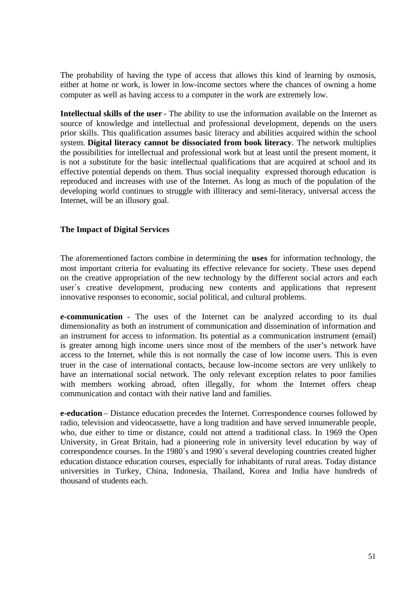The probability of having the type of access that allows this kind of learning by osmosis, either at home or work, is lower in low-income sectors where the chances of owning a home computer as well as having access to a computer in the work are extremely low.

**Intellectual skills of the user** - The ability to use the information available on the Internet as source of knowledge and intellectual and professional development, depends on the users prior skills. This qualification assumes basic literacy and abilities acquired within the school system. **Digital literacy cannot be dissociated from book literacy**. The network multiplies the possibilities for intellectual and professional work but at least until the present moment, it is not a substitute for the basic intellectual qualifications that are acquired at school and its effective potential depends on them. Thus social inequality expressed thorough education is reproduced and increases with use of the Internet. As long as much of the population of the developing world continues to struggle with illiteracy and semi-literacy, universal access the Internet, will be an illusory goal.

# **The Impact of Digital Services**

The aforementioned factors combine in determining the **uses** for information technology, the most important criteria for evaluating its effective relevance for society. These uses depend on the creative appropriation of the new technology by the different social actors and each user´s creative development, producing new contents and applications that represent innovative responses to economic, social political, and cultural problems.

**e-communication** - The uses of the Internet can be analyzed according to its dual dimensionality as both an instrument of communication and dissemination of information and an instrument for access to information. Its potential as a communication instrument (email) is greater among high income users since most of the members of the user's network have access to the Internet, while this is not normally the case of low income users. This is even truer in the case of international contacts, because low-income sectors are very unlikely to have an international social network. The only relevant exception relates to poor families with members working abroad, often illegally, for whom the Internet offers cheap communication and contact with their native land and families.

**e-education** – Distance education precedes the Internet. Correspondence courses followed by radio, television and videocassette, have a long tradition and have served innumerable people, who, due either to time or distance, could not attend a traditional class. In 1969 the Open University, in Great Britain, had a pioneering role in university level education by way of correspondence courses. In the 1980´s and 1990´s several developing countries created higher education distance education courses, especially for inhabitants of rural areas. Today distance universities in Turkey, China, Indonesia, Thailand, Korea and India have hundreds of thousand of students each.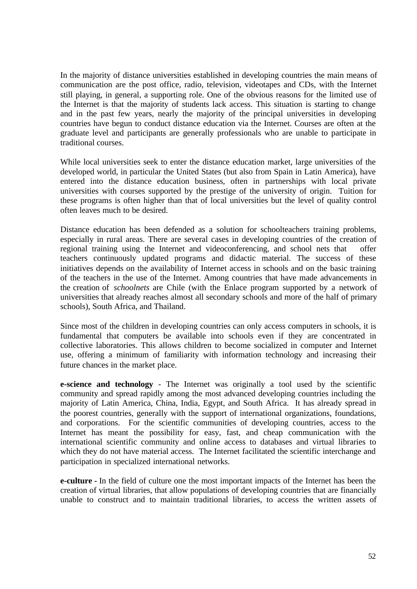In the majority of distance universities established in developing countries the main means of communication are the post office, radio, television, videotapes and CDs, with the Internet still playing, in general, a supporting role. One of the obvious reasons for the limited use of the Internet is that the majority of students lack access. This situation is starting to change and in the past few years, nearly the majority of the principal universities in developing countries have begun to conduct distance education via the Internet. Courses are often at the graduate level and participants are generally professionals who are unable to participate in traditional courses.

While local universities seek to enter the distance education market, large universities of the developed world, in particular the United States (but also from Spain in Latin America), have entered into the distance education business, often in partnerships with local private universities with courses supported by the prestige of the university of origin. Tuition for these programs is often higher than that of local universities but the level of quality control often leaves much to be desired.

Distance education has been defended as a solution for schoolteachers training problems, especially in rural areas. There are several cases in developing countries of the creation of regional training using the Internet and videoconferencing, and school nets that offer teachers continuously updated programs and didactic material. The success of these initiatives depends on the availability of Internet access in schools and on the basic training of the teachers in the use of the Internet. Among countries that have made advancements in the creation of *schoolnets* are Chile (with the Enlace program supported by a network of universities that already reaches almost all secondary schools and more of the half of primary schools), South Africa, and Thailand.

Since most of the children in developing countries can only access computers in schools, it is fundamental that computers be available into schools even if they are concentrated in collective laboratories. This allows children to become socialized in computer and Internet use, offering a minimum of familiarity with information technology and increasing their future chances in the market place.

**e-science and technology** - The Internet was originally a tool used by the scientific community and spread rapidly among the most advanced developing countries including the majority of Latin America, China, India, Egypt, and South Africa. It has already spread in the poorest countries, generally with the support of international organizations, foundations, and corporations. For the scientific communities of developing countries, access to the Internet has meant the possibility for easy, fast, and cheap communication with the international scientific community and online access to databases and virtual libraries to which they do not have material access. The Internet facilitated the scientific interchange and participation in specialized international networks.

**e-culture -** In the field of culture one the most important impacts of the Internet has been the creation of virtual libraries, that allow populations of developing countries that are financially unable to construct and to maintain traditional libraries, to access the written assets of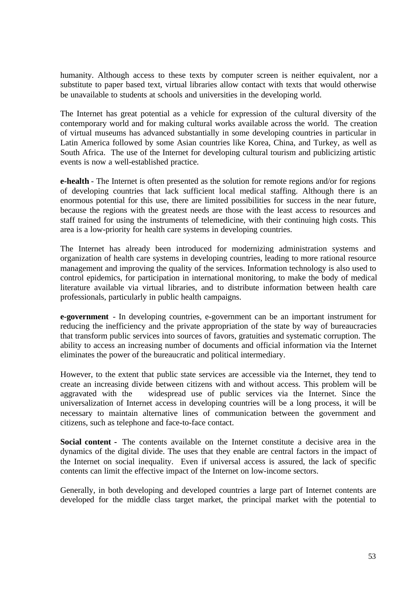humanity. Although access to these texts by computer screen is neither equivalent, nor a substitute to paper based text, virtual libraries allow contact with texts that would otherwise be unavailable to students at schools and universities in the developing world.

The Internet has great potential as a vehicle for expression of the cultural diversity of the contemporary world and for making cultural works available across the world. The creation of virtual museums has advanced substantially in some developing countries in particular in Latin America followed by some Asian countries like Korea, China, and Turkey, as well as South Africa. The use of the Internet for developing cultural tourism and publicizing artistic events is now a well-established practice.

**e-health** - The Internet is often presented as the solution for remote regions and/or for regions of developing countries that lack sufficient local medical staffing. Although there is an enormous potential for this use, there are limited possibilities for success in the near future, because the regions with the greatest needs are those with the least access to resources and staff trained for using the instruments of telemedicine, with their continuing high costs. This area is a low-priority for health care systems in developing countries.

The Internet has already been introduced for modernizing administration systems and organization of health care systems in developing countries, leading to more rational resource management and improving the quality of the services. Information technology is also used to control epidemics, for participation in international monitoring, to make the body of medical literature available via virtual libraries, and to distribute information between health care professionals, particularly in public health campaigns.

**e-government** *-* In developing countries, e-government can be an important instrument for reducing the inefficiency and the private appropriation of the state by way of bureaucracies that transform public services into sources of favors, gratuities and systematic corruption. The ability to access an increasing number of documents and official information via the Internet eliminates the power of the bureaucratic and political intermediary.

However, to the extent that public state services are accessible via the Internet, they tend to create an increasing divide between citizens with and without access. This problem will be aggravated with the widespread use of public services via the Internet. Since the universalization of Internet access in developing countries will be a long process, it will be necessary to maintain alternative lines of communication between the government and citizens, such as telephone and face-to-face contact.

**Social content -** The contents available on the Internet constitute a decisive area in the dynamics of the digital divide. The uses that they enable are central factors in the impact of the Internet on social inequality. Even if universal access is assured, the lack of specific contents can limit the effective impact of the Internet on low-income sectors.

Generally, in both developing and developed countries a large part of Internet contents are developed for the middle class target market, the principal market with the potential to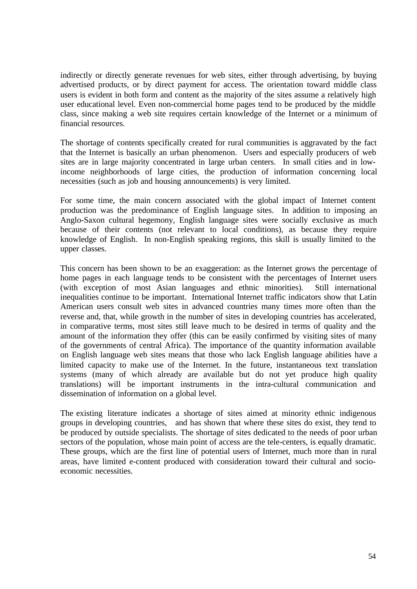indirectly or directly generate revenues for web sites, either through advertising, by buying advertised products, or by direct payment for access. The orientation toward middle class users is evident in both form and content as the majority of the sites assume a relatively high user educational level. Even non-commercial home pages tend to be produced by the middle class, since making a web site requires certain knowledge of the Internet or a minimum of financial resources.

The shortage of contents specifically created for rural communities is aggravated by the fact that the Internet is basically an urban phenomenon. Users and especially producers of web sites are in large majority concentrated in large urban centers. In small cities and in lowincome neighborhoods of large cities, the production of information concerning local necessities (such as job and housing announcements) is very limited.

For some time, the main concern associated with the global impact of Internet content production was the predominance of English language sites. In addition to imposing an Anglo-Saxon cultural hegemony, English language sites were socially exclusive as much because of their contents (not relevant to local conditions), as because they require knowledge of English. In non-English speaking regions, this skill is usually limited to the upper classes.

This concern has been shown to be an exaggeration: as the Internet grows the percentage of home pages in each language tends to be consistent with the percentages of Internet users (with exception of most Asian languages and ethnic minorities). Still international inequalities continue to be important. International Internet traffic indicators show that Latin American users consult web sites in advanced countries many times more often than the reverse and, that, while growth in the number of sites in developing countries has accelerated, in comparative terms, most sites still leave much to be desired in terms of quality and the amount of the information they offer (this can be easily confirmed by visiting sites of many of the governments of central Africa). The importance of the quantity information available on English language web sites means that those who lack English language abilities have a limited capacity to make use of the Internet. In the future, instantaneous text translation systems (many of which already are available but do not yet produce high quality translations) will be important instruments in the intra-cultural communication and dissemination of information on a global level.

The existing literature indicates a shortage of sites aimed at minority ethnic indigenous groups in developing countries, and has shown that where these sites do exist, they tend to be produced by outside specialists. The shortage of sites dedicated to the needs of poor urban sectors of the population, whose main point of access are the tele-centers, is equally dramatic. These groups, which are the first line of potential users of Internet, much more than in rural areas, have limited e-content produced with consideration toward their cultural and socioeconomic necessities.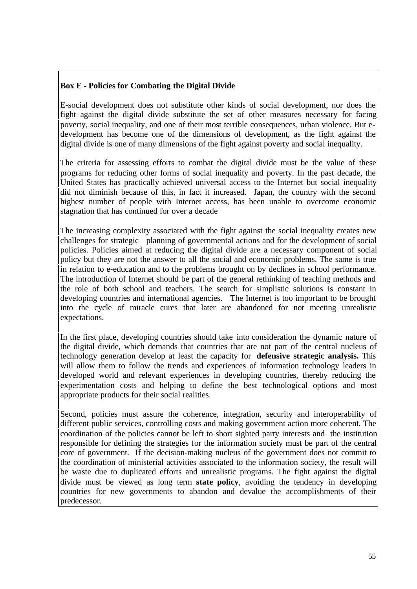# **Box E - Policies for Combating the Digital Divide**

E-social development does not substitute other kinds of social development, nor does the fight against the digital divide substitute the set of other measures necessary for facing poverty, social inequality, and one of their most terrible consequences, urban violence. But edevelopment has become one of the dimensions of development, as the fight against the digital divide is one of many dimensions of the fight against poverty and social inequality.

The criteria for assessing efforts to combat the digital divide must be the value of these programs for reducing other forms of social inequality and poverty. In the past decade, the United States has practically achieved universal access to the Internet but social inequality did not diminish because of this, in fact it increased. Japan, the country with the second highest number of people with Internet access, has been unable to overcome economic stagnation that has continued for over a decade

The increasing complexity associated with the fight against the social inequality creates new challenges for strategic planning of governmental actions and for the development of social policies. Policies aimed at reducing the digital divide are a necessary component of social policy but they are not the answer to all the social and economic problems. The same is true in relation to e-education and to the problems brought on by declines in school performance. The introduction of Internet should be part of the general rethinking of teaching methods and the role of both school and teachers. The search for simplistic solutions is constant in developing countries and international agencies. The Internet is too important to be brought into the cycle of miracle cures that later are abandoned for not meeting unrealistic expectations.

In the first place, developing countries should take into consideration the dynamic nature of the digital divide, which demands that countries that are not part of the central nucleus of technology generation develop at least the capacity for **defensive strategic analysis.** This will allow them to follow the trends and experiences of information technology leaders in developed world and relevant experiences in developing countries, thereby reducing the experimentation costs and helping to define the best technological options and most appropriate products for their social realities.

Second, policies must assure the coherence, integration, security and interoperability of different public services, controlling costs and making government action more coherent. The coordination of the policies cannot be left to short sighted party interests and the institution responsible for defining the strategies for the information society must be part of the central core of government. If the decision-making nucleus of the government does not commit to the coordination of ministerial activities associated to the information society, the result will be waste due to duplicated efforts and unrealistic programs. The fight against the digital divide must be viewed as long term **state policy**, avoiding the tendency in developing countries for new governments to abandon and devalue the accomplishments of their predecessor.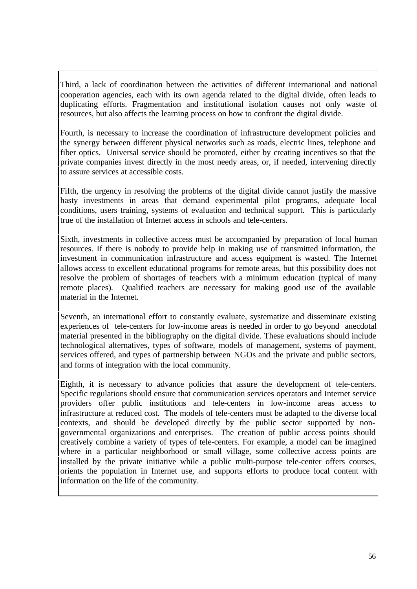Third, a lack of coordination between the activities of different international and national cooperation agencies, each with its own agenda related to the digital divide, often leads to duplicating efforts. Fragmentation and institutional isolation causes not only waste of resources, but also affects the learning process on how to confront the digital divide.

Fourth, is necessary to increase the coordination of infrastructure development policies and the synergy between different physical networks such as roads, electric lines, telephone and fiber optics. Universal service should be promoted, either by creating incentives so that the private companies invest directly in the most needy areas, or, if needed, intervening directly to assure services at accessible costs.

Fifth, the urgency in resolving the problems of the digital divide cannot justify the massive hasty investments in areas that demand experimental pilot programs, adequate local conditions, users training, systems of evaluation and technical support. This is particularly true of the installation of Internet access in schools and tele-centers.

Sixth, investments in collective access must be accompanied by preparation of local human resources. If there is nobody to provide help in making use of transmitted information, the investment in communication infrastructure and access equipment is wasted. The Internet allows access to excellent educational programs for remote areas, but this possibility does not resolve the problem of shortages of teachers with a minimum education (typical of many remote places). Qualified teachers are necessary for making good use of the available material in the Internet.

Seventh, an international effort to constantly evaluate, systematize and disseminate existing experiences of tele-centers for low-income areas is needed in order to go beyond anecdotal material presented in the bibliography on the digital divide. These evaluations should include technological alternatives, types of software, models of management, systems of payment, services offered, and types of partnership between NGOs and the private and public sectors, and forms of integration with the local community.

Eighth, it is necessary to advance policies that assure the development of tele-centers. Specific regulations should ensure that communication services operators and Internet service providers offer public institutions and tele-centers in low-income areas access to infrastructure at reduced cost. The models of tele-centers must be adapted to the diverse local contexts, and should be developed directly by the public sector supported by nongovernmental organizations and enterprises. The creation of public access points should creatively combine a variety of types of tele-centers. For example, a model can be imagined where in a particular neighborhood or small village, some collective access points are installed by the private initiative while a public multi-purpose tele-center offers courses, orients the population in Internet use, and supports efforts to produce local content with information on the life of the community.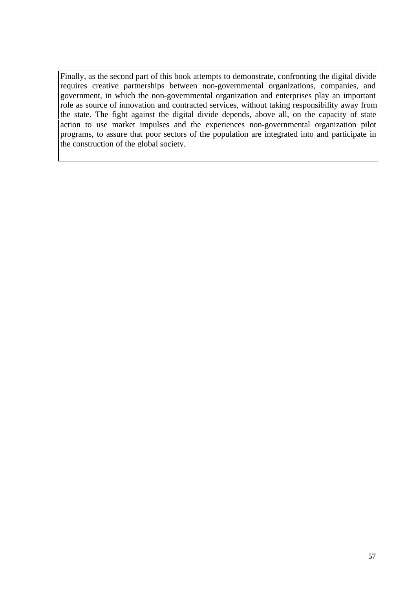Finally, as the second part of this book attempts to demonstrate, confronting the digital divide requires creative partnerships between non-governmental organizations, companies, and government, in which the non-governmental organization and enterprises play an important role as source of innovation and contracted services, without taking responsibility away from the state. The fight against the digital divide depends, above all, on the capacity of state action to use market impulses and the experiences non-governmental organization pilot programs, to assure that poor sectors of the population are integrated into and participate in the construction of the global society.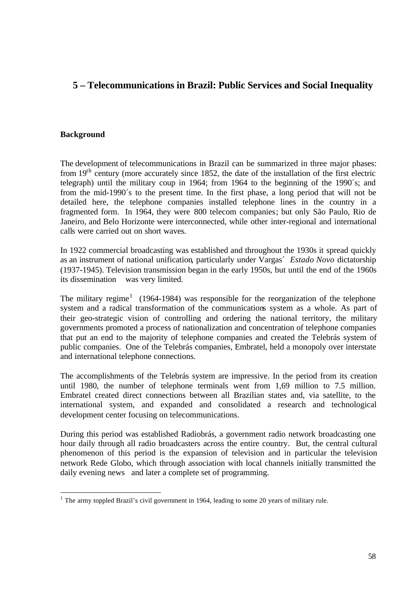# **5 – Telecommunications in Brazil: Public Services and Social Inequality**

# **Background**

The development of telecommunications in Brazil can be summarized in three major phases: from  $19<sup>th</sup>$  century (more accurately since 1852, the date of the installation of the first electric telegraph) until the military coup in 1964; from 1964 to the beginning of the 1990´s; and from the mid-1990´s to the present time. In the first phase, a long period that will not be detailed here, the telephone companies installed telephone lines in the country in a fragmented form. In 1964, they were 800 telecom companies; but only São Paulo, Rio de Janeiro, and Belo Horizonte were interconnected, while other inter-regional and international calls were carried out on short waves.

In 1922 commercial broadcasting was established and throughout the 1930s it spread quickly as an instrument of national unification, particularly under Vargas´ *Estado Novo* dictatorship (1937-1945). Television transmission began in the early 1950s, but until the end of the 1960s its dissemination was very limited.

The military regime<sup>1</sup> (1964-1984) was responsible for the reorganization of the telephone system and a radical transformation of the communications system as a whole. As part of their geo-strategic vision of controlling and ordering the national territory, the military governments promoted a process of nationalization and concentration of telephone companies that put an end to the majority of telephone companies and created the Telebrás system of public companies. One of the Telebrás companies, Embratel, held a monopoly over interstate and international telephone connections.

The accomplishments of the Telebrás system are impressive. In the period from its creation until 1980, the number of telephone terminals went from 1,69 million to 7.5 million. Embratel created direct connections between all Brazilian states and, via satellite, to the international system, and expanded and consolidated a research and technological development center focusing on telecommunications.

During this period was established Radiobrás, a government radio network broadcasting one hour daily through all radio broadcasters across the entire country. But, the central cultural phenomenon of this period is the expansion of television and in particular the television network Rede Globo, which through association with local channels initially transmitted the daily evening news and later a complete set of programming.

<sup>&</sup>lt;sup>1</sup> The army toppled Brazil's civil government in 1964, leading to some 20 years of military rule.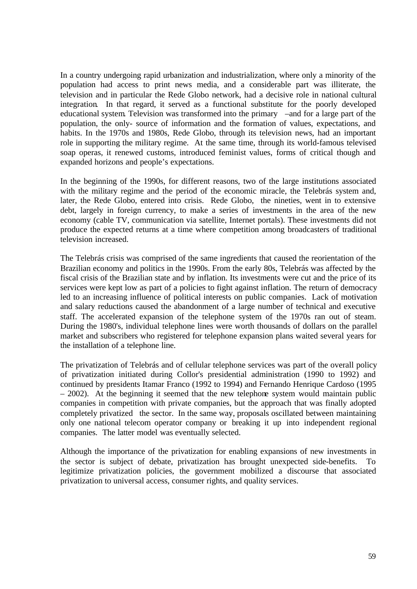In a country undergoing rapid urbanization and industrialization, where only a minority of the population had access to print news media, and a considerable part was illiterate, the television and in particular the Rede Globo network, had a decisive role in national cultural integration. In that regard, it served as a functional substitute for the poorly developed educational system. Television was transformed into the primary –and for a large part of the population, the only- source of information and the formation of values, expectations, and habits. In the 1970s and 1980s, Rede Globo, through its television news, had an important role in supporting the military regime. At the same time, through its world-famous televised soap operas, it renewed customs, introduced feminist values, forms of critical though and expanded horizons and people's expectations.

In the beginning of the 1990s, for different reasons, two of the large institutions associated with the military regime and the period of the economic miracle, the Telebrás system and, later, the Rede Globo, entered into crisis. Rede Globo, the nineties, went in to extensive debt, largely in foreign currency, to make a series of investments in the area of the new economy (cable TV, communication via satellite, Internet portals). These investments did not produce the expected returns at a time where competition among broadcasters of traditional television increased.

The Telebrás crisis was comprised of the same ingredients that caused the reorientation of the Brazilian economy and politics in the 1990s. From the early 80s, Telebrás was affected by the fiscal crisis of the Brazilian state and by inflation. Its investments were cut and the price of its services were kept low as part of a policies to fight against inflation. The return of democracy led to an increasing influence of political interests on public companies. Lack of motivation and salary reductions caused the abandonment of a large number of technical and executive staff. The accelerated expansion of the telephone system of the 1970s ran out of steam. During the 1980's, individual telephone lines were worth thousands of dollars on the parallel market and subscribers who registered for telephone expansion plans waited several years for the installation of a telephone line.

The privatization of Telebrás and of cellular telephone services was part of the overall policy of privatization initiated during Collor's presidential administration (1990 to 1992) and continued by presidents Itamar Franco (1992 to 1994) and Fernando Henrique Cardoso (1995 – 2002). At the beginning it seemed that the new telephone system would maintain public companies in competition with private companies, but the approach that was finally adopted completely privatized the sector. In the same way, proposals oscillated between maintaining only one national telecom operator company or breaking it up into independent regional companies. The latter model was eventually selected.

Although the importance of the privatization for enabling expansions of new investments in the sector is subject of debate, privatization has brought unexpected side-benefits. To legitimize privatization policies, the government mobilized a discourse that associated privatization to universal access, consumer rights, and quality services.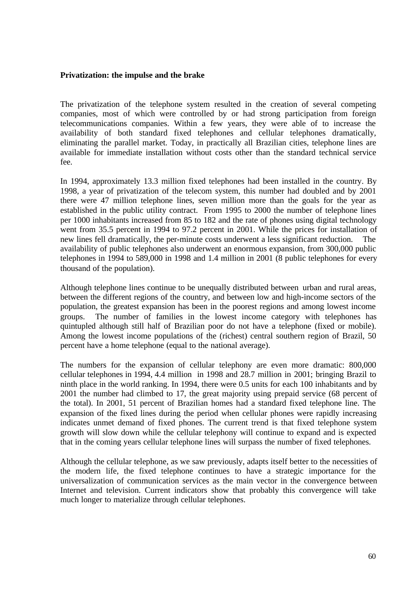## **Privatization: the impulse and the brake**

The privatization of the telephone system resulted in the creation of several competing companies, most of which were controlled by or had strong participation from foreign telecommunications companies. Within a few years, they were able of to increase the availability of both standard fixed telephones and cellular telephones dramatically, eliminating the parallel market. Today, in practically all Brazilian cities, telephone lines are available for immediate installation without costs other than the standard technical service fee.

In 1994, approximately 13.3 million fixed telephones had been installed in the country. By 1998, a year of privatization of the telecom system, this number had doubled and by 2001 there were 47 million telephone lines, seven million more than the goals for the year as established in the public utility contract. From 1995 to 2000 the number of telephone lines per 1000 inhabitants increased from 85 to 182 and the rate of phones using digital technology went from 35.5 percent in 1994 to 97.2 percent in 2001. While the prices for installation of new lines fell dramatically, the per-minute costs underwent a less significant reduction. The availability of public telephones also underwent an enormous expansion, from 300,000 public telephones in 1994 to 589,000 in 1998 and 1.4 million in 2001 (8 public telephones for every thousand of the population).

Although telephone lines continue to be unequally distributed between urban and rural areas, between the different regions of the country, and between low and high-income sectors of the population, the greatest expansion has been in the poorest regions and among lowest income groups. The number of families in the lowest income category with telephones has quintupled although still half of Brazilian poor do not have a telephone (fixed or mobile). Among the lowest income populations of the (richest) central southern region of Brazil, 50 percent have a home telephone (equal to the national average).

The numbers for the expansion of cellular telephony are even more dramatic: 800,000 cellular telephones in 1994, 4.4 million in 1998 and 28.7 million in 2001; bringing Brazil to ninth place in the world ranking. In 1994, there were 0.5 units for each 100 inhabitants and by 2001 the number had climbed to 17, the great majority using prepaid service (68 percent of the total). In 2001, 51 percent of Brazilian homes had a standard fixed telephone line. The expansion of the fixed lines during the period when cellular phones were rapidly increasing indicates unmet demand of fixed phones. The current trend is that fixed telephone system growth will slow down while the cellular telephony will continue to expand and is expected that in the coming years cellular telephone lines will surpass the number of fixed telephones.

Although the cellular telephone, as we saw previously, adapts itself better to the necessities of the modern life, the fixed telephone continues to have a strategic importance for the universalization of communication services as the main vector in the convergence between Internet and television. Current indicators show that probably this convergence will take much longer to materialize through cellular telephones.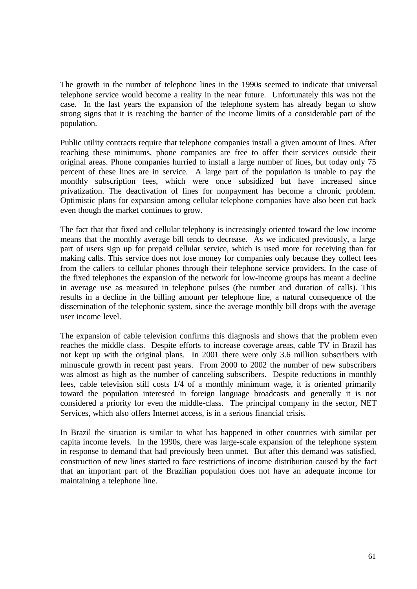The growth in the number of telephone lines in the 1990s seemed to indicate that universal telephone service would become a reality in the near future. Unfortunately this was not the case. In the last years the expansion of the telephone system has already began to show strong signs that it is reaching the barrier of the income limits of a considerable part of the population.

Public utility contracts require that telephone companies install a given amount of lines. After reaching these minimums, phone companies are free to offer their services outside their original areas. Phone companies hurried to install a large number of lines, but today only 75 percent of these lines are in service. A large part of the population is unable to pay the monthly subscription fees, which were once subsidized but have increased since privatization. The deactivation of lines for nonpayment has become a chronic problem. Optimistic plans for expansion among cellular telephone companies have also been cut back even though the market continues to grow.

The fact that that fixed and cellular telephony is increasingly oriented toward the low income means that the monthly average bill tends to decrease. As we indicated previously, a large part of users sign up for prepaid cellular service, which is used more for receiving than for making calls. This service does not lose money for companies only because they collect fees from the callers to cellular phones through their telephone service providers. In the case of the fixed telephones the expansion of the network for low-income groups has meant a decline in average use as measured in telephone pulses (the number and duration of calls). This results in a decline in the billing amount per telephone line, a natural consequence of the dissemination of the telephonic system, since the average monthly bill drops with the average user income level.

The expansion of cable television confirms this diagnosis and shows that the problem even reaches the middle class. Despite efforts to increase coverage areas, cable TV in Brazil has not kept up with the original plans. In 2001 there were only 3.6 million subscribers with minuscule growth in recent past years. From 2000 to 2002 the number of new subscribers was almost as high as the number of canceling subscribers. Despite reductions in monthly fees, cable television still costs 1/4 of a monthly minimum wage, it is oriented primarily toward the population interested in foreign language broadcasts and generally it is not considered a priority for even the middle-class. The principal company in the sector, NET Services, which also offers Internet access, is in a serious financial crisis.

In Brazil the situation is similar to what has happened in other countries with similar per capita income levels. In the 1990s, there was large-scale expansion of the telephone system in response to demand that had previously been unmet. But after this demand was satisfied, construction of new lines started to face restrictions of income distribution caused by the fact that an important part of the Brazilian population does not have an adequate income for maintaining a telephone line.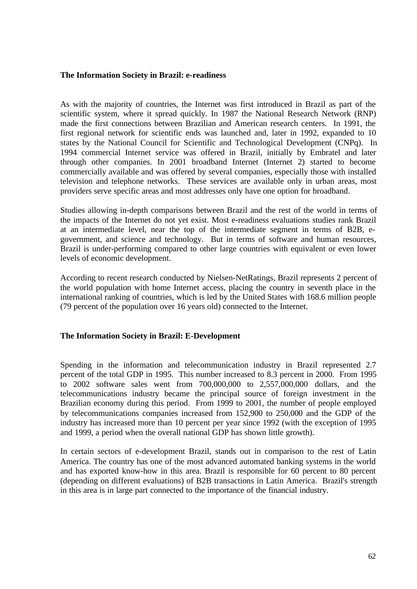## **The Information Society in Brazil: e-readiness**

As with the majority of countries, the Internet was first introduced in Brazil as part of the scientific system, where it spread quickly. In 1987 the National Research Network (RNP) made the first connections between Brazilian and American research centers. In 1991, the first regional network for scientific ends was launched and, later in 1992, expanded to 10 states by the National Council for Scientific and Technological Development (CNPq). In 1994 commercial Internet service was offered in Brazil, initially by Embratel and later through other companies. In 2001 broadband Internet (Internet 2) started to become commercially available and was offered by several companies, especially those with installed television and telephone networks. These services are available only in urban areas, most providers serve specific areas and most addresses only have one option for broadband.

Studies allowing in-depth comparisons between Brazil and the rest of the world in terms of the impacts of the Internet do not yet exist. Most e-readiness evaluations studies rank Brazil at an intermediate level, near the top of the intermediate segment in terms of B2B, egovernment, and science and technology. But in terms of software and human resources, Brazil is under-performing compared to other large countries with equivalent or even lower levels of economic development.

According to recent research conducted by Nielsen-NetRatings, Brazil represents 2 percent of the world population with home Internet access, placing the country in seventh place in the international ranking of countries, which is led by the United States with 168.6 million people (79 percent of the population over 16 years old) connected to the Internet.

## **The Information Society in Brazil: E-Development**

Spending in the information and telecommunication industry in Brazil represented 2.7 percent of the total GDP in 1995. This number increased to 8.3 percent in 2000. From 1995 to 2002 software sales went from 700,000,000 to 2,557,000,000 dollars, and the telecommunications industry became the principal source of foreign investment in the Brazilian economy during this period. From 1999 to 2001, the number of people employed by telecommunications companies increased from 152,900 to 250,000 and the GDP of the industry has increased more than 10 percent per year since 1992 (with the exception of 1995 and 1999, a period when the overall national GDP has shown little growth).

In certain sectors of e-development Brazil, stands out in comparison to the rest of Latin America. The country has one of the most advanced automated banking systems in the world and has exported know-how in this area. Brazil is responsible for 60 percent to 80 percent (depending on different evaluations) of B2B transactions in Latin America. Brazil's strength in this area is in large part connected to the importance of the financial industry.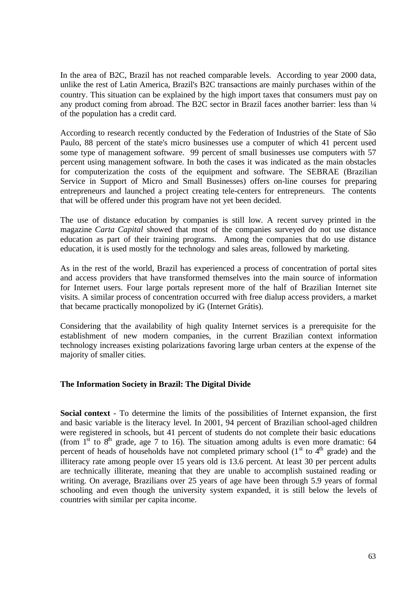In the area of B2C, Brazil has not reached comparable levels. According to year 2000 data, unlike the rest of Latin America, Brazil's B2C transactions are mainly purchases within of the country. This situation can be explained by the high import taxes that consumers must pay on any product coming from abroad. The B2C sector in Brazil faces another barrier: less than ¼ of the population has a credit card.

According to research recently conducted by the Federation of Industries of the State of São Paulo, 88 percent of the state's micro businesses use a computer of which 41 percent used some type of management software. 99 percent of small businesses use computers with 57 percent using management software. In both the cases it was indicated as the main obstacles for computerization the costs of the equipment and software. The SEBRAE (Brazilian Service in Support of Micro and Small Businesses) offers on-line courses for preparing entrepreneurs and launched a project creating tele-centers for entrepreneurs. The contents that will be offered under this program have not yet been decided.

The use of distance education by companies is still low. A recent survey printed in the magazine *Carta Capital* showed that most of the companies surveyed do not use distance education as part of their training programs. Among the companies that do use distance education, it is used mostly for the technology and sales areas, followed by marketing.

As in the rest of the world, Brazil has experienced a process of concentration of portal sites and access providers that have transformed themselves into the main source of information for Internet users. Four large portals represent more of the half of Brazilian Internet site visits. A similar process of concentration occurred with free dialup access providers, a market that became practically monopolized by iG (Internet Grátis).

Considering that the availability of high quality Internet services is a prerequisite for the establishment of new modern companies, in the current Brazilian context information technology increases existing polarizations favoring large urban centers at the expense of the majority of smaller cities.

# **The Information Society in Brazil: The Digital Divide**

**Social context** - To determine the limits of the possibilities of Internet expansion, the first and basic variable is the literacy level. In 2001, 94 percent of Brazilian school-aged children were registered in schools, but 41 percent of students do not complete their basic educations (from  $1^{\text{st}}$  to  $8^{\text{th}}$  grade, age 7 to 16). The situation among adults is even more dramatic: 64 percent of heads of households have not completed primary school  $(1<sup>st</sup>$  to  $4<sup>th</sup>$  grade) and the illiteracy rate among people over 15 years old is 13.6 percent. At least 30 per percent adults are technically illiterate, meaning that they are unable to accomplish sustained reading or writing. On average, Brazilians over 25 years of age have been through 5.9 years of formal schooling and even though the university system expanded, it is still below the levels of countries with similar per capita income.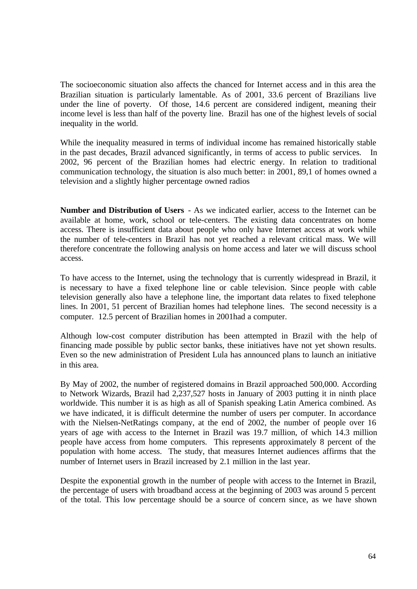The socioeconomic situation also affects the chanced for Internet access and in this area the Brazilian situation is particularly lamentable. As of 2001, 33.6 percent of Brazilians live under the line of poverty. Of those, 14.6 percent are considered indigent, meaning their income level is less than half of the poverty line. Brazil has one of the highest levels of social inequality in the world.

While the inequality measured in terms of individual income has remained historically stable in the past decades, Brazil advanced significantly, in terms of access to public services. In 2002, 96 percent of the Brazilian homes had electric energy. In relation to traditional communication technology, the situation is also much better: in 2001, 89,1 of homes owned a television and a slightly higher percentage owned radios

**Number and Distribution of Users** - As we indicated earlier, access to the Internet can be available at home, work, school or tele-centers. The existing data concentrates on home access. There is insufficient data about people who only have Internet access at work while the number of tele-centers in Brazil has not yet reached a relevant critical mass. We will therefore concentrate the following analysis on home access and later we will discuss school access.

To have access to the Internet, using the technology that is currently widespread in Brazil, it is necessary to have a fixed telephone line or cable television. Since people with cable television generally also have a telephone line, the important data relates to fixed telephone lines. In 2001, 51 percent of Brazilian homes had telephone lines. The second necessity is a computer. 12.5 percent of Brazilian homes in 2001had a computer.

Although low-cost computer distribution has been attempted in Brazil with the help of financing made possible by public sector banks, these initiatives have not yet shown results. Even so the new administration of President Lula has announced plans to launch an initiative in this area.

By May of 2002, the number of registered domains in Brazil approached 500,000. According to Network Wizards, Brazil had 2,237,527 hosts in January of 2003 putting it in ninth place worldwide. This number it is as high as all of Spanish speaking Latin America combined. As we have indicated, it is difficult determine the number of users per computer. In accordance with the Nielsen-NetRatings company, at the end of 2002, the number of people over 16 years of age with access to the Internet in Brazil was 19.7 million, of which 14.3 million people have access from home computers. This represents approximately 8 percent of the population with home access. The study, that measures Internet audiences affirms that the number of Internet users in Brazil increased by 2.1 million in the last year.

Despite the exponential growth in the number of people with access to the Internet in Brazil, the percentage of users with broadband access at the beginning of 2003 was around 5 percent of the total. This low percentage should be a source of concern since, as we have shown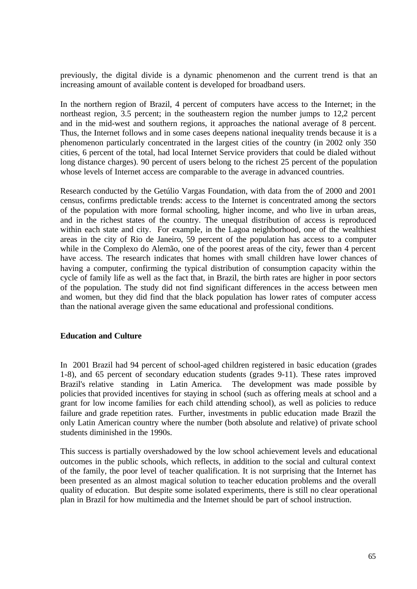previously, the digital divide is a dynamic phenomenon and the current trend is that an increasing amount of available content is developed for broadband users.

In the northern region of Brazil, 4 percent of computers have access to the Internet; in the northeast region, 3.5 percent; in the southeastern region the number jumps to 12,2 percent and in the mid-west and southern regions, it approaches the national average of 8 percent. Thus, the Internet follows and in some cases deepens national inequality trends because it is a phenomenon particularly concentrated in the largest cities of the country (in 2002 only 350 cities, 6 percent of the total, had local Internet Service providers that could be dialed without long distance charges). 90 percent of users belong to the richest 25 percent of the population whose levels of Internet access are comparable to the average in advanced countries.

Research conducted by the Getúlio Vargas Foundation, with data from the of 2000 and 2001 census, confirms predictable trends: access to the Internet is concentrated among the sectors of the population with more formal schooling, higher income, and who live in urban areas, and in the richest states of the country. The unequal distribution of access is reproduced within each state and city. For example, in the Lagoa neighborhood, one of the wealthiest areas in the city of Rio de Janeiro, 59 percent of the population has access to a computer while in the Complexo do Alemão, one of the poorest areas of the city, fewer than 4 percent have access. The research indicates that homes with small children have lower chances of having a computer, confirming the typical distribution of consumption capacity within the cycle of family life as well as the fact that, in Brazil, the birth rates are higher in poor sectors of the population. The study did not find significant differences in the access between men and women, but they did find that the black population has lower rates of computer access than the national average given the same educational and professional conditions.

## **Education and Culture**

In 2001 Brazil had 94 percent of school-aged children registered in basic education (grades 1-8), and 65 percent of secondary education students (grades 9-11). These rates improved Brazil's relative standing in Latin America. The development was made possible by policies that provided incentives for staying in school (such as offering meals at school and a grant for low income families for each child attending school), as well as policies to reduce failure and grade repetition rates. Further, investments in public education made Brazil the only Latin American country where the number (both absolute and relative) of private school students diminished in the 1990s.

This success is partially overshadowed by the low school achievement levels and educational outcomes in the public schools, which reflects, in addition to the social and cultural context of the family, the poor level of teacher qualification. It is not surprising that the Internet has been presented as an almost magical solution to teacher education problems and the overall quality of education. But despite some isolated experiments, there is still no clear operational plan in Brazil for how multimedia and the Internet should be part of school instruction.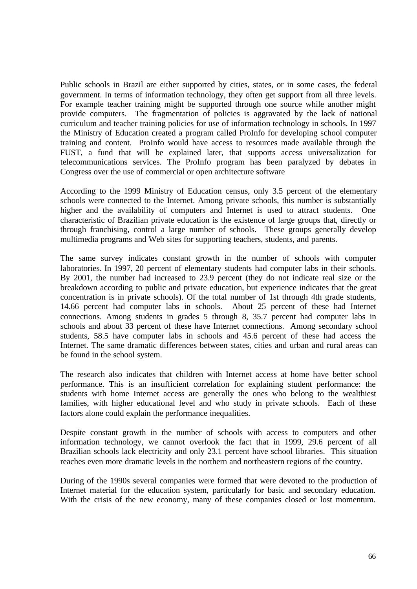Public schools in Brazil are either supported by cities, states, or in some cases, the federal government. In terms of information technology, they often get support from all three levels. For example teacher training might be supported through one source while another might provide computers. The fragmentation of policies is aggravated by the lack of national curriculum and teacher training policies for use of information technology in schools. In 1997 the Ministry of Education created a program called ProInfo for developing school computer training and content. ProInfo would have access to resources made available through the FUST, a fund that will be explained later, that supports access universalization for telecommunications services. The ProInfo program has been paralyzed by debates in Congress over the use of commercial or open architecture software

According to the 1999 Ministry of Education census, only 3.5 percent of the elementary schools were connected to the Internet. Among private schools, this number is substantially higher and the availability of computers and Internet is used to attract students. One characteristic of Brazilian private education is the existence of large groups that, directly or through franchising, control a large number of schools. These groups generally develop multimedia programs and Web sites for supporting teachers, students, and parents.

The same survey indicates constant growth in the number of schools with computer laboratories. In 1997, 20 percent of elementary students had computer labs in their schools. By 2001, the number had increased to 23.9 percent (they do not indicate real size or the breakdown according to public and private education, but experience indicates that the great concentration is in private schools). Of the total number of 1st through 4th grade students, 14.66 percent had computer labs in schools. About 25 percent of these had Internet connections. Among students in grades 5 through 8, 35.7 percent had computer labs in schools and about 33 percent of these have Internet connections. Among secondary school students, 58.5 have computer labs in schools and 45.6 percent of these had access the Internet. The same dramatic differences between states, cities and urban and rural areas can be found in the school system.

The research also indicates that children with Internet access at home have better school performance. This is an insufficient correlation for explaining student performance: the students with home Internet access are generally the ones who belong to the wealthiest families, with higher educational level and who study in private schools. Each of these factors alone could explain the performance inequalities.

Despite constant growth in the number of schools with access to computers and other information technology, we cannot overlook the fact that in 1999, 29.6 percent of all Brazilian schools lack electricity and only 23.1 percent have school libraries. This situation reaches even more dramatic levels in the northern and northeastern regions of the country.

During of the 1990s several companies were formed that were devoted to the production of Internet material for the education system, particularly for basic and secondary education. With the crisis of the new economy, many of these companies closed or lost momentum.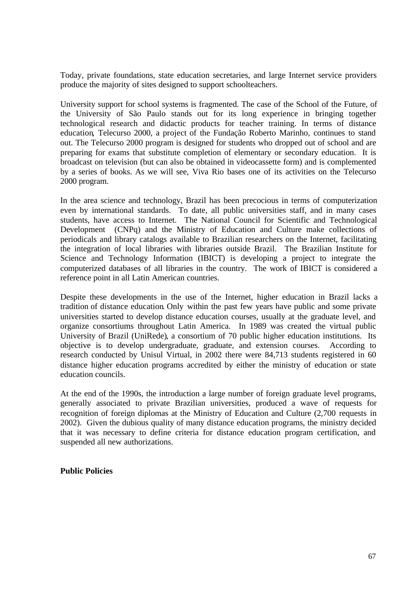Today, private foundations, state education secretaries, and large Internet service providers produce the majority of sites designed to support schoolteachers.

University support for school systems is fragmented. The case of the School of the Future, of the University of São Paulo stands out for its long experience in bringing together technological research and didactic products for teacher training. In terms of distance education, Telecurso 2000, a project of the Fundação Roberto Marinho, continues to stand out. The Telecurso 2000 program is designed for students who dropped out of school and are preparing for exams that substitute completion of elementary or secondary education. It is broadcast on television (but can also be obtained in videocassette form) and is complemented by a series of books. As we will see, Viva Rio bases one of its activities on the Telecurso 2000 program.

In the area science and technology, Brazil has been precocious in terms of computerization even by international standards. To date, all public universities staff, and in many cases students, have access to Internet. The National Council for Scientific and Technological Development (CNPq) and the Ministry of Education and Culture make collections of periodicals and library catalogs available to Brazilian researchers on the Internet, facilitating the integration of local libraries with libraries outside Brazil. The Brazilian Institute for Science and Technology Information (IBICT) is developing a project to integrate the computerized databases of all libraries in the country. The work of IBICT is considered a reference point in all Latin American countries.

Despite these developments in the use of the Internet, higher education in Brazil lacks a tradition of distance education. Only within the past few years have public and some private universities started to develop distance education courses, usually at the graduate level, and organize consortiums throughout Latin America. In 1989 was created the virtual public University of Brazil (UniRede), a consortium of 70 public higher education institutions. Its objective is to develop undergraduate, graduate, and extension courses. According to research conducted by Unisul Virtual, in 2002 there were 84,713 students registered in 60 distance higher education programs accredited by either the ministry of education or state education councils.

At the end of the 1990s, the introduction a large number of foreign graduate level programs, generally associated to private Brazilian universities, produced a wave of requests for recognition of foreign diplomas at the Ministry of Education and Culture (2,700 requests in 2002). Given the dubious quality of many distance education programs, the ministry decided that it was necessary to define criteria for distance education program certification, and suspended all new authorizations.

# **Public Policies**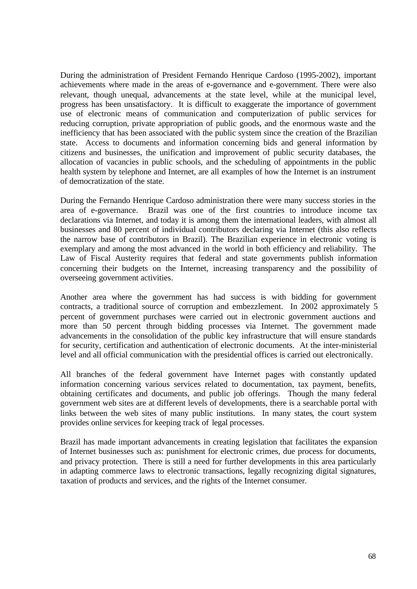During the administration of President Fernando Henrique Cardoso (1995-2002), important achievements where made in the areas of e-governance and e-government. There were also relevant, though unequal, advancements at the state level, while at the municipal level, progress has been unsatisfactory. It is difficult to exaggerate the importance of government use of electronic means of communication and computerization of public services for reducing corruption, private appropriation of public goods, and the enormous waste and the inefficiency that has been associated with the public system since the creation of the Brazilian state. Access to documents and information concerning bids and general information by citizens and businesses, the unification and improvement of public security databases, the allocation of vacancies in public schools, and the scheduling of appointments in the public health system by telephone and Internet, are all examples of how the Internet is an instrument of democratization of the state.

During the Fernando Henrique Cardoso administration there were many success stories in the area of e-governance. Brazil was one of the first countries to introduce income tax declarations via Internet, and today it is among them the international leaders, with almost all businesses and 80 percent of individual contributors declaring via Internet (this also reflects the narrow base of contributors in Brazil). The Brazilian experience in electronic voting is exemplary and among the most advanced in the world in both efficiency and reliability. The Law of Fiscal Austerity requires that federal and state governments publish information concerning their budgets on the Internet, increasing transparency and the possibility of overseeing government activities.

Another area where the government has had success is with bidding for government contracts, a traditional source of corruption and embezzlement. In 2002 approximately 5 percent of government purchases were carried out in electronic government auctions and more than 50 percent through bidding processes via Internet. The government made advancements in the consolidation of the public key infrastructure that will ensure standards for security, certification and authentication of electronic documents. At the inter-ministerial level and all official communication with the presidential offices is carried out electronically.

All branches of the federal government have Internet pages with constantly updated information concerning various services related to documentation, tax payment, benefits, obtaining certificates and documents, and public job offerings. Though the many federal government web sites are at different levels of developments, there is a searchable portal with links between the web sites of many public institutions. In many states, the court system provides online services for keeping track of legal processes.

Brazil has made important advancements in creating legislation that facilitates the expansion of Internet businesses such as: punishment for electronic crimes, due process for documents, and privacy protection. There is still a need for further developments in this area particularly in adapting commerce laws to electronic transactions, legally recognizing digital signatures, taxation of products and services, and the rights of the Internet consumer.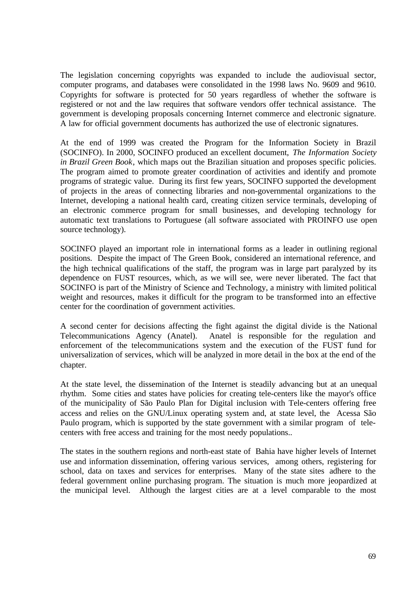The legislation concerning copyrights was expanded to include the audiovisual sector, computer programs, and databases were consolidated in the 1998 laws No. 9609 and 9610. Copyrights for software is protected for 50 years regardless of whether the software is registered or not and the law requires that software vendors offer technical assistance. The government is developing proposals concerning Internet commerce and electronic signature. A law for official government documents has authorized the use of electronic signatures.

At the end of 1999 was created the Program for the Information Society in Brazil (SOCINFO). In 2000, SOCINFO produced an excellent document, *The Information Society in Brazil Green Book*, which maps out the Brazilian situation and proposes specific policies. The program aimed to promote greater coordination of activities and identify and promote programs of strategic value. During its first few years, SOCINFO supported the development of projects in the areas of connecting libraries and non-governmental organizations to the Internet, developing a national health card, creating citizen service terminals, developing of an electronic commerce program for small businesses, and developing technology for automatic text translations to Portuguese (all software associated with PROINFO use open source technology).

SOCINFO played an important role in international forms as a leader in outlining regional positions. Despite the impact of The Green Book, considered an international reference, and the high technical qualifications of the staff, the program was in large part paralyzed by its dependence on FUST resources, which, as we will see, were never liberated. The fact that SOCINFO is part of the Ministry of Science and Technology, a ministry with limited political weight and resources, makes it difficult for the program to be transformed into an effective center for the coordination of government activities.

A second center for decisions affecting the fight against the digital divide is the National Telecommunications Agency (Anatel). Anatel is responsible for the regulation and enforcement of the telecommunications system and the execution of the FUST fund for universalization of services, which will be analyzed in more detail in the box at the end of the chapter.

At the state level, the dissemination of the Internet is steadily advancing but at an unequal rhythm. Some cities and states have policies for creating tele-centers like the mayor's office of the municipality of São Paulo Plan for Digital inclusion with Tele-centers offering free access and relies on the GNU/Linux operating system and, at state level, the Acessa São Paulo program, which is supported by the state government with a similar program of telecenters with free access and training for the most needy populations..

The states in the southern regions and north-east state of Bahia have higher levels of Internet use and information dissemination, offering various services, among others, registering for school, data on taxes and services for enterprises. Many of the state sites adhere to the federal government online purchasing program. The situation is much more jeopardized at the municipal level. Although the largest cities are at a level comparable to the most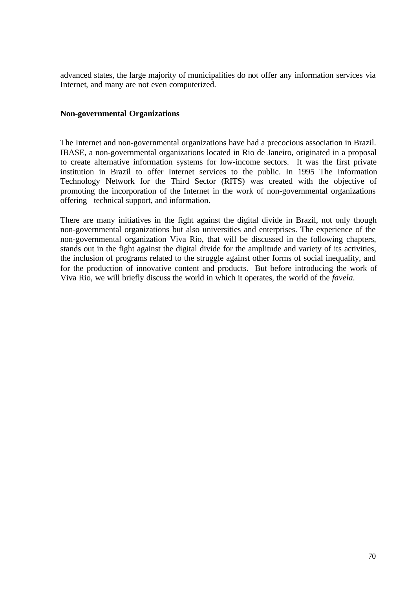advanced states, the large majority of municipalities do not offer any information services via Internet, and many are not even computerized.

### **Non-governmental Organizations**

The Internet and non-governmental organizations have had a precocious association in Brazil. IBASE, a non-governmental organizations located in Rio de Janeiro, originated in a proposal to create alternative information systems for low-income sectors. It was the first private institution in Brazil to offer Internet services to the public. In 1995 The Information Technology Network for the Third Sector (RITS) was created with the objective of promoting the incorporation of the Internet in the work of non-governmental organizations offering technical support, and information.

There are many initiatives in the fight against the digital divide in Brazil, not only though non-governmental organizations but also universities and enterprises. The experience of the non-governmental organization Viva Rio, that will be discussed in the following chapters, stands out in the fight against the digital divide for the amplitude and variety of its activities, the inclusion of programs related to the struggle against other forms of social inequality, and for the production of innovative content and products. But before introducing the work of Viva Rio, we will briefly discuss the world in which it operates, the world of the *favela.*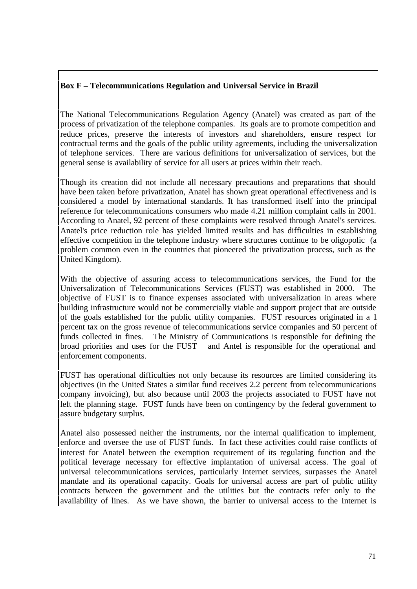# **Box F – Telecommunications Regulation and Universal Service in Brazil**

The National Telecommunications Regulation Agency (Anatel) was created as part of the process of privatization of the telephone companies. Its goals are to promote competition and reduce prices, preserve the interests of investors and shareholders, ensure respect for contractual terms and the goals of the public utility agreements, including the universalization of telephone services. There are various definitions for universalization of services, but the general sense is availability of service for all users at prices within their reach.

Though its creation did not include all necessary precautions and preparations that should have been taken before privatization, Anatel has shown great operational effectiveness and is considered a model by international standards. It has transformed itself into the principal reference for telecommunications consumers who made 4.21 million complaint calls in 2001. According to Anatel, 92 percent of these complaints were resolved through Anatel's services. Anatel's price reduction role has yielded limited results and has difficulties in establishing effective competition in the telephone industry where structures continue to be oligopolic (a problem common even in the countries that pioneered the privatization process, such as the United Kingdom).

With the objective of assuring access to telecommunications services, the Fund for the Universalization of Telecommunications Services (FUST) was established in 2000. The objective of FUST is to finance expenses associated with universalization in areas where building infrastructure would not be commercially viable and support project that are outside of the goals established for the public utility companies. FUST resources originated in a 1 percent tax on the gross revenue of telecommunications service companies and 50 percent of funds collected in fines. The Ministry of Communications is responsible for defining the broad priorities and uses for the FUST and Antel is responsible for the operational and enforcement components.

FUST has operational difficulties not only because its resources are limited considering its objectives (in the United States a similar fund receives 2.2 percent from telecommunications company invoicing), but also because until 2003 the projects associated to FUST have not left the planning stage. FUST funds have been on contingency by the federal government to assure budgetary surplus.

Anatel also possessed neither the instruments, nor the internal qualification to implement, enforce and oversee the use of FUST funds. In fact these activities could raise conflicts of interest for Anatel between the exemption requirement of its regulating function and the political leverage necessary for effective implantation of universal access. The goal of universal telecommunications services, particularly Internet services, surpasses the Anatel mandate and its operational capacity. Goals for universal access are part of public utility contracts between the government and the utilities but the contracts refer only to the availability of lines. As we have shown, the barrier to universal access to the Internet is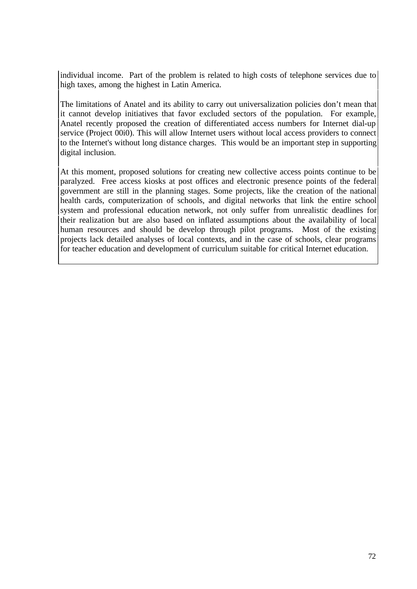individual income. Part of the problem is related to high costs of telephone services due to high taxes, among the highest in Latin America.

The limitations of Anatel and its ability to carry out universalization policies don't mean that it cannot develop initiatives that favor excluded sectors of the population. For example, Anatel recently proposed the creation of differentiated access numbers for Internet dial-up service (Project 00i0). This will allow Internet users without local access providers to connect to the Internet's without long distance charges. This would be an important step in supporting digital inclusion.

At this moment, proposed solutions for creating new collective access points continue to be paralyzed. Free access kiosks at post offices and electronic presence points of the federal government are still in the planning stages. Some projects, like the creation of the national health cards, computerization of schools, and digital networks that link the entire school system and professional education network, not only suffer from unrealistic deadlines for their realization but are also based on inflated assumptions about the availability of local human resources and should be develop through pilot programs. Most of the existing projects lack detailed analyses of local contexts, and in the case of schools, clear programs for teacher education and development of curriculum suitable for critical Internet education.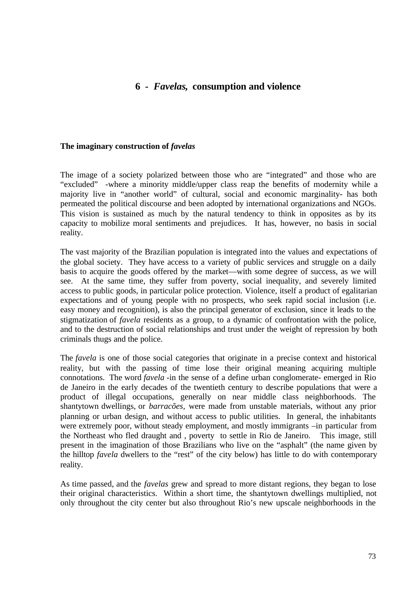# **6 -** *Favelas***, consumption and violence**

#### **The imaginary construction of** *favelas*

The image of a society polarized between those who are "integrated" and those who are "excluded" -where a minority middle/upper class reap the benefits of modernity while a majority live in "another world" of cultural, social and economic marginality- has both permeated the political discourse and been adopted by international organizations and NGOs. This vision is sustained as much by the natural tendency to think in opposites as by its capacity to mobilize moral sentiments and prejudices. It has, however, no basis in social reality.

The vast majority of the Brazilian population is integrated into the values and expectations of the global society. They have access to a variety of public services and struggle on a daily basis to acquire the goods offered by the market—with some degree of success, as we will see. At the same time, they suffer from poverty, social inequality, and severely limited access to public goods, in particular police protection. Violence, itself a product of egalitarian expectations and of young people with no prospects, who seek rapid social inclusion (i.e. easy money and recognition), is also the principal generator of exclusion, since it leads to the stigmatization of *favela* residents as a group, to a dynamic of confrontation with the police, and to the destruction of social relationships and trust under the weight of repression by both criminals thugs and the police.

The *favela* is one of those social categories that originate in a precise context and historical reality, but with the passing of time lose their original meaning acquiring multiple connotations. The word *favela -*in the sense of a define urban conglomerate- emerged in Rio de Janeiro in the early decades of the twentieth century to describe populations that were a product of illegal occupations, generally on near middle class neighborhoods. The shantytown dwellings, or *barracões,* were made from unstable materials, without any prior planning or urban design, and without access to public utilities. In general, the inhabitants were extremely poor, without steady employment, and mostly immigrants –in particular from the Northeast who fled draught and , poverty to settle in Rio de Janeiro. This image, still present in the imagination of those Brazilians who live on the "asphalt" (the name given by the hilltop *favela* dwellers to the "rest" of the city below) has little to do with contemporary reality.

As time passed, and the *favelas* grew and spread to more distant regions, they began to lose their original characteristics. Within a short time, the shantytown dwellings multiplied, not only throughout the city center but also throughout Rio's new upscale neighborhoods in the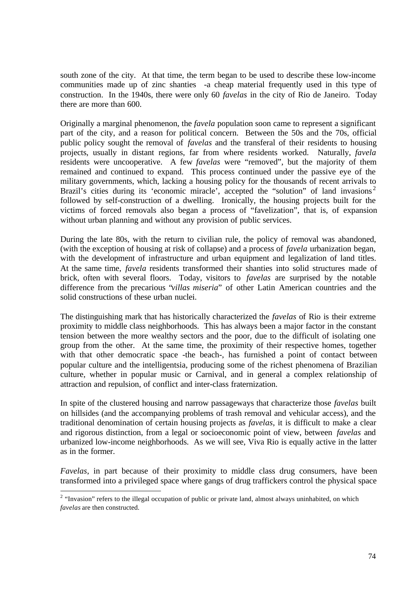south zone of the city. At that time, the term began to be used to describe these low-income communities made up of zinc shanties -a cheap material frequently used in this type of construction. In the 1940s, there were only 60 *favelas* in the city of Rio de Janeiro. Today there are more than 600.

Originally a marginal phenomenon, the *favela* population soon came to represent a significant part of the city, and a reason for political concern. Between the 50s and the 70s, official public policy sought the removal of *favelas* and the transferal of their residents to housing projects, usually in distant regions, far from where residents worked. Naturally, *favela* residents were uncooperative. A few *favelas* were "removed", but the majority of them remained and continued to expand. This process continued under the passive eye of the military governments, which, lacking a housing policy for the thousands of recent arrivals to Brazil's cities during its 'economic miracle', accepted the "solution" of land invasions<sup>2</sup> followed by self-construction of a dwelling. Ironically, the housing projects built for the victims of forced removals also began a process of "favelization", that is, of expansion without urban planning and without any provision of public services.

During the late 80s, with the return to civilian rule, the policy of removal was abandoned, (with the exception of housing at risk of collapse) and a process of *favela* urbanization began, with the development of infrastructure and urban equipment and legalization of land titles. At the same time, *favela* residents transformed their shanties into solid structures made of brick, often with several floors. Today, visitors to *favelas* are surprised by the notable difference from the precarious "*villas miseria*" of other Latin American countries and the solid constructions of these urban nuclei.

The distinguishing mark that has historically characterized the *favelas* of Rio is their extreme proximity to middle class neighborhoods. This has always been a major factor in the constant tension between the more wealthy sectors and the poor, due to the difficult of isolating one group from the other. At the same time, the proximity of their respective homes, together with that other democratic space -the beach-, has furnished a point of contact between popular culture and the intelligentsia, producing some of the richest phenomena of Brazilian culture, whether in popular music or Carnival, and in general a complex relationship of attraction and repulsion, of conflict and inter-class fraternization.

In spite of the clustered housing and narrow passageways that characterize those *favelas* built on hillsides (and the accompanying problems of trash removal and vehicular access), and the traditional denomination of certain housing projects as *favelas*, it is difficult to make a clear and rigorous distinction, from a legal or socioeconomic point of view, between *favelas* and urbanized low-income neighborhoods. As we will see, Viva Rio is equally active in the latter as in the former.

*Favelas*, in part because of their proximity to middle class drug consumers, have been transformed into a privileged space where gangs of drug traffickers control the physical space

<sup>&</sup>lt;sup>2</sup> "Invasion" refers to the illegal occupation of public or private land, almost always uninhabited, on which *favelas* are then constructed.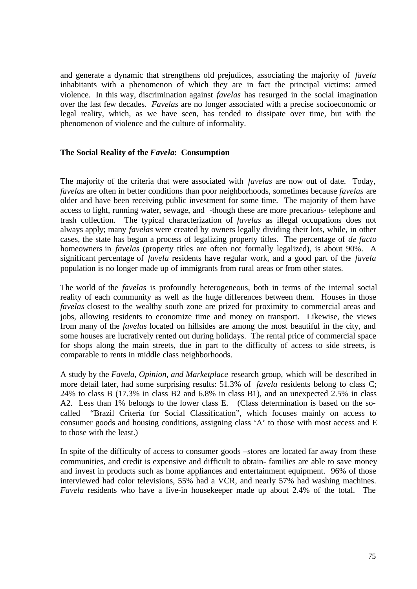and generate a dynamic that strengthens old prejudices, associating the majority of *favela* inhabitants with a phenomenon of which they are in fact the principal victims: armed violence. In this way, discrimination against *favelas* has resurged in the social imagination over the last few decades. *Favelas* are no longer associated with a precise socioeconomic or legal reality, which, as we have seen, has tended to dissipate over time, but with the phenomenon of violence and the culture of informality.

#### **The Social Reality of the** *Favela***: Consumption**

The majority of the criteria that were associated with *favelas* are now out of date. Today, *favelas* are often in better conditions than poor neighborhoods, sometimes because *favelas* are older and have been receiving public investment for some time. The majority of them have access to light, running water, sewage, and -though these are more precarious- telephone and trash collection. The typical characterization of *favelas* as illegal occupations does not always apply; many *favelas* were created by owners legally dividing their lots, while, in other cases, the state has begun a process of legalizing property titles. The percentage of *de facto* homeowners in *favelas* (property titles are often not formally legalized), is about 90%. A significant percentage of *favela* residents have regular work, and a good part of the *favela* population is no longer made up of immigrants from rural areas or from other states.

The world of the *favelas* is profoundly heterogeneous, both in terms of the internal social reality of each community as well as the huge differences between them. Houses in those *favelas* closest to the wealthy south zone are prized for proximity to commercial areas and jobs, allowing residents to economize time and money on transport. Likewise, the views from many of the *favelas* located on hillsides are among the most beautiful in the city, and some houses are lucratively rented out during holidays. The rental price of commercial space for shops along the main streets, due in part to the difficulty of access to side streets, is comparable to rents in middle class neighborhoods.

A study by the *Favela, Opinion, and Marketplace* research group, which will be described in more detail later, had some surprising results: 51.3% of *favela* residents belong to class C; 24% to class B (17.3% in class B2 and 6.8% in class B1), and an unexpected 2.5% in class A2. Less than 1% belongs to the lower class E. (Class determination is based on the socalled "Brazil Criteria for Social Classification", which focuses mainly on access to consumer goods and housing conditions, assigning class 'A' to those with most access and E to those with the least.)

In spite of the difficulty of access to consumer goods –stores are located far away from these communities, and credit is expensive and difficult to obtain- families are able to save money and invest in products such as home appliances and entertainment equipment. 96% of those interviewed had color televisions, 55% had a VCR, and nearly 57% had washing machines. *Favela* residents who have a live-in housekeeper made up about 2.4% of the total. The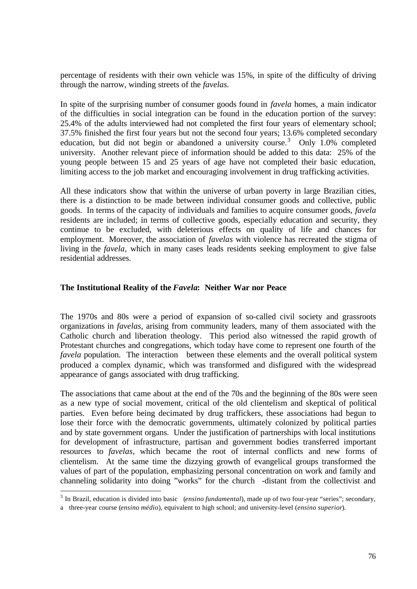percentage of residents with their own vehicle was 15%, in spite of the difficulty of driving through the narrow, winding streets of the *favelas.*

In spite of the surprising number of consumer goods found in *favela* homes, a main indicator of the difficulties in social integration can be found in the education portion of the survey: 25.4% of the adults interviewed had not completed the first four years of elementary school; 37.5% finished the first four years but not the second four years; 13.6% completed secondary education, but did not begin or abandoned a university course.<sup>3</sup> Only 1.0% completed university. Another relevant piece of information should be added to this data: 25% of the young people between 15 and 25 years of age have not completed their basic education, limiting access to the job market and encouraging involvement in drug trafficking activities.

All these indicators show that within the universe of urban poverty in large Brazilian cities, there is a distinction to be made between individual consumer goods and collective, public goods. In terms of the capacity of individuals and families to acquire consumer goods, *favela* residents are included; in terms of collective goods, especially education and security, they continue to be excluded, with deleterious effects on quality of life and chances for employment. Moreover, the association of *favelas* with violence has recreated the stigma of living in the *favela,* which in many cases leads residents seeking employment to give false residential addresses.

### **The Institutional Reality of the** *Favela***: Neither War nor Peace**

The 1970s and 80s were a period of expansion of so-called civil society and grassroots organizations in *favelas*, arising from community leaders, many of them associated with the Catholic church and liberation theology. This period also witnessed the rapid growth of Protestant churches and congregations, which today have come to represent one fourth of the *favela* population. The interaction between these elements and the overall political system produced a complex dynamic, which was transformed and disfigured with the widespread appearance of gangs associated with drug trafficking.

The associations that came about at the end of the 70s and the beginning of the 80s were seen as a new type of social movement, critical of the old clientelism and skeptical of political parties. Even before being decimated by drug traffickers, these associations had begun to lose their force with the democratic governments, ultimately colonized by political parties and by state government organs. Under the justification of partnerships with local institutions for development of infrastructure, partisan and government bodies transferred important resources to *favelas,* which became the root of internal conflicts and new forms of clientelism. At the same time the dizzying growth of evangelical groups transformed the values of part of the population, emphasizing personal concentration on work and family and channeling solidarity into doing "works" for the church -distant from the collectivist and

 $\overline{a}$ 

<sup>&</sup>lt;sup>3</sup> In Brazil, education is divided into basic (*ensino fundamental*), made up of two four-year "series"; secondary,

a three-year course (*ensino médio*), equivalent to high school; and university-level (*ensino superior*).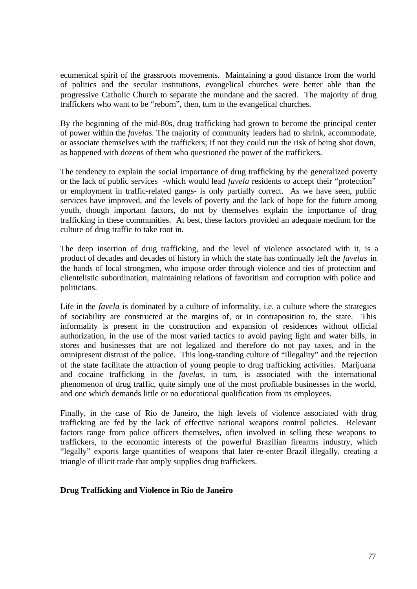ecumenical spirit of the grassroots movements. Maintaining a good distance from the world of politics and the secular institutions, evangelical churches were better able than the progressive Catholic Church to separate the mundane and the sacred. The majority of drug traffickers who want to be "reborn", then, turn to the evangelical churches.

By the beginning of the mid-80s, drug trafficking had grown to become the principal center of power within the *favelas.* The majority of community leaders had to shrink, accommodate, or associate themselves with the traffickers; if not they could run the risk of being shot down, as happened with dozens of them who questioned the power of the traffickers.

The tendency to explain the social importance of drug trafficking by the generalized poverty or the lack of public services -which would lead *favela* residents to accept their "protection" or employment in traffic-related gangs- is only partially correct. As we have seen, public services have improved, and the levels of poverty and the lack of hope for the future among youth, though important factors, do not by themselves explain the importance of drug trafficking in these communities. At best, these factors provided an adequate medium for the culture of drug traffic to take root in.

The deep insertion of drug trafficking, and the level of violence associated with it, is a product of decades and decades of history in which the state has continually left the *favelas* in the hands of local strongmen, who impose order through violence and ties of protection and clientelistic subordination, maintaining relations of favoritism and corruption with police and politicians.

Life in the *favela* is dominated by a culture of informality, i.e. a culture where the strategies of sociability are constructed at the margins of, or in contraposition to, the state. This informality is present in the construction and expansion of residences without official authorization, in the use of the most varied tactics to avoid paying light and water bills, in stores and businesses that are not legalized and therefore do not pay taxes, and in the omnipresent distrust of the police. This long-standing culture of "illegality" and the rejection of the state facilitate the attraction of young people to drug trafficking activities. Marijuana and cocaine trafficking in the *favelas*, in turn, is associated with the international phenomenon of drug traffic, quite simply one of the most profitable businesses in the world, and one which demands little or no educational qualification from its employees.

Finally, in the case of Rio de Janeiro, the high levels of violence associated with drug trafficking are fed by the lack of effective national weapons control policies. Relevant factors range from police officers themselves, often involved in selling these weapons to traffickers, to the economic interests of the powerful Brazilian firearms industry, which "legally" exports large quantities of weapons that later re-enter Brazil illegally, creating a triangle of illicit trade that amply supplies drug traffickers.

# **Drug Trafficking and Violence in Rio de Janeiro**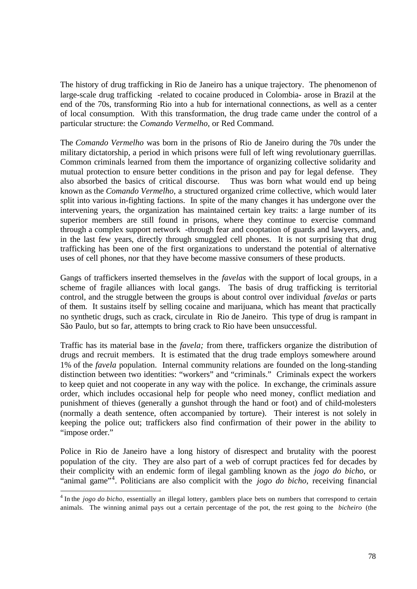The history of drug trafficking in Rio de Janeiro has a unique trajectory. The phenomenon of large-scale drug trafficking -related to cocaine produced in Colombia- arose in Brazil at the end of the 70s, transforming Rio into a hub for international connections, as well as a center of local consumption. With this transformation, the drug trade came under the control of a particular structure: the *Comando Vermelho,* or Red Command.

The *Comando Vermelho* was born in the prisons of Rio de Janeiro during the 70s under the military dictatorship, a period in which prisons were full of left wing revolutionary guerrillas. Common criminals learned from them the importance of organizing collective solidarity and mutual protection to ensure better conditions in the prison and pay for legal defense. They also absorbed the basics of critical discourse. Thus was born what would end up being known as the *Comando Vermelho*, a structured organized crime collective, which would later split into various in-fighting factions. In spite of the many changes it has undergone over the intervening years, the organization has maintained certain key traits: a large number of its superior members are still found in prisons, where they continue to exercise command through a complex support network -through fear and cooptation of guards and lawyers, and, in the last few years, directly through smuggled cell phones. It is not surprising that drug trafficking has been one of the first organizations to understand the potential of alternative uses of cell phones, nor that they have become massive consumers of these products.

Gangs of traffickers inserted themselves in the *favelas* with the support of local groups, in a scheme of fragile alliances with local gangs. The basis of drug trafficking is territorial control, and the struggle between the groups is about control over individual *favelas* or parts of them. It sustains itself by selling cocaine and marijuana, which has meant that practically no synthetic drugs, such as crack, circulate in Rio de Janeiro. This type of drug is rampant in São Paulo, but so far, attempts to bring crack to Rio have been unsuccessful.

Traffic has its material base in the *favela;* from there, traffickers organize the distribution of drugs and recruit members. It is estimated that the drug trade employs somewhere around 1% of the *favela* population. Internal community relations are founded on the long-standing distinction between two identities: "workers" and "criminals." Criminals expect the workers to keep quiet and not cooperate in any way with the police. In exchange, the criminals assure order, which includes occasional help for people who need money, conflict mediation and punishment of thieves (generally a gunshot through the hand or foot) and of child-molesters (normally a death sentence, often accompanied by torture). Their interest is not solely in keeping the police out; traffickers also find confirmation of their power in the ability to "impose order."

Police in Rio de Janeiro have a long history of disrespect and brutality with the poorest population of the city. They are also part of a web of corrupt practices fed for decades by their complicity with an endemic form of ilegal gambling known as the *jogo do bicho*, or "animal game"<sup>4</sup>. Politicians are also complicit with the *jogo do bicho*, receiving financial

 4 In the *jogo do bicho,* essentially an illegal lottery, gamblers place bets on numbers that correspond to certain animals. The winning animal pays out a certain percentage of the pot, the rest going to the *bicheiro* (the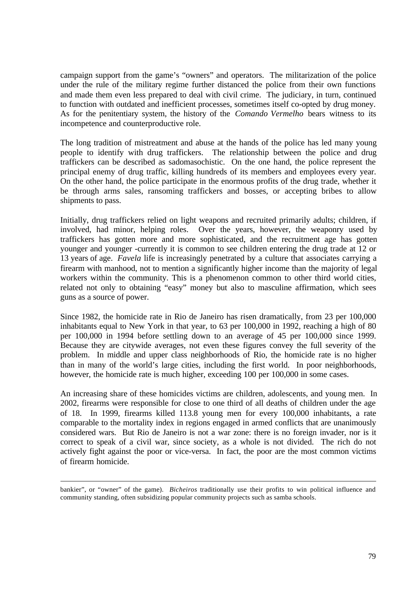campaign support from the game's "owners" and operators. The militarization of the police under the rule of the military regime further distanced the police from their own functions and made them even less prepared to deal with civil crime. The judiciary, in turn, continued to function with outdated and inefficient processes, sometimes itself co-opted by drug money. As for the penitentiary system, the history of the *Comando Vermelho* bears witness to its incompetence and counterproductive role.

The long tradition of mistreatment and abuse at the hands of the police has led many young people to identify with drug traffickers. The relationship between the police and drug traffickers can be described as sadomasochistic. On the one hand, the police represent the principal enemy of drug traffic, killing hundreds of its members and employees every year. On the other hand, the police participate in the enormous profits of the drug trade, whether it be through arms sales, ransoming traffickers and bosses, or accepting bribes to allow shipments to pass.

Initially, drug traffickers relied on light weapons and recruited primarily adults; children, if involved, had minor, helping roles. Over the years, however, the weaponry used by traffickers has gotten more and more sophisticated, and the recruitment age has gotten younger and younger -currently it is common to see children entering the drug trade at 12 or 13 years of age. *Favela* life is increasingly penetrated by a culture that associates carrying a firearm with manhood, not to mention a significantly higher income than the majority of legal workers within the community. This is a phenomenon common to other third world cities, related not only to obtaining "easy" money but also to masculine affirmation, which sees guns as a source of power.

Since 1982, the homicide rate in Rio de Janeiro has risen dramatically, from 23 per 100,000 inhabitants equal to New York in that year, to 63 per 100,000 in 1992, reaching a high of 80 per 100,000 in 1994 before settling down to an average of 45 per 100,000 since 1999. Because they are citywide averages, not even these figures convey the full severity of the problem. In middle and upper class neighborhoods of Rio, the homicide rate is no higher than in many of the world's large cities, including the first world. In poor neighborhoods, however, the homicide rate is much higher, exceeding 100 per 100,000 in some cases.

An increasing share of these homicides victims are children, adolescents, and young men. In 2002, firearms were responsible for close to one third of all deaths of children under the age of 18. In 1999, firearms killed 113.8 young men for every 100,000 inhabitants, a rate comparable to the mortality index in regions engaged in armed conflicts that are unanimously considered wars. But Rio de Janeiro is not a war zone: there is no foreign invader, nor is it correct to speak of a civil war, since society, as a whole is not divided. The rich do not actively fight against the poor or vice-versa. In fact, the poor are the most common victims of firearm homicide.

bankier", or "owner" of the game). *Bicheiros* traditionally use their profits to win political influence and community standing, often subsidizing popular community projects such as samba schools.

 $\overline{a}$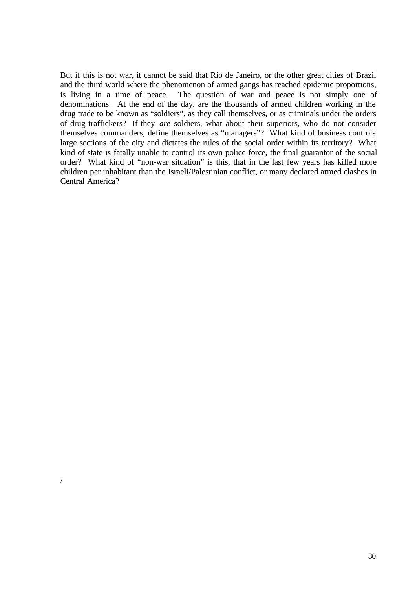But if this is not war, it cannot be said that Rio de Janeiro, or the other great cities of Brazil and the third world where the phenomenon of armed gangs has reached epidemic proportions, is living in a time of peace. The question of war and peace is not simply one of denominations. At the end of the day, are the thousands of armed children working in the drug trade to be known as "soldiers", as they call themselves, or as criminals under the orders of drug traffickers? If they *are* soldiers, what about their superiors, who do not consider themselves commanders, define themselves as "managers"? What kind of business controls large sections of the city and dictates the rules of the social order within its territory? What kind of state is fatally unable to control its own police force, the final guarantor of the social order? What kind of "non-war situation" is this, that in the last few years has killed more children per inhabitant than the Israeli/Palestinian conflict, or many declared armed clashes in Central America?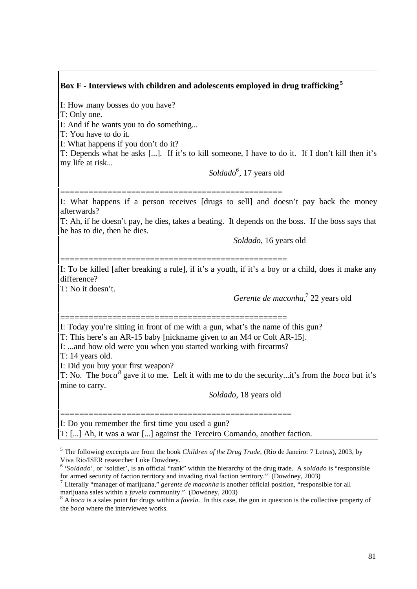# **Box F - Interviews with children and adolescents employed in drug trafficking<sup>5</sup>**

I: How many bosses do you have?

T: Only one.

I: And if he wants you to do something...

T: You have to do it.

I: What happens if you don't do it?

T: Depends what he asks [...]. If it's to kill someone, I have to do it. If I don't kill then it's my life at risk...

*Soldado<sup>6</sup>* , 17 years old

=============================================== I: What happens if a person receives [drugs to sell] and doesn't pay back the money afterwards?

T: Ah, if he doesn't pay, he dies, takes a beating. It depends on the boss. If the boss says that he has to die, then he dies.

*Soldado*, 16 years old

================================================

I: To be killed [after breaking a rule], if it's a youth, if it's a boy or a child, does it make any difference?

T: No it doesn't.

*Gerente de maconha*, 7 22 years old

================================================ I: Today you're sitting in front of me with a gun, what's the name of this gun?

T: This here's an AR-15 baby [nickname given to an M4 or Colt AR-15].

I: ...and how old were you when you started working with firearms?

T: 14 years old.

l

I: Did you buy your first weapon?

T: No. The *boca<sup>8</sup>* gave it to me. Left it with me to do the security...it's from the *boca* but it's mine to carry.

 *Soldado,* 18 years old

================================================= I: Do you remember the first time you used a gun? T: [...] Ah, it was a war [...] against the Terceiro Comando, another faction.

<sup>&</sup>lt;sup>5</sup> The following excerpts are from the book *Children of the Drug Trade*, (Rio de Janeiro: 7 Letras), 2003, by Viva Rio/ISER researcher Luke Dowdney.

<sup>&</sup>lt;sup>6</sup> '*Soldado*', or 'soldier', is an official "rank" within the hierarchy of the drug trade. A *soldado* is "responsible for armed security of faction territory and invading rival faction territory." (Dowdney, 2003)

<sup>7</sup> Literally "manager of marijuana," *gerente de maconha* is another official position, "responsible for all marijuana sales within a *favela* community." (Dowdney, 2003)

<sup>&</sup>lt;sup>8</sup> A *boca* is a sales point for drugs within a *favela*. In this case, the gun in question is the collective property of the *boca* where the interviewee works.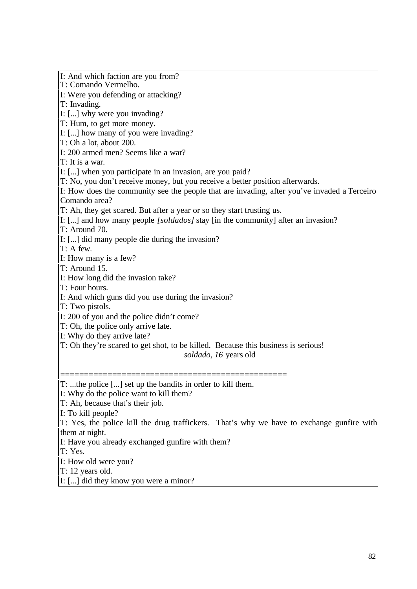I: And which faction are you from? T: Comando Vermelho. I: Were you defending or attacking? T: Invading. I: [...] why were you invading? T: Hum, to get more money. I: [...] how many of you were invading? T: Oh a lot, about 200. I: 200 armed men? Seems like a war? T: It is a war. I: [...] when you participate in an invasion, are you paid? T: No, you don't receive money, but you receive a better position afterwards. I: How does the community see the people that are invading, after you've invaded a Terceiro Comando area? T: Ah, they get scared. But after a year or so they start trusting us. I: [...] and how many people *[soldados]* stay [in the community] after an invasion? T: Around 70. I: [...] did many people die during the invasion? T: A few. I: How many is a few? T: Around 15. I: How long did the invasion take? T: Four hours. I: And which guns did you use during the invasion? T: Two pistols. I: 200 of you and the police didn't come? T: Oh, the police only arrive late. I: Why do they arrive late? T: Oh they're scared to get shot, to be killed. Because this business is serious! *soldado, 16* years old ================================================ T: ...the police [...] set up the bandits in order to kill them. I: Why do the police want to kill them? T: Ah, because that's their job. I: To kill people? T: Yes, the police kill the drug traffickers. That's why we have to exchange gunfire with them at night. I: Have you already exchanged gunfire with them? T: Yes. I: How old were you? T: 12 years old. I: [...] did they know you were a minor?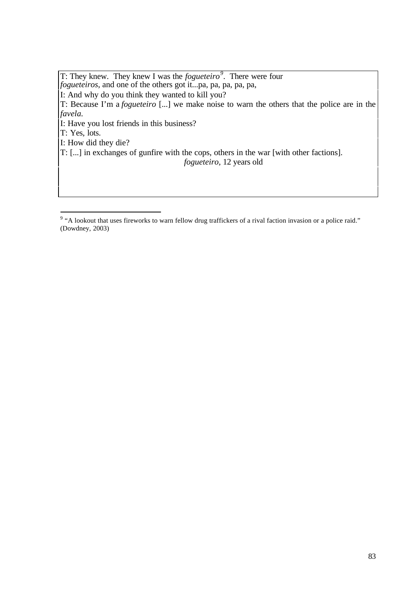T: They knew. They knew I was the *fogueteiro<sup>9</sup> .* There were four *fogueteiros*, and one of the others got it...pa, pa, pa, pa, pa, I: And why do you think they wanted to kill you? T: Because I'm a *fogueteiro* [...] we make noise to warn the others that the police are in the *favela.* I: Have you lost friends in this business? T: Yes, lots. I: How did they die? T: [...] in exchanges of gunfire with the cops, others in the war [with other factions].  *fogueteiro,* 12 years old

 9 "A lookout that uses fireworks to warn fellow drug traffickers of a rival faction invasion or a police raid." (Dowdney, 2003)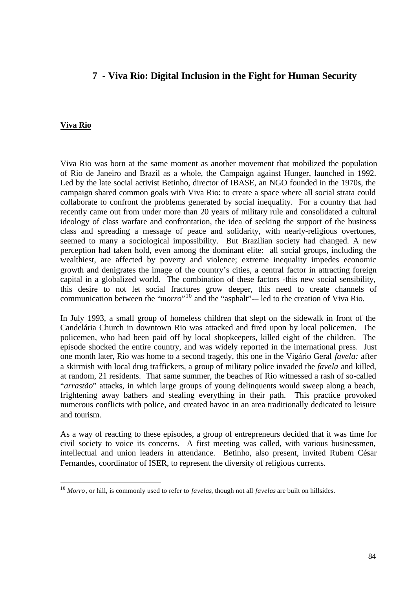# **7 - Viva Rio: Digital Inclusion in the Fight for Human Security**

#### **Viva Rio**

 $\overline{a}$ 

Viva Rio was born at the same moment as another movement that mobilized the population of Rio de Janeiro and Brazil as a whole, the Campaign against Hunger, launched in 1992. Led by the late social activist Betinho, director of IBASE, an NGO founded in the 1970s, the campaign shared common goals with Viva Rio: to create a space where all social strata could collaborate to confront the problems generated by social inequality. For a country that had recently came out from under more than 20 years of military rule and consolidated a cultural ideology of class warfare and confrontation, the idea of seeking the support of the business class and spreading a message of peace and solidarity, with nearly-religious overtones, seemed to many a sociological impossibility. But Brazilian society had changed. A new perception had taken hold, even among the dominant elite: all social groups, including the wealthiest, are affected by poverty and violence; extreme inequality impedes economic growth and denigrates the image of the country's cities, a central factor in attracting foreign capital in a globalized world. The combination of these factors -this new social sensibility, this desire to not let social fractures grow deeper, this need to create channels of communication between the "*morro*"<sup>10</sup> and the "asphalt"— led to the creation of Viva Rio.

In July 1993, a small group of homeless children that slept on the sidewalk in front of the Candelária Church in downtown Rio was attacked and fired upon by local policemen. The policemen, who had been paid off by local shopkeepers, killed eight of the children. The episode shocked the entire country, and was widely reported in the international press. Just one month later, Rio was home to a second tragedy, this one in the Vigário Geral *favela:* after a skirmish with local drug traffickers, a group of military police invaded the *favela* and killed, at random, 21 residents. That same summer, the beaches of Rio witnessed a rash of so-called "*arrastão*" attacks, in which large groups of young delinquents would sweep along a beach, frightening away bathers and stealing everything in their path. This practice provoked numerous conflicts with police, and created havoc in an area traditionally dedicated to leisure and tourism.

As a way of reacting to these episodes, a group of entrepreneurs decided that it was time for civil society to voice its concerns. A first meeting was called, with various businessmen, intellectual and union leaders in attendance. Betinho, also present, invited Rubem César Fernandes, coordinator of ISER, to represent the diversity of religious currents.

<sup>10</sup> *Morro*, or hill, is commonly used to refer to *favelas*, though not all *favelas* are built on hillsides.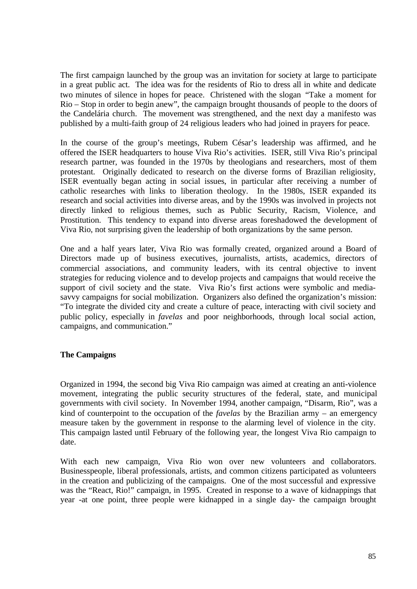The first campaign launched by the group was an invitation for society at large to participate in a great public act. The idea was for the residents of Rio to dress all in white and dedicate two minutes of silence in hopes for peace. Christened with the slogan "Take a moment for Rio – Stop in order to begin anew", the campaign brought thousands of people to the doors of the Candelária church. The movement was strengthened, and the next day a manifesto was published by a multi-faith group of 24 religious leaders who had joined in prayers for peace.

In the course of the group's meetings, Rubem César's leadership was affirmed, and he offered the ISER headquarters to house Viva Rio's activities. ISER, still Viva Rio's principal research partner, was founded in the 1970s by theologians and researchers, most of them protestant. Originally dedicated to research on the diverse forms of Brazilian religiosity, ISER eventually began acting in social issues, in particular after receiving a number of catholic researches with links to liberation theology. In the 1980s, ISER expanded its research and social activities into diverse areas, and by the 1990s was involved in projects not directly linked to religious themes, such as Public Security, Racism, Violence, and Prostitution. This tendency to expand into diverse areas foreshadowed the development of Viva Rio, not surprising given the leadership of both organizations by the same person.

One and a half years later, Viva Rio was formally created, organized around a Board of Directors made up of business executives, journalists, artists, academics, directors of commercial associations, and community leaders, with its central objective to invent strategies for reducing violence and to develop projects and campaigns that would receive the support of civil society and the state. Viva Rio's first actions were symbolic and mediasavvy campaigns for social mobilization. Organizers also defined the organization's mission: "To integrate the divided city and create a culture of peace, interacting with civil society and public policy, especially in *favelas* and poor neighborhoods, through local social action, campaigns, and communication."

# **The Campaigns**

Organized in 1994, the second big Viva Rio campaign was aimed at creating an anti-violence movement, integrating the public security structures of the federal, state, and municipal governments with civil society. In November 1994, another campaign, "Disarm, Rio", was a kind of counterpoint to the occupation of the *favelas* by the Brazilian army – an emergency measure taken by the government in response to the alarming level of violence in the city. This campaign lasted until February of the following year, the longest Viva Rio campaign to date.

With each new campaign, Viva Rio won over new volunteers and collaborators. Businesspeople, liberal professionals, artists, and common citizens participated as volunteers in the creation and publicizing of the campaigns. One of the most successful and expressive was the "React, Rio!" campaign, in 1995. Created in response to a wave of kidnappings that year -at one point, three people were kidnapped in a single day- the campaign brought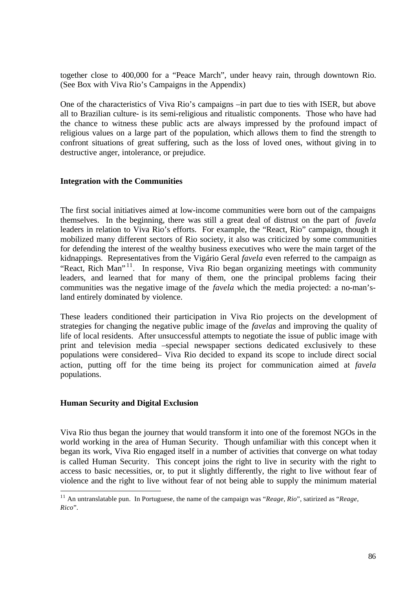together close to 400,000 for a "Peace March", under heavy rain, through downtown Rio. (See Box with Viva Rio's Campaigns in the Appendix)

One of the characteristics of Viva Rio's campaigns –in part due to ties with ISER, but above all to Brazilian culture- is its semi-religious and ritualistic components. Those who have had the chance to witness these public acts are always impressed by the profound impact of religious values on a large part of the population, which allows them to find the strength to confront situations of great suffering, such as the loss of loved ones, without giving in to destructive anger, intolerance, or prejudice.

### **Integration with the Communities**

The first social initiatives aimed at low-income communities were born out of the campaigns themselves. In the beginning, there was still a great deal of distrust on the part of *favela* leaders in relation to Viva Rio's efforts. For example, the "React, Rio" campaign, though it mobilized many different sectors of Rio society, it also was criticized by some communities for defending the interest of the wealthy business executives who were the main target of the kidnappings. Representatives from the Vigário Geral *favela* even referred to the campaign as "React, Rich Man"<sup>11</sup>. In response, Viva Rio began organizing meetings with community leaders, and learned that for many of them, one the principal problems facing their communities was the negative image of the *favela* which the media projected: a no-man'sland entirely dominated by violence.

These leaders conditioned their participation in Viva Rio projects on the development of strategies for changing the negative public image of the *favelas* and improving the quality of life of local residents. After unsuccessful attempts to negotiate the issue of public image with print and television media –special newspaper sections dedicated exclusively to these populations were considered– Viva Rio decided to expand its scope to include direct social action, putting off for the time being its project for communication aimed at *favela* populations.

### **Human Security and Digital Exclusion**

 $\overline{a}$ 

Viva Rio thus began the journey that would transform it into one of the foremost NGOs in the world working in the area of Human Security. Though unfamiliar with this concept when it began its work, Viva Rio engaged itself in a number of activities that converge on what today is called Human Security. This concept joins the right to live in security with the right to access to basic necessities, or, to put it slightly differently, the right to live without fear of violence and the right to live without fear of not being able to supply the minimum material

<sup>11</sup> An untranslatable pun. In Portuguese, the name of the campaign was "*Reage, Rio*", satirized as "*Reage, Rico*".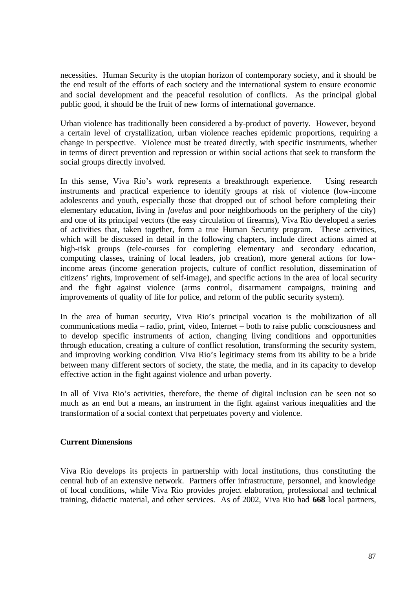necessities. Human Security is the utopian horizon of contemporary society, and it should be the end result of the efforts of each society and the international system to ensure economic and social development and the peaceful resolution of conflicts. As the principal global public good, it should be the fruit of new forms of international governance.

Urban violence has traditionally been considered a by-product of poverty. However, beyond a certain level of crystallization, urban violence reaches epidemic proportions, requiring a change in perspective. Violence must be treated directly, with specific instruments, whether in terms of direct prevention and repression or within social actions that seek to transform the social groups directly involved.

In this sense, Viva Rio's work represents a breakthrough experience. Using research instruments and practical experience to identify groups at risk of violence (low-income adolescents and youth, especially those that dropped out of school before completing their elementary education, living in *favelas* and poor neighborhoods on the periphery of the city) and one of its principal vectors (the easy circulation of firearms), Viva Rio developed a series of activities that, taken together, form a true Human Security program. These activities, which will be discussed in detail in the following chapters, include direct actions aimed at high-risk groups (tele-courses for completing elementary and secondary education, computing classes, training of local leaders, job creation), more general actions for lowincome areas (income generation projects, culture of conflict resolution, dissemination of citizens' rights, improvement of self-image), and specific actions in the area of local security and the fight against violence (arms control, disarmament campaigns, training and improvements of quality of life for police, and reform of the public security system).

In the area of human security, Viva Rio's principal vocation is the mobilization of all communications media – radio, print, video, Internet – both to raise public consciousness and to develop specific instruments of action, changing living conditions and opportunities through education, creating a culture of conflict resolution, transforming the security system, and improving working condition. Viva Rio's legitimacy stems from its ability to be a bride between many different sectors of society, the state, the media, and in its capacity to develop effective action in the fight against violence and urban poverty.

In all of Viva Rio's activities, therefore, the theme of digital inclusion can be seen not so much as an end but a means, an instrument in the fight against various inequalities and the transformation of a social context that perpetuates poverty and violence.

#### **Current Dimensions**

Viva Rio develops its projects in partnership with local institutions, thus constituting the central hub of an extensive network. Partners offer infrastructure, personnel, and knowledge of local conditions, while Viva Rio provides project elaboration, professional and technical training, didactic material, and other services. As of 2002, Viva Rio had **668** local partners,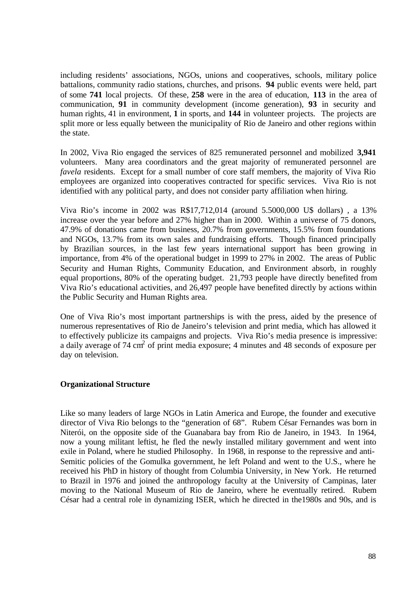including residents' associations, NGOs, unions and cooperatives, schools, military police battalions, community radio stations, churches, and prisons. **94** public events were held, part of some **741** local projects. Of these, **258** were in the area of education, **113** in the area of communication, **91** in community development (income generation), **93** in security and human rights, 41 in environment, **1** in sports, and **144** in volunteer projects. The projects are split more or less equally between the municipality of Rio de Janeiro and other regions within the state.

In 2002, Viva Rio engaged the services of 825 remunerated personnel and mobilized **3,941** volunteers. Many area coordinators and the great majority of remunerated personnel are *favela* residents. Except for a small number of core staff members, the majority of Viva Rio employees are organized into cooperatives contracted for specific services. Viva Rio is not identified with any political party, and does not consider party affiliation when hiring.

Viva Rio's income in 2002 was R\$17,712,014 (around 5.5000,000 U\$ dollars) , a 13% increase over the year before and 27% higher than in 2000. Within a universe of 75 donors, 47.9% of donations came from business, 20.7% from governments, 15.5% from foundations and NGOs, 13.7% from its own sales and fundraising efforts. Though financed principally by Brazilian sources, in the last few years international support has been growing in importance, from 4% of the operational budget in 1999 to 27% in 2002. The areas of Public Security and Human Rights, Community Education, and Environment absorb, in roughly equal proportions, 80% of the operating budget. 21,793 people have directly benefited from Viva Rio's educational activities, and 26,497 people have benefited directly by actions within the Public Security and Human Rights area.

One of Viva Rio's most important partnerships is with the press, aided by the presence of numerous representatives of Rio de Janeiro's television and print media, which has allowed it to effectively publicize its campaigns and projects. Viva Rio's media presence is impressive: a daily average of 74 cm<sup>2</sup> of print media exposure; 4 minutes and 48 seconds of exposure per day on television.

# **Organizational Structure**

Like so many leaders of large NGOs in Latin America and Europe, the founder and executive director of Viva Rio belongs to the "generation of 68". Rubem César Fernandes was born in Niterói, on the opposite side of the Guanabara bay from Rio de Janeiro, in 1943. In 1964, now a young militant leftist, he fled the newly installed military government and went into exile in Poland, where he studied Philosophy. In 1968, in response to the repressive and anti-Semitic policies of the Gomulka government, he left Poland and went to the U.S., where he received his PhD in history of thought from Columbia University, in New York. He returned to Brazil in 1976 and joined the anthropology faculty at the University of Campinas, later moving to the National Museum of Rio de Janeiro, where he eventually retired. Rubem César had a central role in dynamizing ISER, which he directed in the1980s and 90s, and is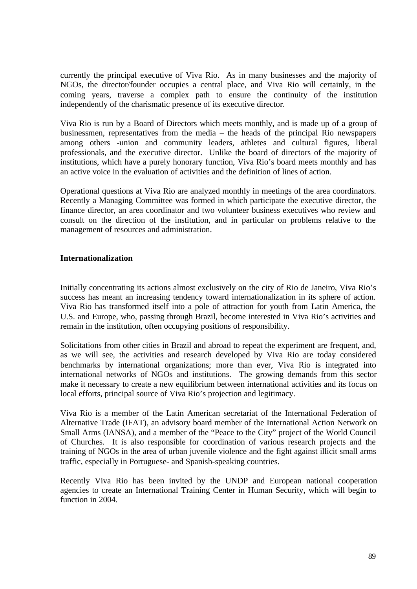currently the principal executive of Viva Rio. As in many businesses and the majority of NGOs, the director/founder occupies a central place, and Viva Rio will certainly, in the coming years, traverse a complex path to ensure the continuity of the institution independently of the charismatic presence of its executive director.

Viva Rio is run by a Board of Directors which meets monthly, and is made up of a group of businessmen, representatives from the media – the heads of the principal Rio newspapers among others -union and community leaders, athletes and cultural figures, liberal professionals, and the executive director. Unlike the board of directors of the majority of institutions, which have a purely honorary function, Viva Rio's board meets monthly and has an active voice in the evaluation of activities and the definition of lines of action.

Operational questions at Viva Rio are analyzed monthly in meetings of the area coordinators. Recently a Managing Committee was formed in which participate the executive director, the finance director, an area coordinator and two volunteer business executives who review and consult on the direction of the institution, and in particular on problems relative to the management of resources and administration.

### **Internationalization**

Initially concentrating its actions almost exclusively on the city of Rio de Janeiro, Viva Rio's success has meant an increasing tendency toward internationalization in its sphere of action. Viva Rio has transformed itself into a pole of attraction for youth from Latin America, the U.S. and Europe, who, passing through Brazil, become interested in Viva Rio's activities and remain in the institution, often occupying positions of responsibility.

Solicitations from other cities in Brazil and abroad to repeat the experiment are frequent, and, as we will see, the activities and research developed by Viva Rio are today considered benchmarks by international organizations; more than ever, Viva Rio is integrated into international networks of NGOs and institutions. The growing demands from this sector make it necessary to create a new equilibrium between international activities and its focus on local efforts, principal source of Viva Rio's projection and legitimacy.

Viva Rio is a member of the Latin American secretariat of the International Federation of Alternative Trade (IFAT), an advisory board member of the International Action Network on Small Arms (IANSA), and a member of the "Peace to the City" project of the World Council of Churches. It is also responsible for coordination of various research projects and the training of NGOs in the area of urban juvenile violence and the fight against illicit small arms traffic, especially in Portuguese- and Spanish-speaking countries.

Recently Viva Rio has been invited by the UNDP and European national cooperation agencies to create an International Training Center in Human Security, which will begin to function in 2004.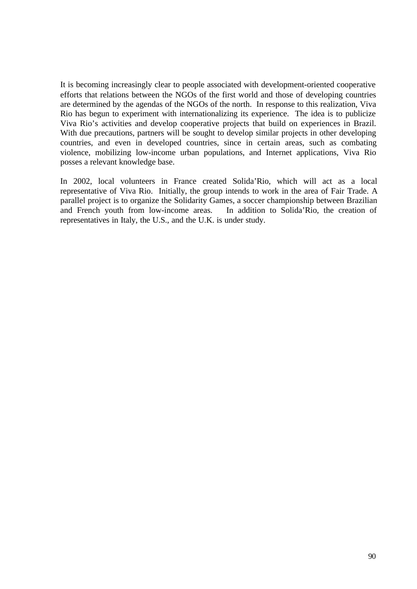It is becoming increasingly clear to people associated with development-oriented cooperative efforts that relations between the NGOs of the first world and those of developing countries are determined by the agendas of the NGOs of the north. In response to this realization, Viva Rio has begun to experiment with internationalizing its experience. The idea is to publicize Viva Rio's activities and develop cooperative projects that build on experiences in Brazil. With due precautions, partners will be sought to develop similar projects in other developing countries, and even in developed countries, since in certain areas, such as combating violence, mobilizing low-income urban populations, and Internet applications, Viva Rio posses a relevant knowledge base.

In 2002, local volunteers in France created Solida'Rio, which will act as a local representative of Viva Rio. Initially, the group intends to work in the area of Fair Trade. A parallel project is to organize the Solidarity Games, a soccer championship between Brazilian and French youth from low-income areas. In addition to Solida'Rio, the creation of representatives in Italy, the U.S., and the U.K. is under study.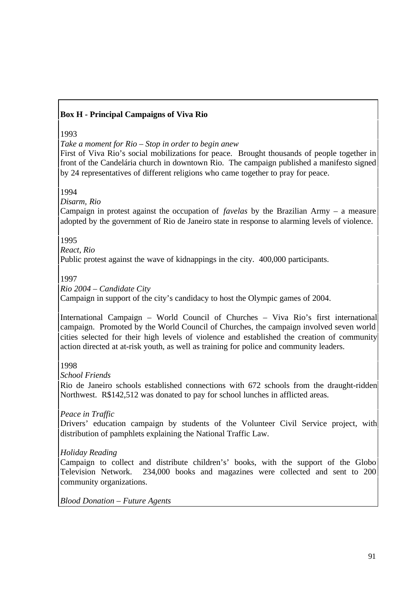# **Box H - Principal Campaigns of Viva Rio**

### 1993

*Take a moment for Rio – Stop in order to begin anew*

First of Viva Rio's social mobilizations for peace. Brought thousands of people together in front of the Candelária church in downtown Rio. The campaign published a manifesto signed by 24 representatives of different religions who came together to pray for peace.

1994

*Disarm, Rio*

Campaign in protest against the occupation of *favelas* by the Brazilian Army – a measure adopted by the government of Rio de Janeiro state in response to alarming levels of violence.

1995

*React, Rio*

Public protest against the wave of kidnappings in the city. 400,000 participants.

1997

*Rio 2004 – Candidate City*

Campaign in support of the city's candidacy to host the Olympic games of 2004.

International Campaign – World Council of Churches – Viva Rio's first international campaign. Promoted by the World Council of Churches, the campaign involved seven world cities selected for their high levels of violence and established the creation of community action directed at at-risk youth, as well as training for police and community leaders.

# 1998

*School Friends*

Rio de Janeiro schools established connections with 672 schools from the draught-ridden Northwest. R\$142,512 was donated to pay for school lunches in afflicted areas.

*Peace in Traffic*

Drivers' education campaign by students of the Volunteer Civil Service project, with distribution of pamphlets explaining the National Traffic Law.

# *Holiday Reading*

Campaign to collect and distribute children's' books, with the support of the Globo Television Network. 234,000 books and magazines were collected and sent to 200 community organizations.

*Blood Donation – Future Agents*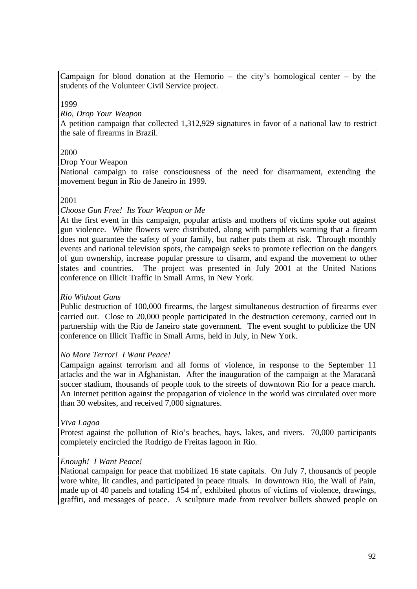Campaign for blood donation at the Hemorio – the city's homological center – by the students of the Volunteer Civil Service project.

1999

*Rio, Drop Your Weapon*

A petition campaign that collected 1,312,929 signatures in favor of a national law to restrict the sale of firearms in Brazil.

#### 2000

Drop Your Weapon

National campaign to raise consciousness of the need for disarmament, extending the movement begun in Rio de Janeiro in 1999.

#### 2001

#### *Choose Gun Free! Its Your Weapon or Me*

At the first event in this campaign, popular artists and mothers of victims spoke out against gun violence. White flowers were distributed, along with pamphlets warning that a firearm does not guarantee the safety of your family, but rather puts them at risk. Through monthly events and national television spots, the campaign seeks to promote reflection on the dangers of gun ownership, increase popular pressure to disarm, and expand the movement to other states and countries. The project was presented in July 2001 at the United Nations conference on Illicit Traffic in Small Arms, in New York.

#### *Rio Without Guns*

Public destruction of 100,000 firearms, the largest simultaneous destruction of firearms ever carried out. Close to 20,000 people participated in the destruction ceremony, carried out in partnership with the Rio de Janeiro state government. The event sought to publicize the UN conference on Illicit Traffic in Small Arms, held in July, in New York.

#### *No More Terror! I Want Peace!*

Campaign against terrorism and all forms of violence, in response to the September 11 attacks and the war in Afghanistan. After the inauguration of the campaign at the Maracanã soccer stadium, thousands of people took to the streets of downtown Rio for a peace march. An Internet petition against the propagation of violence in the world was circulated over more than 30 websites, and received 7,000 signatures.

#### *Viva Lagoa*

Protest against the pollution of Rio's beaches, bays, lakes, and rivers. 70,000 participants completely encircled the Rodrigo de Freitas lagoon in Rio.

#### *Enough! I Want Peace!*

National campaign for peace that mobilized 16 state capitals. On July 7, thousands of people wore white, lit candles, and participated in peace rituals. In downtown Rio, the Wall of Pain, made up of 40 panels and totaling  $154 \text{ m}^2$ , exhibited photos of victims of violence, drawings, graffiti, and messages of peace. A sculpture made from revolver bullets showed people on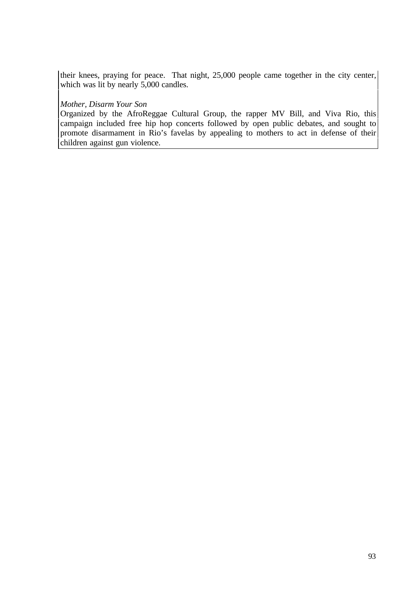their knees, praying for peace. That night, 25,000 people came together in the city center, which was lit by nearly 5,000 candles.

#### *Mother, Disarm Your Son*

Organized by the AfroReggae Cultural Group, the rapper MV Bill, and Viva Rio, this campaign included free hip hop concerts followed by open public debates, and sought to promote disarmament in Rio's favelas by appealing to mothers to act in defense of their children against gun violence.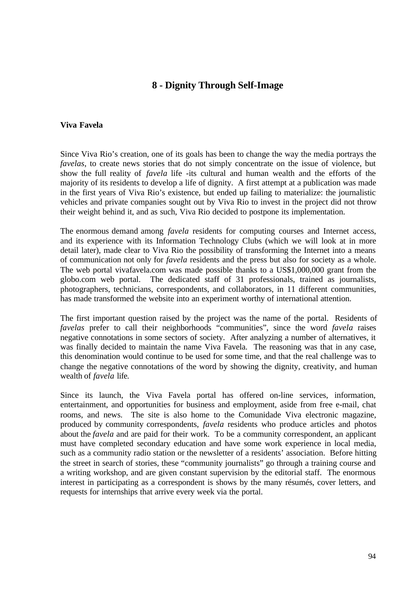# **8 - Dignity Through Self-Image**

#### **Viva Favela**

Since Viva Rio's creation, one of its goals has been to change the way the media portrays the *favelas*, to create news stories that do not simply concentrate on the issue of violence, but show the full reality of *favela* life -its cultural and human wealth and the efforts of the majority of its residents to develop a life of dignity. A first attempt at a publication was made in the first years of Viva Rio's existence, but ended up failing to materialize: the journalistic vehicles and private companies sought out by Viva Rio to invest in the project did not throw their weight behind it, and as such, Viva Rio decided to postpone its implementation.

The enormous demand among *favela* residents for computing courses and Internet access, and its experience with its Information Technology Clubs (which we will look at in more detail later), made clear to Viva Rio the possibility of transforming the Internet into a means of communication not only for *favela* residents and the press but also for society as a whole. The web portal vivafavela.com was made possible thanks to a US\$1,000,000 grant from the globo.com web portal. The dedicated staff of 31 professionals, trained as journalists, photographers, technicians, correspondents, and collaborators, in 11 different communities, has made transformed the website into an experiment worthy of international attention.

The first important question raised by the project was the name of the portal. Residents of *favelas* prefer to call their neighborhoods "communities", since the word *favela* raises negative connotations in some sectors of society. After analyzing a number of alternatives, it was finally decided to maintain the name Viva Favela. The reasoning was that in any case, this denomination would continue to be used for some time, and that the real challenge was to change the negative connotations of the word by showing the dignity, creativity, and human wealth of *favela* life.

Since its launch, the Viva Favela portal has offered on-line services, information, entertainment, and opportunities for business and employment, aside from free e-mail, chat rooms, and news. The site is also home to the Comunidade Viva electronic magazine, produced by community correspondents, *favela* residents who produce articles and photos about the *favela* and are paid for their work. To be a community correspondent, an applicant must have completed secondary education and have some work experience in local media, such as a community radio station or the newsletter of a residents' association. Before hitting the street in search of stories, these "community journalists" go through a training course and a writing workshop, and are given constant supervision by the editorial staff. The enormous interest in participating as a correspondent is shows by the many résumés, cover letters, and requests for internships that arrive every week via the portal.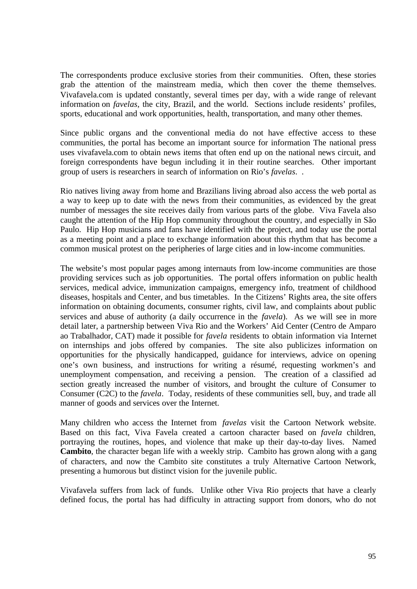The correspondents produce exclusive stories from their communities. Often, these stories grab the attention of the mainstream media, which then cover the theme themselves. Vivafavela.com is updated constantly, several times per day, with a wide range of relevant information on *favelas*, the city, Brazil, and the world. Sections include residents' profiles, sports, educational and work opportunities, health, transportation, and many other themes.

Since public organs and the conventional media do not have effective access to these communities, the portal has become an important source for information The national press uses vivafavela.com to obtain news items that often end up on the national news circuit, and foreign correspondents have begun including it in their routine searches. Other important group of users is researchers in search of information on Rio's *favelas*. .

Rio natives living away from home and Brazilians living abroad also access the web portal as a way to keep up to date with the news from their communities, as evidenced by the great number of messages the site receives daily from various parts of the globe. Viva Favela also caught the attention of the Hip Hop community throughout the country, and especially in São Paulo. Hip Hop musicians and fans have identified with the project, and today use the portal as a meeting point and a place to exchange information about this rhythm that has become a common musical protest on the peripheries of large cities and in low-income communities.

The website's most popular pages among internauts from low-income communities are those providing services such as job opportunities. The portal offers information on public health services, medical advice, immunization campaigns, emergency info, treatment of childhood diseases, hospitals and Center, and bus timetables. In the Citizens' Rights area, the site offers information on obtaining documents, consumer rights, civil law, and complaints about public services and abuse of authority (a daily occurrence in the *favela*). As we will see in more detail later, a partnership between Viva Rio and the Workers' Aid Center (Centro de Amparo ao Trabalhador, CAT) made it possible for *favela* residents to obtain information via Internet on internships and jobs offered by companies. The site also publicizes information on opportunities for the physically handicapped, guidance for interviews, advice on opening one's own business, and instructions for writing a résumé, requesting workmen's and unemployment compensation, and receiving a pension. The creation of a classified ad section greatly increased the number of visitors, and brought the culture of Consumer to Consumer (C2C) to the *favela*. Today, residents of these communities sell, buy, and trade all manner of goods and services over the Internet.

Many children who access the Internet from *favelas* visit the Cartoon Network website. Based on this fact, Viva Favela created a cartoon character based on *favela* children, portraying the routines, hopes, and violence that make up their day-to-day lives. Named **Cambito**, the character began life with a weekly strip. Cambito has grown along with a gang of characters, and now the Cambito site constitutes a truly Alternative Cartoon Network, presenting a humorous but distinct vision for the juvenile public.

Vivafavela suffers from lack of funds. Unlike other Viva Rio projects that have a clearly defined focus, the portal has had difficulty in attracting support from donors, who do not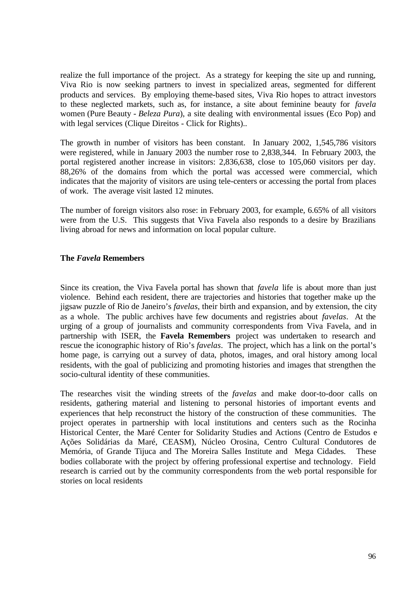realize the full importance of the project. As a strategy for keeping the site up and running, Viva Rio is now seeking partners to invest in specialized areas, segmented for different products and services. By employing theme-based sites, Viva Rio hopes to attract investors to these neglected markets, such as, for instance, a site about feminine beauty for *favela* women (Pure Beauty - *Beleza Pura*), a site dealing with environmental issues (Eco Pop) and with legal services (Clique Direitos - Click for Rights)..

The growth in number of visitors has been constant. In January 2002, 1,545,786 visitors were registered, while in January 2003 the number rose to 2,838,344. In February 2003, the portal registered another increase in visitors: 2,836,638, close to 105,060 visitors per day. 88,26% of the domains from which the portal was accessed were commercial, which indicates that the majority of visitors are using tele-centers or accessing the portal from places of work. The average visit lasted 12 minutes.

The number of foreign visitors also rose: in February 2003, for example, 6.65% of all visitors were from the U.S. This suggests that Viva Favela also responds to a desire by Brazilians living abroad for news and information on local popular culture.

### **The** *Favela* **Remembers**

Since its creation, the Viva Favela portal has shown that *favela* life is about more than just violence. Behind each resident, there are trajectories and histories that together make up the jigsaw puzzle of Rio de Janeiro's *favelas*, their birth and expansion, and by extension, the city as a whole. The public archives have few documents and registries about *favelas*. At the urging of a group of journalists and community correspondents from Viva Favela, and in partnership with ISER, the **Favela Remembers** project was undertaken to research and rescue the iconographic history of Rio's *favelas*. The project, which has a link on the portal's home page, is carrying out a survey of data, photos, images, and oral history among local residents, with the goal of publicizing and promoting histories and images that strengthen the socio-cultural identity of these communities.

The researches visit the winding streets of the *favelas* and make door-to-door calls on residents, gathering material and listening to personal histories of important events and experiences that help reconstruct the history of the construction of these communities. The project operates in partnership with local institutions and centers such as the Rocinha Historical Center, the Maré Center for Solidarity Studies and Actions (Centro de Estudos e Ações Solidárias da Maré, CEASM), Núcleo Orosina, Centro Cultural Condutores de Memória, of Grande Tijuca and The Moreira Salles Institute and Mega Cidades. These bodies collaborate with the project by offering professional expertise and technology. Field research is carried out by the community correspondents from the web portal responsible for stories on local residents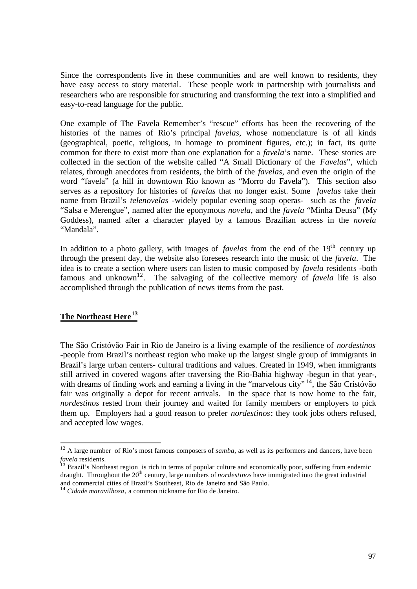Since the correspondents live in these communities and are well known to residents, they have easy access to story material. These people work in partnership with journalists and researchers who are responsible for structuring and transforming the text into a simplified and easy-to-read language for the public.

One example of The Favela Remember's "rescue" efforts has been the recovering of the histories of the names of Rio's principal *favelas*, whose nomenclature is of all kinds (geographical, poetic, religious, in homage to prominent figures, etc.); in fact, its quite common for there to exist more than one explanation for a *favela*'s name. These stories are collected in the section of the website called "A Small Dictionary of the *Favelas*", which relates, through anecdotes from residents, the birth of the *favelas*, and even the origin of the word "favela" (a hill in downtown Rio known as "Morro do Favela"). This section also serves as a repository for histories of *favelas* that no longer exist. Some *favelas* take their name from Brazil's *telenovelas* -widely popular evening soap operas- such as the *favela* "Salsa e Merengue", named after the eponymous *novela*, and the *favela* "Minha Deusa" (My Goddess), named after a character played by a famous Brazilian actress in the *novela* "Mandala".

In addition to a photo gallery, with images of *favelas* from the end of the 19<sup>th</sup> century up through the present day, the website also foresees research into the music of the *favela*. The idea is to create a section where users can listen to music composed by *favela* residents -both famous and unknown<sup>12</sup>. The salvaging of the collective memory of *favela* life is also accomplished through the publication of news items from the past.

# **The Northeast Here<sup>13</sup>**

 $\overline{a}$ 

The São Cristóvão Fair in Rio de Janeiro is a living example of the resilience of *nordestinos* -people from Brazil's northeast region who make up the largest single group of immigrants in Brazil's large urban centers- cultural traditions and values. Created in 1949, when immigrants still arrived in covered wagons after traversing the Rio-Bahia highway -begun in that year-, with dreams of finding work and earning a living in the "marvelous city"<sup>14</sup>, the São Cristóvão fair was originally a depot for recent arrivals. In the space that is now home to the fair, *nordestinos* rested from their journey and waited for family members or employers to pick them up. Employers had a good reason to prefer *nordestinos*: they took jobs others refused, and accepted low wages.

<sup>&</sup>lt;sup>12</sup> A large number of Rio's most famous composers of *samba*, as well as its performers and dancers, have been *favela* residents.

<sup>&</sup>lt;sup>13</sup> Brazil's Northeast region is rich in terms of popular culture and economically poor, suffering from endemic draught. Throughout the 20<sup>th</sup> century, large numbers of *nordestinos* have immigrated into the great industrial and commercial cities of Brazil's Southeast, Rio de Janeiro and São Paulo.

<sup>14</sup> *Cidade maravilhosa*, a common nickname for Rio de Janeiro.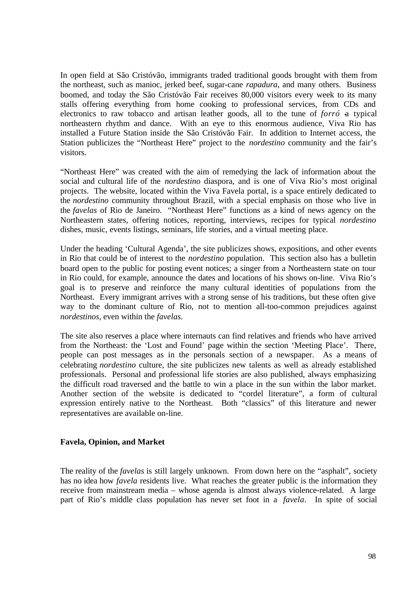In open field at São Cristóvão, immigrants traded traditional goods brought with them from the northeast, such as manioc, jerked beef, sugar-cane *rapadura*, and many others. Business boomed, and today the São Cristóvão Fair receives 80,000 visitors every week to its many stalls offering everything from home cooking to professional services, from CDs and electronics to raw tobacco and artisan leather goods, all to the tune of *forró* a typical northeastern rhythm and dance. With an eye to this enormous audience, Viva Rio has installed a Future Station inside the São Cristóvão Fair. In addition to Internet access, the Station publicizes the "Northeast Here" project to the *nordestino* community and the fair's visitors.

"Northeast Here" was created with the aim of remedying the lack of information about the social and cultural life of the *nordestino* diaspora, and is one of Viva Rio's most original projects. The website, located within the Viva Favela portal, is a space entirely dedicated to the *nordestino* community throughout Brazil, with a special emphasis on those who live in the *favelas* of Rio de Janeiro. "Northeast Here" functions as a kind of news agency on the Northeastern states, offering notices, reporting, interviews, recipes for typical *nordestino* dishes, music, events listings, seminars, life stories, and a virtual meeting place.

Under the heading 'Cultural Agenda', the site publicizes shows, expositions, and other events in Rio that could be of interest to the *nordestino* population. This section also has a bulletin board open to the public for posting event notices; a singer from a Northeastern state on tour in Rio could, for example, announce the dates and locations of his shows on-line. Viva Rio's goal is to preserve and reinforce the many cultural identities of populations from the Northeast. Every immigrant arrives with a strong sense of his traditions, but these often give way to the dominant culture of Rio, not to mention all-too-common prejudices against *nordestinos*, even within the *favelas.*

The site also reserves a place where internauts can find relatives and friends who have arrived from the Northeast: the 'Lost and Found' page within the section 'Meeting Place'. There, people can post messages as in the personals section of a newspaper. As a means of celebrating *nordestino* culture, the site publicizes new talents as well as already established professionals. Personal and professional life stories are also published, always emphasizing the difficult road traversed and the battle to win a place in the sun within the labor market. Another section of the website is dedicated to "cordel literature", a form of cultural expression entirely native to the Northeast. Both "classics" of this literature and newer representatives are available on-line.

#### **Favela, Opinion, and Market**

The reality of the *favelas* is still largely unknown. From down here on the "asphalt", society has no idea how *favela* residents live. What reaches the greater public is the information they receive from mainstream media – whose agenda is almost always violence-related. A large part of Rio's middle class population has never set foot in a *favela*. In spite of social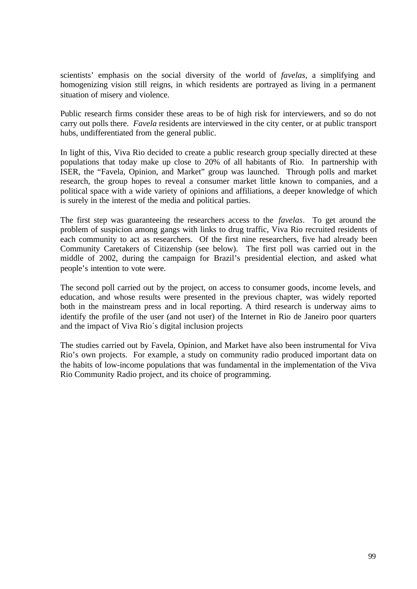scientists' emphasis on the social diversity of the world of *favelas*, a simplifying and homogenizing vision still reigns, in which residents are portrayed as living in a permanent situation of misery and violence.

Public research firms consider these areas to be of high risk for interviewers, and so do not carry out polls there. *Favela* residents are interviewed in the city center, or at public transport hubs, undifferentiated from the general public.

In light of this, Viva Rio decided to create a public research group specially directed at these populations that today make up close to 20% of all habitants of Rio. In partnership with ISER, the "Favela, Opinion, and Market" group was launched. Through polls and market research, the group hopes to reveal a consumer market little known to companies, and a political space with a wide variety of opinions and affiliations, a deeper knowledge of which is surely in the interest of the media and political parties.

The first step was guaranteeing the researchers access to the *favelas*. To get around the problem of suspicion among gangs with links to drug traffic, Viva Rio recruited residents of each community to act as researchers. Of the first nine researchers, five had already been Community Caretakers of Citizenship (see below). The first poll was carried out in the middle of 2002, during the campaign for Brazil's presidential election, and asked what people's intention to vote were.

The second poll carried out by the project, on access to consumer goods, income levels, and education, and whose results were presented in the previous chapter, was widely reported both in the mainstream press and in local reporting. A third research is underway aims to identify the profile of the user (and not user) of the Internet in Rio de Janeiro poor quarters and the impact of Viva Rio´s digital inclusion projects

The studies carried out by Favela, Opinion, and Market have also been instrumental for Viva Rio's own projects. For example, a study on community radio produced important data on the habits of low-income populations that was fundamental in the implementation of the Viva Rio Community Radio project, and its choice of programming.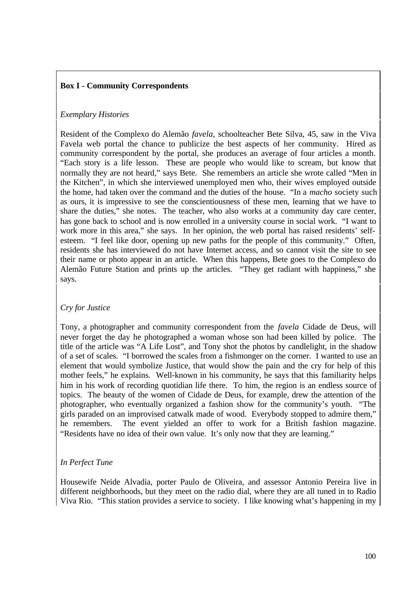# **Box I - Community Correspondents**

# *Exemplary Histories*

Resident of the Complexo do Alemão *favela*, schoolteacher Bete Silva, 45, saw in the Viva Favela web portal the chance to publicize the best aspects of her community. Hired as community correspondent by the portal, she produces an average of four articles a month. "Each story is a life lesson. These are people who would like to scream, but know that normally they are not heard," says Bete. She remembers an article she wrote called "Men in the Kitchen", in which she interviewed unemployed men who, their wives employed outside the home, had taken over the command and the duties of the house. "In a *macho* society such as ours, it is impressive to see the conscientiousness of these men, learning that we have to share the duties," she notes. The teacher, who also works at a community day care center, has gone back to school and is now enrolled in a university course in social work. "I want to work more in this area," she says. In her opinion, the web portal has raised residents' selfesteem. "I feel like door, opening up new paths for the people of this community." Often, residents she has interviewed do not have Internet access, and so cannot visit the site to see their name or photo appear in an article. When this happens, Bete goes to the Complexo do Alemão Future Station and prints up the articles. "They get radiant with happiness," she says.

# *Cry for Justice*

Tony, a photographer and community correspondent from the *favela* Cidade de Deus, will never forget the day he photographed a woman whose son had been killed by police. The title of the article was "A Life Lost", and Tony shot the photos by candlelight, in the shadow of a set of scales. "I borrowed the scales from a fishmonger on the corner. I wanted to use an element that would symbolize Justice, that would show the pain and the cry for help of this mother feels," he explains. Well-known in his community, he says that this familiarity helps him in his work of recording quotidian life there. To him, the region is an endless source of topics. The beauty of the women of Cidade de Deus, for example, drew the attention of the photographer, who eventually organized a fashion show for the community's youth. "The girls paraded on an improvised catwalk made of wood. Everybody stopped to admire them," he remembers. The event yielded an offer to work for a British fashion magazine. "Residents have no idea of their own value. It's only now that they are learning."

# *In Perfect Tune*

Housewife Neide Alvadia, porter Paulo de Oliveira, and assessor Antonio Pereira live in different neighborhoods, but they meet on the radio dial, where they are all tuned in to Radio Viva Rio. "This station provides a service to society. I like knowing what's happening in my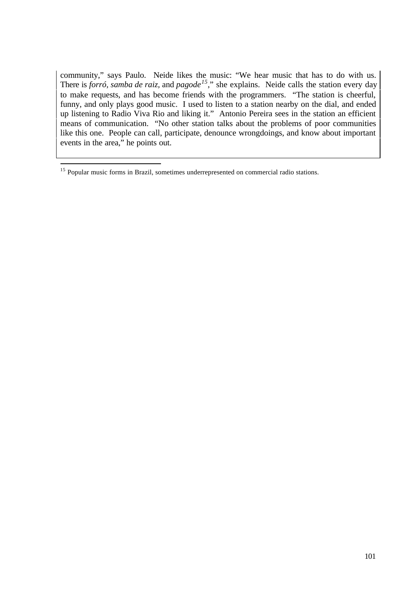community," says Paulo. Neide likes the music: "We hear music that has to do with us. There is *forró, samba de raiz,* and *pagode<sup>15</sup>*," she explains. Neide calls the station every day to make requests, and has become friends with the programmers. "The station is cheerful, funny, and only plays good music. I used to listen to a station nearby on the dial, and ended up listening to Radio Viva Rio and liking it." Antonio Pereira sees in the station an efficient means of communication. "No other station talks about the problems of poor communities like this one. People can call, participate, denounce wrongdoings, and know about important events in the area," he points out.

 $\overline{a}$ 

<sup>&</sup>lt;sup>15</sup> Popular music forms in Brazil, sometimes underrepresented on commercial radio stations.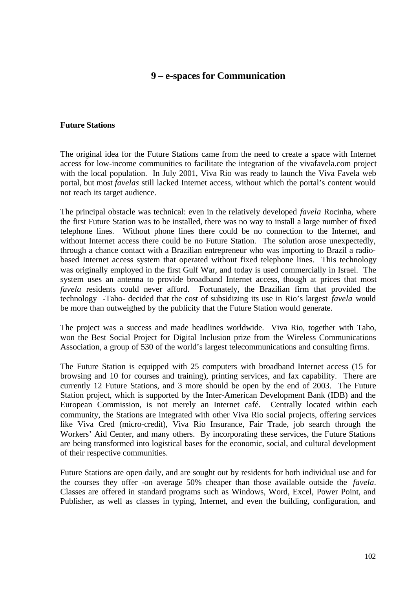# **9 – e-spaces for Communication**

#### **Future Stations**

The original idea for the Future Stations came from the need to create a space with Internet access for low-income communities to facilitate the integration of the vivafavela.com project with the local population. In July 2001, Viva Rio was ready to launch the Viva Favela web portal, but most *favelas* still lacked Internet access, without which the portal's content would not reach its target audience.

The principal obstacle was technical: even in the relatively developed *favela* Rocinha, where the first Future Station was to be installed, there was no way to install a large number of fixed telephone lines. Without phone lines there could be no connection to the Internet, and without Internet access there could be no Future Station. The solution arose unexpectedly, through a chance contact with a Brazilian entrepreneur who was importing to Brazil a radiobased Internet access system that operated without fixed telephone lines. This technology was originally employed in the first Gulf War, and today is used commercially in Israel. The system uses an antenna to provide broadband Internet access, though at prices that most *favela* residents could never afford. Fortunately, the Brazilian firm that provided the technology -Taho- decided that the cost of subsidizing its use in Rio's largest *favela* would be more than outweighed by the publicity that the Future Station would generate.

The project was a success and made headlines worldwide. Viva Rio, together with Taho, won the Best Social Project for Digital Inclusion prize from the Wireless Communications Association, a group of 530 of the world's largest telecommunications and consulting firms.

The Future Station is equipped with 25 computers with broadband Internet access (15 for browsing and 10 for courses and training), printing services, and fax capability. There are currently 12 Future Stations, and 3 more should be open by the end of 2003. The Future Station project, which is supported by the Inter-American Development Bank (IDB) and the European Commission, is not merely an Internet café. Centrally located within each community, the Stations are integrated with other Viva Rio social projects, offering services like Viva Cred (micro-credit), Viva Rio Insurance, Fair Trade, job search through the Workers' Aid Center, and many others. By incorporating these services, the Future Stations are being transformed into logistical bases for the economic, social, and cultural development of their respective communities.

Future Stations are open daily, and are sought out by residents for both individual use and for the courses they offer -on average 50% cheaper than those available outside the *favela*. Classes are offered in standard programs such as Windows, Word, Excel, Power Point, and Publisher, as well as classes in typing, Internet, and even the building, configuration, and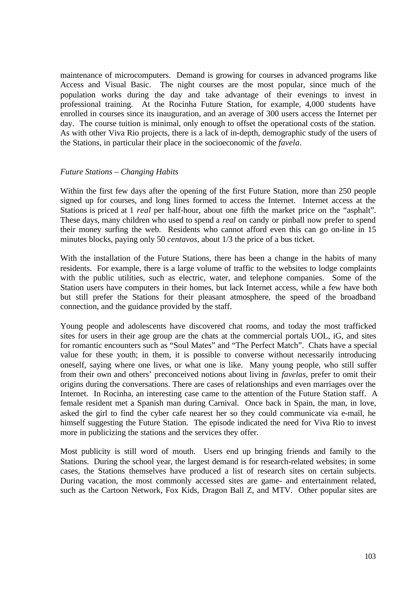maintenance of microcomputers. Demand is growing for courses in advanced programs like Access and Visual Basic. The night courses are the most popular, since much of the population works during the day and take advantage of their evenings to invest in professional training. At the Rocinha Future Station, for example, 4,000 students have enrolled in courses since its inauguration, and an average of 300 users access the Internet per day. The course tuition is minimal, only enough to offset the operational costs of the station. As with other Viva Rio projects, there is a lack of in-depth, demographic study of the users of the Stations, in particular their place in the socioeconomic of the *favela*.

#### *Future Stations – Changing Habits*

Within the first few days after the opening of the first Future Station, more than 250 people signed up for courses, and long lines formed to access the Internet. Internet access at the Stations is priced at 1 *real* per half-hour, about one fifth the market price on the "asphalt". These days, many children who used to spend a *real* on candy or pinball now prefer to spend their money surfing the web. Residents who cannot afford even this can go on-line in 15 minutes blocks, paying only 50 *centavos*, about 1/3 the price of a bus ticket.

With the installation of the Future Stations, there has been a change in the habits of many residents. For example, there is a large volume of traffic to the websites to lodge complaints with the public utilities, such as electric, water, and telephone companies. Some of the Station users have computers in their homes, but lack Internet access, while a few have both but still prefer the Stations for their pleasant atmosphere, the speed of the broadband connection, and the guidance provided by the staff.

Young people and adolescents have discovered chat rooms, and today the most trafficked sites for users in their age group are the chats at the commercial portals UOL, iG, and sites for romantic encounters such as "Soul Mates" and "The Perfect Match". Chats have a special value for these youth; in them, it is possible to converse without necessarily introducing oneself, saying where one lives, or what one is like. Many young people, who still suffer from their own and others' preconceived notions about living in *favelas*, prefer to omit their origins during the conversations. There are cases of relationships and even marriages over the Internet. In Rocinha, an interesting case came to the attention of the Future Station staff. A female resident met a Spanish man during Carnival. Once back in Spain, the man, in love, asked the girl to find the cyber cafe nearest her so they could communicate via e-mail, he himself suggesting the Future Station. The episode indicated the need for Viva Rio to invest more in publicizing the stations and the services they offer.

Most publicity is still word of mouth. Users end up bringing friends and family to the Stations. During the school year, the largest demand is for research-related websites; in some cases, the Stations themselves have produced a list of research sites on certain subjects. During vacation, the most commonly accessed sites are game- and entertainment related, such as the Cartoon Network, Fox Kids, Dragon Ball Z, and MTV. Other popular sites are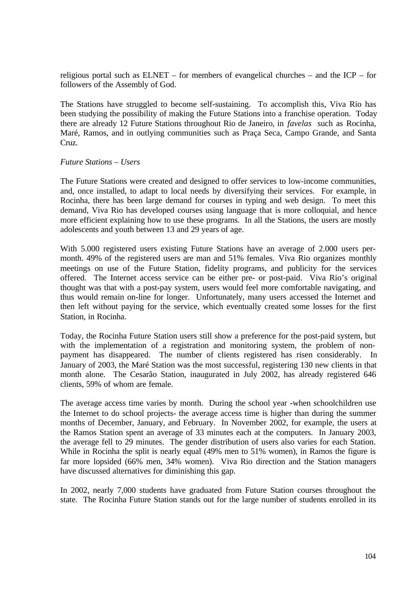religious portal such as ELNET – for members of evangelical churches – and the ICP – for followers of the Assembly of God.

The Stations have struggled to become self-sustaining. To accomplish this, Viva Rio has been studying the possibility of making the Future Stations into a franchise operation. Today there are already 12 Future Stations throughout Rio de Janeiro, in *favelas* such as Rocinha, Maré, Ramos, and in outlying communities such as Praça Seca, Campo Grande, and Santa Cruz.

#### *Future Stations – Users*

The Future Stations were created and designed to offer services to low-income communities, and, once installed, to adapt to local needs by diversifying their services. For example, in Rocinha, there has been large demand for courses in typing and web design. To meet this demand, Viva Rio has developed courses using language that is more colloquial, and hence more efficient explaining how to use these programs. In all the Stations, the users are mostly adolescents and youth between 13 and 29 years of age.

With 5.000 registered users existing Future Stations have an average of 2.000 users permonth. 49% of the registered users are man and 51% females. Viva Rio organizes monthly meetings on use of the Future Station, fidelity programs, and publicity for the services offered. The Internet access service can be either pre- or post-paid. Viva Rio's original thought was that with a post-pay system, users would feel more comfortable navigating, and thus would remain on-line for longer. Unfortunately, many users accessed the Internet and then left without paying for the service, which eventually created some losses for the first Station, in Rocinha.

Today, the Rocinha Future Station users still show a preference for the post-paid system, but with the implementation of a registration and monitoring system, the problem of nonpayment has disappeared. The number of clients registered has risen considerably. In January of 2003, the Maré Station was the most successful, registering 130 new clients in that month alone. The Cesarão Station, inaugurated in July 2002, has already registered 646 clients, 59% of whom are female.

The average access time varies by month. During the school year -when schoolchildren use the Internet to do school projects- the average access time is higher than during the summer months of December, January, and February. In November 2002, for example, the users at the Ramos Station spent an average of 33 minutes each at the computers. In January 2003, the average fell to 29 minutes. The gender distribution of users also varies for each Station. While in Rocinha the split is nearly equal (49% men to 51% women), in Ramos the figure is far more lopsided (66% men, 34% women). Viva Rio direction and the Station managers have discussed alternatives for diminishing this gap.

In 2002, nearly 7,000 students have graduated from Future Station courses throughout the state. The Rocinha Future Station stands out for the large number of students enrolled in its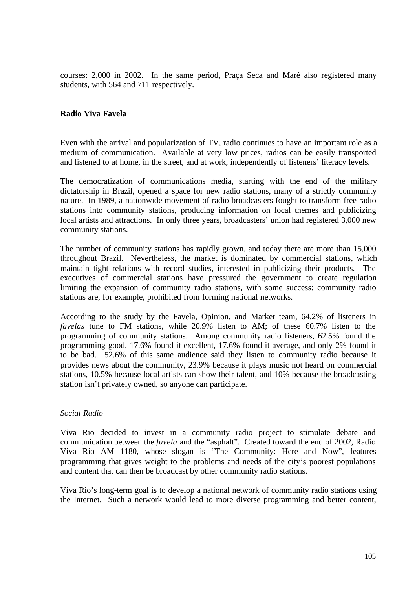courses: 2,000 in 2002. In the same period, Praça Seca and Maré also registered many students, with 564 and 711 respectively.

### **Radio Viva Favela**

Even with the arrival and popularization of TV, radio continues to have an important role as a medium of communication. Available at very low prices, radios can be easily transported and listened to at home, in the street, and at work, independently of listeners' literacy levels.

The democratization of communications media, starting with the end of the military dictatorship in Brazil, opened a space for new radio stations, many of a strictly community nature. In 1989, a nationwide movement of radio broadcasters fought to transform free radio stations into community stations, producing information on local themes and publicizing local artists and attractions. In only three years, broadcasters' union had registered 3,000 new community stations.

The number of community stations has rapidly grown, and today there are more than 15,000 throughout Brazil. Nevertheless, the market is dominated by commercial stations, which maintain tight relations with record studies, interested in publicizing their products. The executives of commercial stations have pressured the government to create regulation limiting the expansion of community radio stations, with some success: community radio stations are, for example, prohibited from forming national networks.

According to the study by the Favela, Opinion, and Market team, 64.2% of listeners in *favelas* tune to FM stations, while 20.9% listen to AM; of these 60.7% listen to the programming of community stations. Among community radio listeners, 62.5% found the programming good, 17.6% found it excellent, 17.6% found it average, and only 2% found it to be bad. 52.6% of this same audience said they listen to community radio because it provides news about the community, 23.9% because it plays music not heard on commercial stations, 10.5% because local artists can show their talent, and 10% because the broadcasting station isn't privately owned, so anyone can participate.

#### *Social Radio*

Viva Rio decided to invest in a community radio project to stimulate debate and communication between the *favela* and the "asphalt". Created toward the end of 2002, Radio Viva Rio AM 1180, whose slogan is "The Community: Here and Now", features programming that gives weight to the problems and needs of the city's poorest populations and content that can then be broadcast by other community radio stations.

Viva Rio's long-term goal is to develop a national network of community radio stations using the Internet. Such a network would lead to more diverse programming and better content,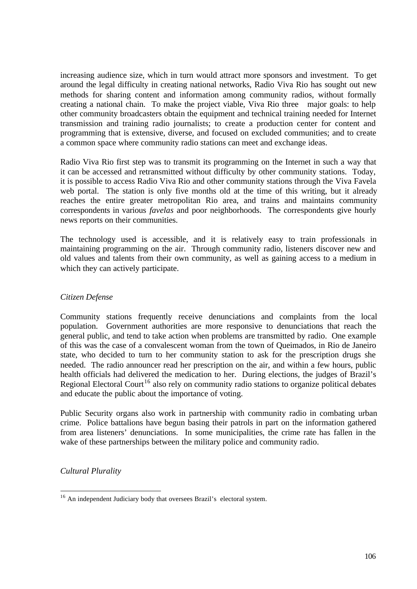increasing audience size, which in turn would attract more sponsors and investment. To get around the legal difficulty in creating national networks, Radio Viva Rio has sought out new methods for sharing content and information among community radios, without formally creating a national chain. To make the project viable, Viva Rio three major goals: to help other community broadcasters obtain the equipment and technical training needed for Internet transmission and training radio journalists; to create a production center for content and programming that is extensive, diverse, and focused on excluded communities; and to create a common space where community radio stations can meet and exchange ideas.

Radio Viva Rio first step was to transmit its programming on the Internet in such a way that it can be accessed and retransmitted without difficulty by other community stations. Today, it is possible to access Radio Viva Rio and other community stations through the Viva Favela web portal. The station is only five months old at the time of this writing, but it already reaches the entire greater metropolitan Rio area, and trains and maintains community correspondents in various *favelas* and poor neighborhoods. The correspondents give hourly news reports on their communities.

The technology used is accessible, and it is relatively easy to train professionals in maintaining programming on the air. Through community radio, listeners discover new and old values and talents from their own community, as well as gaining access to a medium in which they can actively participate.

### *Citizen Defense*

Community stations frequently receive denunciations and complaints from the local population. Government authorities are more responsive to denunciations that reach the general public, and tend to take action when problems are transmitted by radio. One example of this was the case of a convalescent woman from the town of Queimados, in Rio de Janeiro state, who decided to turn to her community station to ask for the prescription drugs she needed. The radio announcer read her prescription on the air, and within a few hours, public health officials had delivered the medication to her. During elections, the judges of Brazil's Regional Electoral Court<sup>16</sup> also rely on community radio stations to organize political debates and educate the public about the importance of voting.

Public Security organs also work in partnership with community radio in combating urban crime. Police battalions have begun basing their patrols in part on the information gathered from area listeners' denunciations. In some municipalities, the crime rate has fallen in the wake of these partnerships between the military police and community radio.

*Cultural Plurality*

 $\overline{a}$ <sup>16</sup> An independent Judiciary body that oversees Brazil's electoral system.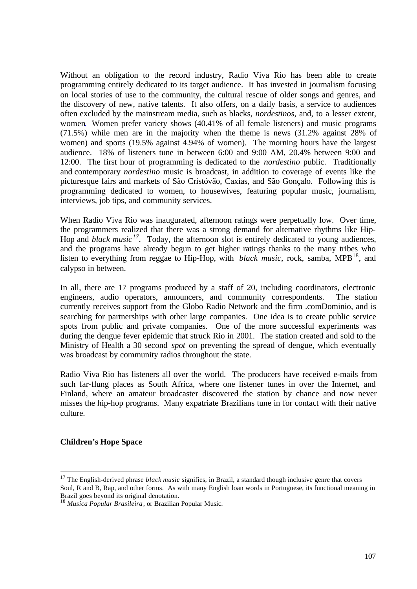Without an obligation to the record industry, Radio Viva Rio has been able to create programming entirely dedicated to its target audience. It has invested in journalism focusing on local stories of use to the community, the cultural rescue of older songs and genres, and the discovery of new, native talents. It also offers, on a daily basis, a service to audiences often excluded by the mainstream media, such as blacks, *nordestinos*, and, to a lesser extent, women. Women prefer variety shows (40.41% of all female listeners) and music programs (71.5%) while men are in the majority when the theme is news (31.2% against 28% of women) and sports (19.5% against 4.94% of women). The morning hours have the largest audience. 18% of listeners tune in between 6:00 and 9:00 AM, 20.4% between 9:00 and 12:00. The first hour of programming is dedicated to the *nordestino* public. Traditionally and contemporary *nordestino* music is broadcast, in addition to coverage of events like the picturesque fairs and markets of São Cristóvão, Caxias, and São Gonçalo. Following this is programming dedicated to women, to housewives, featuring popular music, journalism, interviews, job tips, and community services.

When Radio Viva Rio was inaugurated, afternoon ratings were perpetually low. Over time, the programmers realized that there was a strong demand for alternative rhythms like Hip-Hop and *black music<sup>17</sup> .* Today, the afternoon slot is entirely dedicated to young audiences, and the programs have already begun to get higher ratings thanks to the many tribes who listen to everything from reggae to Hip-Hop, with *black music*, rock, samba, MPB<sup>18</sup>, and calypso in between.

In all, there are 17 programs produced by a staff of 20, including coordinators, electronic engineers, audio operators, announcers, and community correspondents. The station currently receives support from the Globo Radio Network and the firm .comDominio, and is searching for partnerships with other large companies. One idea is to create public service spots from public and private companies. One of the more successful experiments was during the dengue fever epidemic that struck Rio in 2001. The station created and sold to the Ministry of Health a 30 second *spot* on preventing the spread of dengue, which eventually was broadcast by community radios throughout the state.

Radio Viva Rio has listeners all over the world. The producers have received e-mails from such far-flung places as South Africa, where one listener tunes in over the Internet, and Finland, where an amateur broadcaster discovered the station by chance and now never misses the hip-hop programs. Many expatriate Brazilians tune in for contact with their native culture.

# **Children's Hope Space**

 $\overline{a}$ 

<sup>&</sup>lt;sup>17</sup> The English-derived phrase *black music* signifies, in Brazil, a standard though inclusive genre that covers Soul, R and B, Rap, and other forms. As with many English loan words in Portuguese, its functional meaning in Brazil goes beyond its original denotation.

<sup>18</sup> *Musica Popular Brasileira*, or Brazilian Popular Music.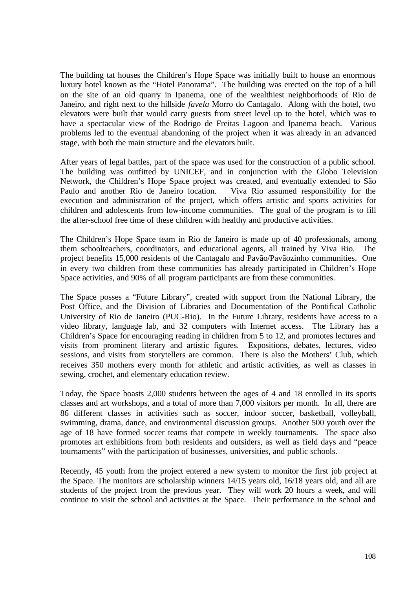The building tat houses the Children's Hope Space was initially built to house an enormous luxury hotel known as the "Hotel Panorama". The building was erected on the top of a hill on the site of an old quarry in Ipanema, one of the wealthiest neighborhoods of Rio de Janeiro, and right next to the hillside *favela* Morro do Cantagalo. Along with the hotel, two elevators were built that would carry guests from street level up to the hotel, which was to have a spectacular view of the Rodrigo de Freitas Lagoon and Ipanema beach. Various problems led to the eventual abandoning of the project when it was already in an advanced stage, with both the main structure and the elevators built.

After years of legal battles, part of the space was used for the construction of a public school. The building was outfitted by UNICEF, and in conjunction with the Globo Television Network, the Children's Hope Space project was created, and eventually extended to São Paulo and another Rio de Janeiro location. Viva Rio assumed responsibility for the execution and administration of the project, which offers artistic and sports activities for children and adolescents from low-income communities. The goal of the program is to fill the after-school free time of these children with healthy and productive activities.

The Children's Hope Space team in Rio de Janeiro is made up of 40 professionals, among them schoolteachers, coordinators, and educational agents, all trained by Viva Rio. The project benefits 15,000 residents of the Cantagalo and Pavão/Pavãozinho communities. One in every two children from these communities has already participated in Children's Hope Space activities, and 90% of all program participants are from these communities.

The Space posses a "Future Library", created with support from the National Library, the Post Office, and the Division of Libraries and Documentation of the Pontifical Catholic University of Rio de Janeiro (PUC-Rio). In the Future Library, residents have access to a video library, language lab, and 32 computers with Internet access. The Library has a Children's Space for encouraging reading in children from 5 to 12, and promotes lectures and visits from prominent literary and artistic figures. Expositions, debates, lectures, video sessions, and visits from storytellers are common. There is also the Mothers' Club, which receives 350 mothers every month for athletic and artistic activities, as well as classes in sewing, crochet, and elementary education review.

Today, the Space boasts 2,000 students between the ages of 4 and 18 enrolled in its sports classes and art workshops, and a total of more than 7,000 visitors per month. In all, there are 86 different classes in activities such as soccer, indoor soccer, basketball, volleyball, swimming, drama, dance, and environmental discussion groups. Another 500 youth over the age of 18 have formed soccer teams that compete in weekly tournaments. The space also promotes art exhibitions from both residents and outsiders, as well as field days and "peace tournaments" with the participation of businesses, universities, and public schools.

Recently, 45 youth from the project entered a new system to monitor the first job project at the Space. The monitors are scholarship winners 14/15 years old, 16/18 years old, and all are students of the project from the previous year. They will work 20 hours a week, and will continue to visit the school and activities at the Space. Their performance in the school and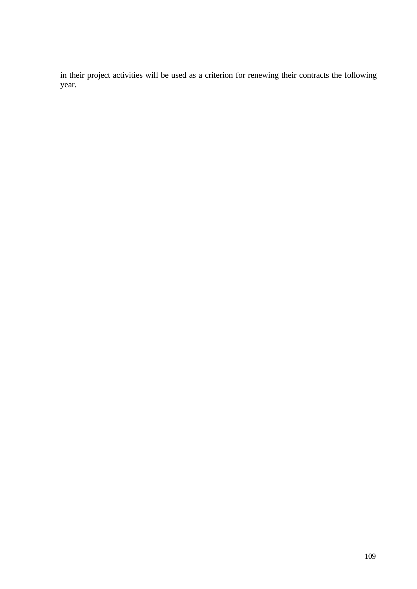in their project activities will be used as a criterion for renewing their contracts the following year.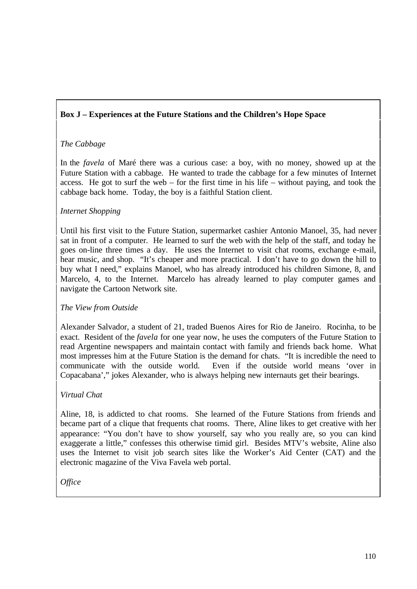# **Box J – Experiences at the Future Stations and the Children's Hope Space**

# *The Cabbage*

In the *favela* of Maré there was a curious case: a boy, with no money, showed up at the Future Station with a cabbage. He wanted to trade the cabbage for a few minutes of Internet access. He got to surf the web – for the first time in his life – without paying, and took the cabbage back home. Today, the boy is a faithful Station client.

# *Internet Shopping*

Until his first visit to the Future Station, supermarket cashier Antonio Manoel, 35, had never sat in front of a computer. He learned to surf the web with the help of the staff, and today he goes on-line three times a day. He uses the Internet to visit chat rooms, exchange e-mail, hear music, and shop. "It's cheaper and more practical. I don't have to go down the hill to buy what I need," explains Manoel, who has already introduced his children Simone, 8, and Marcelo, 4, to the Internet. Marcelo has already learned to play computer games and navigate the Cartoon Network site.

## *The View from Outside*

Alexander Salvador, a student of 21, traded Buenos Aires for Rio de Janeiro. Rocinha, to be exact. Resident of the *favela* for one year now, he uses the computers of the Future Station to read Argentine newspapers and maintain contact with family and friends back home. What most impresses him at the Future Station is the demand for chats. "It is incredible the need to communicate with the outside world. Even if the outside world means 'over in Copacabana'," jokes Alexander, who is always helping new internauts get their bearings.

## *Virtual Chat*

Aline, 18, is addicted to chat rooms. She learned of the Future Stations from friends and became part of a clique that frequents chat rooms. There, Aline likes to get creative with her appearance: "You don't have to show yourself, say who you really are, so you can kind exaggerate a little," confesses this otherwise timid girl. Besides MTV's website, Aline also uses the Internet to visit job search sites like the Worker's Aid Center (CAT) and the electronic magazine of the Viva Favela web portal.

*Office*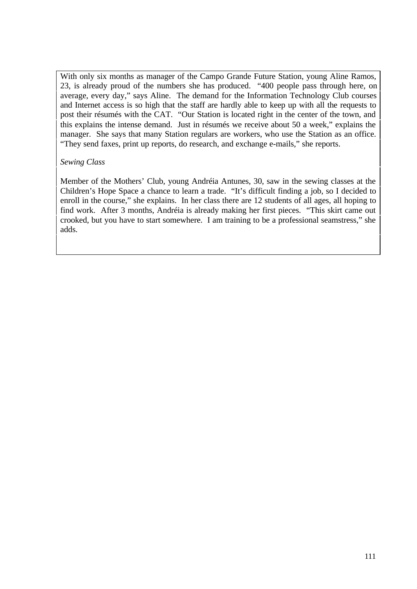With only six months as manager of the Campo Grande Future Station, young Aline Ramos, 23, is already proud of the numbers she has produced. "400 people pass through here, on average, every day," says Aline. The demand for the Information Technology Club courses and Internet access is so high that the staff are hardly able to keep up with all the requests to post their résumés with the CAT. "Our Station is located right in the center of the town, and this explains the intense demand. Just in résumés we receive about 50 a week," explains the manager. She says that many Station regulars are workers, who use the Station as an office. "They send faxes, print up reports, do research, and exchange e-mails," she reports.

## *Sewing Class*

Member of the Mothers' Club, young Andréia Antunes, 30, saw in the sewing classes at the Children's Hope Space a chance to learn a trade. "It's difficult finding a job, so I decided to enroll in the course," she explains. In her class there are 12 students of all ages, all hoping to find work. After 3 months, Andréia is already making her first pieces. "This skirt came out crooked, but you have to start somewhere. I am training to be a professional seamstress," she adds.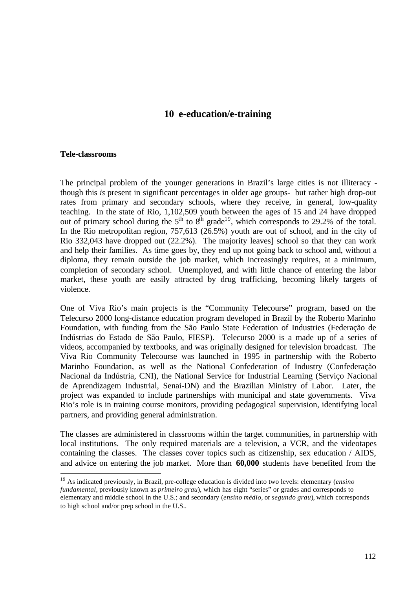# **10 e-education/e-training**

#### **Tele-classrooms**

 $\overline{a}$ 

The principal problem of the younger generations in Brazil's large cities is not illiteracy though this *is* present in significant percentages in older age groups- but rather high drop-out rates from primary and secondary schools, where they receive, in general, low-quality teaching. In the state of Rio, 1,102,509 youth between the ages of 15 and 24 have dropped out of primary school during the  $5<sup>th</sup>$  to  $8<sup>th</sup>$  grade<sup>19</sup>, which corresponds to 29.2% of the total. In the Rio metropolitan region, 757,613 (26.5%) youth are out of school, and in the city of Rio 332,043 have dropped out (22.2%). The majority leaves] school so that they can work and help their families. As time goes by, they end up not going back to school and, without a diploma, they remain outside the job market, which increasingly requires, at a minimum, completion of secondary school. Unemployed, and with little chance of entering the labor market, these youth are easily attracted by drug trafficking, becoming likely targets of violence.

One of Viva Rio's main projects is the "Community Telecourse" program, based on the Telecurso 2000 long-distance education program developed in Brazil by the Roberto Marinho Foundation, with funding from the São Paulo State Federation of Industries (Federação de Indústrias do Estado de São Paulo, FIESP). Telecurso 2000 is a made up of a series of videos, accompanied by textbooks, and was originally designed for television broadcast. The Viva Rio Community Telecourse was launched in 1995 in partnership with the Roberto Marinho Foundation, as well as the National Confederation of Industry (Confederação Nacional da Indústria, CNI), the National Service for Industrial Learning (Serviço Nacional de Aprendizagem Industrial, Senai-DN) and the Brazilian Ministry of Labor. Later, the project was expanded to include partnerships with municipal and state governments. Viva Rio's role is in training course monitors, providing pedagogical supervision, identifying local partners, and providing general administration.

The classes are administered in classrooms within the target communities, in partnership with local institutions. The only required materials are a television, a VCR, and the videotapes containing the classes. The classes cover topics such as citizenship, sex education / AIDS, and advice on entering the job market. More than **60,000** students have benefited from the

<sup>19</sup> As indicated previously, in Brazil, pre-college education is divided into two levels: elementary (*ensino fundamental*, previously known as *primeiro grau*), which has eight "series" or grades and corresponds to elementary and middle school in the U.S.; and secondary (*ensino médio*, or *segundo grau*), which corresponds to high school and/or prep school in the U.S..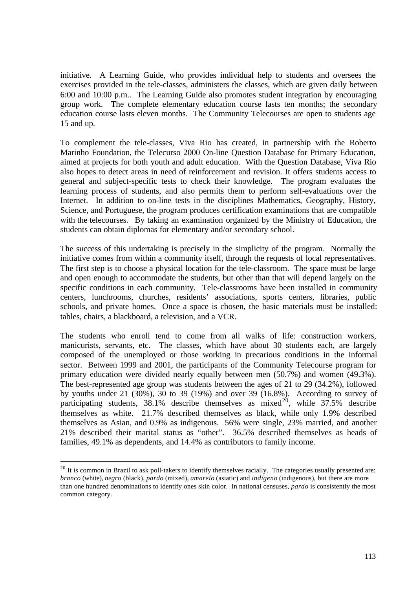initiative. A Learning Guide, who provides individual help to students and oversees the exercises provided in the tele-classes, administers the classes, which are given daily between 6:00 and 10:00 p.m.. The Learning Guide also promotes student integration by encouraging group work. The complete elementary education course lasts ten months; the secondary education course lasts eleven months. The Community Telecourses are open to students age 15 and up.

To complement the tele-classes, Viva Rio has created, in partnership with the Roberto Marinho Foundation, the Telecurso 2000 On-line Question Database for Primary Education, aimed at projects for both youth and adult education. With the Question Database, Viva Rio also hopes to detect areas in need of reinforcement and revision. It offers students access to general and subject-specific tests to check their knowledge. The program evaluates the learning process of students, and also permits them to perform self-evaluations over the Internet. In addition to on-line tests in the disciplines Mathematics, Geography, History, Science, and Portuguese, the program produces certification examinations that are compatible with the telecourses. By taking an examination organized by the Ministry of Education, the students can obtain diplomas for elementary and/or secondary school.

The success of this undertaking is precisely in the simplicity of the program. Normally the initiative comes from within a community itself, through the requests of local representatives. The first step is to choose a physical location for the tele-classroom. The space must be large and open enough to accommodate the students, but other than that will depend largely on the specific conditions in each community. Tele-classrooms have been installed in community centers, lunchrooms, churches, residents' associations, sports centers, libraries, public schools, and private homes. Once a space is chosen, the basic materials must be installed: tables, chairs, a blackboard, a television, and a VCR.

The students who enroll tend to come from all walks of life: construction workers, manicurists, servants, etc. The classes, which have about 30 students each, are largely composed of the unemployed or those working in precarious conditions in the informal sector. Between 1999 and 2001, the participants of the Community Telecourse program for primary education were divided nearly equally between men (50.7%) and women (49.3%). The best-represented age group was students between the ages of 21 to 29 (34.2%), followed by youths under 21 (30%), 30 to 39 (19%) and over 39 (16.8%). According to survey of participating students,  $38.1\%$  describe themselves as mixed<sup>20</sup>, while  $37.5\%$  describe themselves as white. 21.7% described themselves as black, while only 1.9% described themselves as Asian, and 0.9% as indigenous. 56% were single, 23% married, and another 21% described their marital status as "other". 36.5% described themselves as heads of families, 49.1% as dependents, and 14.4% as contributors to family income.

 $\overline{a}$ 

 $20$  It is common in Brazil to ask poll-takers to identify themselves racially. The categories usually presented are: *branco* (white), *negro* (black), *pardo* (mixed), *amarelo* (asiatic) and *indígeno* (indigenous), but there are more than one hundred denominations to identify ones skin color. In national censuses, *pardo* is consistently the most common category.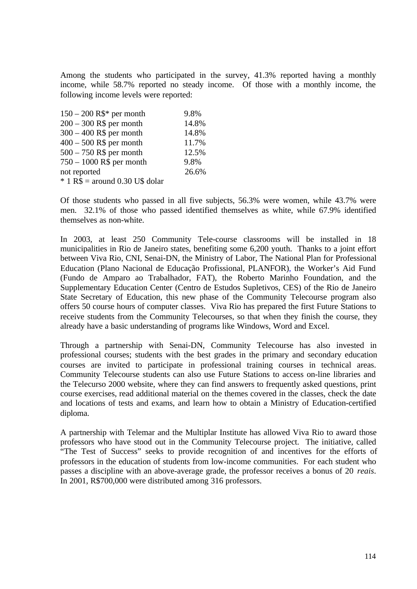Among the students who participated in the survey, 41.3% reported having a monthly income, while 58.7% reported no steady income. Of those with a monthly income, the following income levels were reported:

| $150 - 200 R$ \$* per month       | 9.8%  |
|-----------------------------------|-------|
| $200 - 300$ R\$ per month         | 14.8% |
| $300 - 400$ R\$ per month         | 14.8% |
| $400 - 500$ R\$ per month         | 11.7% |
| $500 - 750$ R\$ per month         | 12.5% |
| $750 - 1000$ R\$ per month        | 9.8%  |
| not reported                      | 26.6% |
| $*$ 1 R\$ = around 0.30 U\$ dolar |       |

Of those students who passed in all five subjects, 56.3% were women, while 43.7% were men. 32.1% of those who passed identified themselves as white, while 67.9% identified themselves as non-white.

In 2003, at least 250 Community Tele-course classrooms will be installed in 18 municipalities in Rio de Janeiro states, benefiting some 6,200 youth. Thanks to a joint effort between Viva Rio, CNI, Senai-DN, the Ministry of Labor, The National Plan for Professional Education (Plano Nacional de Educação Profissional, PLANFOR), the Worker's Aid Fund (Fundo de Amparo ao Trabalhador, FAT), the Roberto Marinho Foundation, and the Supplementary Education Center (Centro de Estudos Supletivos, CES) of the Rio de Janeiro State Secretary of Education, this new phase of the Community Telecourse program also offers 50 course hours of computer classes. Viva Rio has prepared the first Future Stations to receive students from the Community Telecourses, so that when they finish the course, they already have a basic understanding of programs like Windows, Word and Excel.

Through a partnership with Senai-DN, Community Telecourse has also invested in professional courses; students with the best grades in the primary and secondary education courses are invited to participate in professional training courses in technical areas. Community Telecourse students can also use Future Stations to access on-line libraries and the Telecurso 2000 website, where they can find answers to frequently asked questions, print course exercises, read additional material on the themes covered in the classes, check the date and locations of tests and exams, and learn how to obtain a Ministry of Education-certified diploma.

A partnership with Telemar and the Multiplar Institute has allowed Viva Rio to award those professors who have stood out in the Community Telecourse project. The initiative, called "The Test of Success" seeks to provide recognition of and incentives for the efforts of professors in the education of students from low-income communities. For each student who passes a discipline with an above-average grade, the professor receives a bonus of 20 *reais*. In 2001, R\$700,000 were distributed among 316 professors.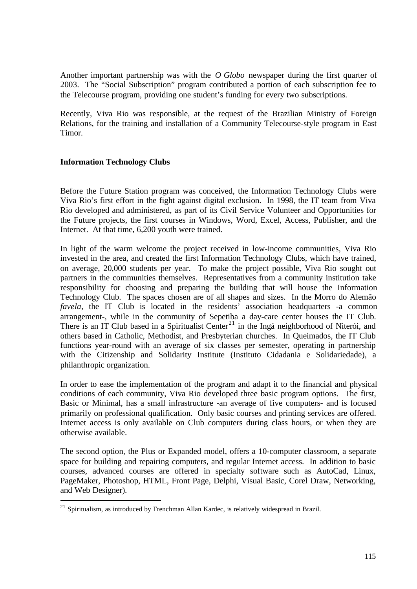Another important partnership was with the *O Globo* newspaper during the first quarter of 2003. The "Social Subscription" program contributed a portion of each subscription fee to the Telecourse program, providing one student's funding for every two subscriptions.

Recently, Viva Rio was responsible, at the request of the Brazilian Ministry of Foreign Relations, for the training and installation of a Community Telecourse-style program in East Timor.

## **Information Technology Clubs**

 $\overline{a}$ 

Before the Future Station program was conceived, the Information Technology Clubs were Viva Rio's first effort in the fight against digital exclusion. In 1998, the IT team from Viva Rio developed and administered, as part of its Civil Service Volunteer and Opportunities for the Future projects, the first courses in Windows, Word, Excel, Access, Publisher, and the Internet. At that time, 6,200 youth were trained.

In light of the warm welcome the project received in low-income communities, Viva Rio invested in the area, and created the first Information Technology Clubs, which have trained, on average, 20,000 students per year. To make the project possible, Viva Rio sought out partners in the communities themselves. Representatives from a community institution take responsibility for choosing and preparing the building that will house the Information Technology Club. The spaces chosen are of all shapes and sizes. In the Morro do Alemão *favela*, the IT Club is located in the residents' association headquarters -a common arrangement-, while in the community of Sepetiba a day-care center houses the IT Club. There is an IT Club based in a Spiritualist Center<sup>21</sup> in the Ingá neighborhood of Niterói, and others based in Catholic, Methodist, and Presbyterian churches. In Queimados, the IT Club functions year-round with an average of six classes per semester, operating in partnership with the Citizenship and Solidarity Institute (Instituto Cidadania e Solidariedade), a philanthropic organization.

In order to ease the implementation of the program and adapt it to the financial and physical conditions of each community, Viva Rio developed three basic program options. The first, Basic or Minimal, has a small infrastructure -an average of five computers- and is focused primarily on professional qualification. Only basic courses and printing services are offered. Internet access is only available on Club computers during class hours, or when they are otherwise available.

The second option, the Plus or Expanded model, offers a 10-computer classroom, a separate space for building and repairing computers, and regular Internet access. In addition to basic courses, advanced courses are offered in specialty software such as AutoCad, Linux, PageMaker, Photoshop, HTML, Front Page, Delphi, Visual Basic, Corel Draw, Networking, and Web Designer).

 $21$  Spiritualism, as introduced by Frenchman Allan Kardec, is relatively widespread in Brazil.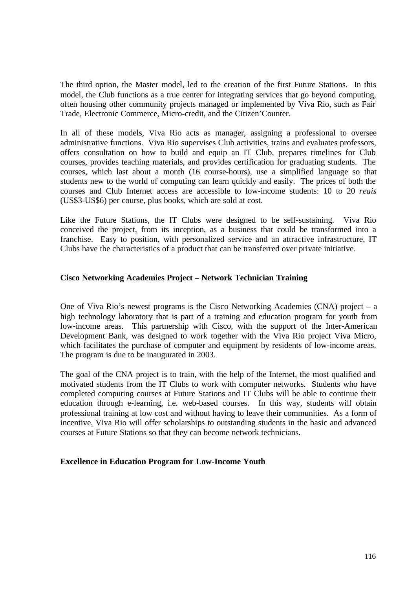The third option, the Master model, led to the creation of the first Future Stations. In this model, the Club functions as a true center for integrating services that go beyond computing, often housing other community projects managed or implemented by Viva Rio, such as Fair Trade, Electronic Commerce, Micro-credit, and the Citizen'Counter.

In all of these models, Viva Rio acts as manager, assigning a professional to oversee administrative functions. Viva Rio supervises Club activities, trains and evaluates professors, offers consultation on how to build and equip an IT Club, prepares timelines for Club courses, provides teaching materials, and provides certification for graduating students. The courses, which last about a month (16 course-hours), use a simplified language so that students new to the world of computing can learn quickly and easily. The prices of both the courses and Club Internet access are accessible to low-income students: 10 to 20 *reais* (US\$3-US\$6) per course, plus books, which are sold at cost.

Like the Future Stations, the IT Clubs were designed to be self-sustaining. Viva Rio conceived the project, from its inception, as a business that could be transformed into a franchise. Easy to position, with personalized service and an attractive infrastructure, IT Clubs have the characteristics of a product that can be transferred over private initiative.

## **Cisco Networking Academies Project – Network Technician Training**

One of Viva Rio's newest programs is the Cisco Networking Academies (CNA) project – a high technology laboratory that is part of a training and education program for youth from low-income areas. This partnership with Cisco, with the support of the Inter-American Development Bank, was designed to work together with the Viva Rio project Viva Micro, which facilitates the purchase of computer and equipment by residents of low-income areas. The program is due to be inaugurated in 2003.

The goal of the CNA project is to train, with the help of the Internet, the most qualified and motivated students from the IT Clubs to work with computer networks. Students who have completed computing courses at Future Stations and IT Clubs will be able to continue their education through e-learning, i.e. web-based courses. In this way, students will obtain professional training at low cost and without having to leave their communities. As a form of incentive, Viva Rio will offer scholarships to outstanding students in the basic and advanced courses at Future Stations so that they can become network technicians.

### **Excellence in Education Program for Low-Income Youth**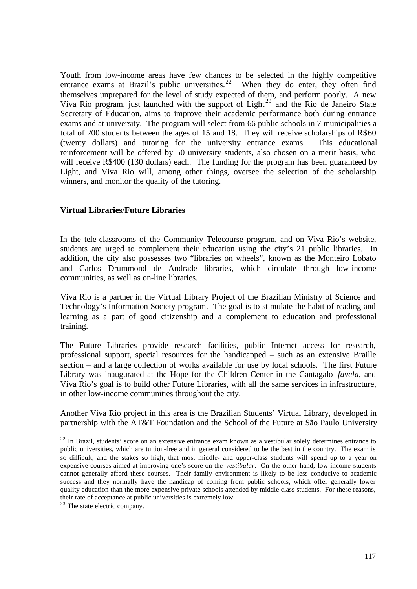Youth from low-income areas have few chances to be selected in the highly competitive entrance exams at Brazil's public universities.<sup>22</sup> When they do enter, they often find themselves unprepared for the level of study expected of them, and perform poorly. A new Viva Rio program, just launched with the support of Light<sup>23</sup> and the Rio de Janeiro State Secretary of Education, aims to improve their academic performance both during entrance exams and at university. The program will select from 66 public schools in 7 municipalities a total of 200 students between the ages of 15 and 18. They will receive scholarships of R\$60 (twenty dollars) and tutoring for the university entrance exams. This educational reinforcement will be offered by 50 university students, also chosen on a merit basis, who will receive R\$400 (130 dollars) each. The funding for the program has been guaranteed by Light, and Viva Rio will, among other things, oversee the selection of the scholarship winners, and monitor the quality of the tutoring.

## **Virtual Libraries/Future Libraries**

In the tele-classrooms of the Community Telecourse program, and on Viva Rio's website, students are urged to complement their education using the city's 21 public libraries. In addition, the city also possesses two "libraries on wheels", known as the Monteiro Lobato and Carlos Drummond de Andrade libraries, which circulate through low-income communities, as well as on-line libraries.

Viva Rio is a partner in the Virtual Library Project of the Brazilian Ministry of Science and Technology's Information Society program. The goal is to stimulate the habit of reading and learning as a part of good citizenship and a complement to education and professional training.

The Future Libraries provide research facilities, public Internet access for research, professional support, special resources for the handicapped – such as an extensive Braille section – and a large collection of works available for use by local schools. The first Future Library was inaugurated at the Hope for the Children Center in the Cantagalo *favela*, and Viva Rio's goal is to build other Future Libraries, with all the same services in infrastructure, in other low-income communities throughout the city.

Another Viva Rio project in this area is the Brazilian Students' Virtual Library, developed in partnership with the AT&T Foundation and the School of the Future at São Paulo University

 $\overline{a}$ 

<sup>&</sup>lt;sup>22</sup> In Brazil, students' score on an extensive entrance exam known as a vestibular solely determines entrance to public universities, which are tuition-free and in general considered to be the best in the country. The exam is so difficult, and the stakes so high, that most middle- and upper-class students will spend up to a year on expensive courses aimed at improving one's score on the *vestibular.* On the other hand, low-income students cannot generally afford these courses. Their family environment is likely to be less conducive to academic success and they normally have the handicap of coming from public schools, which offer generally lower quality education than the more expensive private schools attended by middle class students. For these reasons, their rate of acceptance at public universities is extremely low.

 $23$  The state electric company.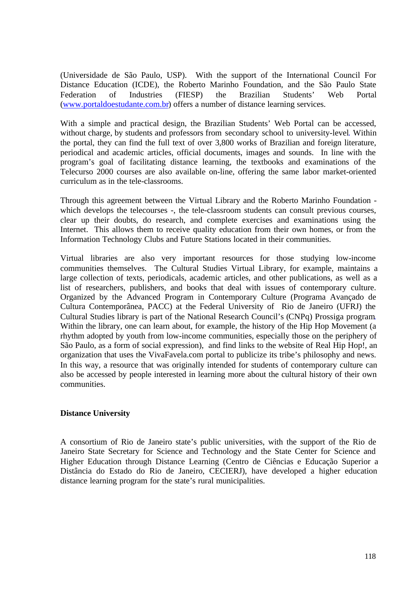(Universidade de São Paulo, USP). With the support of the International Council For Distance Education (ICDE), the Roberto Marinho Foundation, and the São Paulo State Federation of Industries (FIESP) the Brazilian Students' Web Portal (www.portaldoestudante.com.br) offers a number of distance learning services.

With a simple and practical design, the Brazilian Students' Web Portal can be accessed, without charge, by students and professors from secondary school to university-level. Within the portal, they can find the full text of over 3,800 works of Brazilian and foreign literature, periodical and academic articles, official documents, images and sounds. In line with the program's goal of facilitating distance learning, the textbooks and examinations of the Telecurso 2000 courses are also available on-line, offering the same labor market-oriented curriculum as in the tele-classrooms.

Through this agreement between the Virtual Library and the Roberto Marinho Foundation which develops the telecourses -, the tele-classroom students can consult previous courses, clear up their doubts, do research, and complete exercises and examinations using the Internet. This allows them to receive quality education from their own homes, or from the Information Technology Clubs and Future Stations located in their communities.

Virtual libraries are also very important resources for those studying low-income communities themselves. The Cultural Studies Virtual Library, for example, maintains a large collection of texts, periodicals, academic articles, and other publications, as well as a list of researchers, publishers, and books that deal with issues of contemporary culture. Organized by the Advanced Program in Contemporary Culture (Programa Avançado de Cultura Contemporânea, PACC) at the Federal University of Rio de Janeiro (UFRJ) the Cultural Studies library is part of the National Research Council's (CNPq) Prossiga program. Within the library, one can learn about, for example, the history of the Hip Hop Movement (a rhythm adopted by youth from low-income communities, especially those on the periphery of São Paulo, as a form of social expression), and find links to the website of Real Hip Hop!, an organization that uses the VivaFavela.com portal to publicize its tribe's philosophy and news. In this way, a resource that was originally intended for students of contemporary culture can also be accessed by people interested in learning more about the cultural history of their own communities.

### **Distance University**

A consortium of Rio de Janeiro state's public universities, with the support of the Rio de Janeiro State Secretary for Science and Technology and the State Center for Science and Higher Education through Distance Learning (Centro de Ciências e Educação Superior a Distância do Estado do Rio de Janeiro, CECIERJ), have developed a higher education distance learning program for the state's rural municipalities.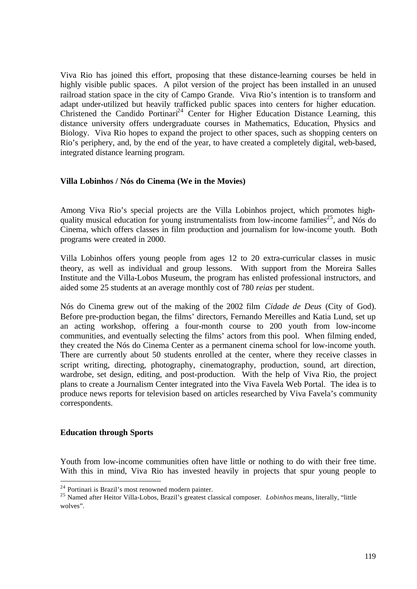Viva Rio has joined this effort, proposing that these distance-learning courses be held in highly visible public spaces. A pilot version of the project has been installed in an unused railroad station space in the city of Campo Grande. Viva Rio's intention is to transform and adapt under-utilized but heavily trafficked public spaces into centers for higher education. Christened the Candido Portinari<sup>24</sup> Center for Higher Education Distance Learning, this distance university offers undergraduate courses in Mathematics, Education, Physics and Biology. Viva Rio hopes to expand the project to other spaces, such as shopping centers on Rio's periphery, and, by the end of the year, to have created a completely digital, web-based, integrated distance learning program.

### **Villa Lobinhos / Nós do Cinema (We in the Movies)**

Among Viva Rio's special projects are the Villa Lobinhos project, which promotes highquality musical education for young instrumentalists from low-income families<sup>25</sup>, and Nós do Cinema, which offers classes in film production and journalism for low-income youth. Both programs were created in 2000.

Villa Lobinhos offers young people from ages 12 to 20 extra-curricular classes in music theory, as well as individual and group lessons. With support from the Moreira Salles Institute and the Villa-Lobos Museum, the program has enlisted professional instructors, and aided some 25 students at an average monthly cost of 780 *reias* per student.

Nós do Cinema grew out of the making of the 2002 film *Cidade de Deus* (City of God). Before pre-production began, the films' directors, Fernando Mereilles and Katia Lund, set up an acting workshop, offering a four-month course to 200 youth from low-income communities, and eventually selecting the films' actors from this pool. When filming ended, they created the Nós do Cinema Center as a permanent cinema school for low-income youth. There are currently about 50 students enrolled at the center, where they receive classes in script writing, directing, photography, cinematography, production, sound, art direction, wardrobe, set design, editing, and post-production. With the help of Viva Rio, the project plans to create a Journalism Center integrated into the Viva Favela Web Portal. The idea is to produce news reports for television based on articles researched by Viva Favela's community correspondents.

### **Education through Sports**

 $\overline{a}$ 

Youth from low-income communities often have little or nothing to do with their free time. With this in mind, Viva Rio has invested heavily in projects that spur young people to

<sup>24</sup> Portinari is Brazil's most renowned modern painter.

<sup>25</sup> Named after Heitor Villa-Lobos, Brazil's greatest classical composer. *Lobinhos* means, literally, "little wolves".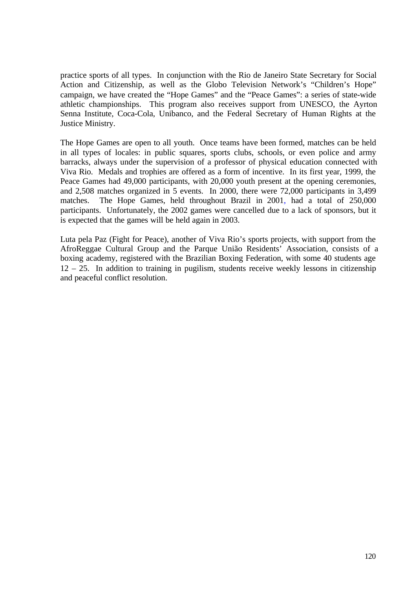practice sports of all types. In conjunction with the Rio de Janeiro State Secretary for Social Action and Citizenship, as well as the Globo Television Network's "Children's Hope" campaign, we have created the "Hope Games" and the "Peace Games": a series of state-wide athletic championships. This program also receives support from UNESCO, the Ayrton Senna Institute, Coca-Cola, Unibanco, and the Federal Secretary of Human Rights at the Justice Ministry.

The Hope Games are open to all youth. Once teams have been formed, matches can be held in all types of locales: in public squares, sports clubs, schools, or even police and army barracks, always under the supervision of a professor of physical education connected with Viva Rio. Medals and trophies are offered as a form of incentive. In its first year, 1999, the Peace Games had 49,000 participants, with 20,000 youth present at the opening ceremonies, and 2,508 matches organized in 5 events. In 2000, there were 72,000 participants in 3,499 matches. The Hope Games, held throughout Brazil in 2001, had a total of 250,000 participants. Unfortunately, the 2002 games were cancelled due to a lack of sponsors, but it is expected that the games will be held again in 2003.

Luta pela Paz (Fight for Peace), another of Viva Rio's sports projects, with support from the AfroReggae Cultural Group and the Parque União Residents' Association, consists of a boxing academy, registered with the Brazilian Boxing Federation, with some 40 students age 12 – 25. In addition to training in pugilism, students receive weekly lessons in citizenship and peaceful conflict resolution.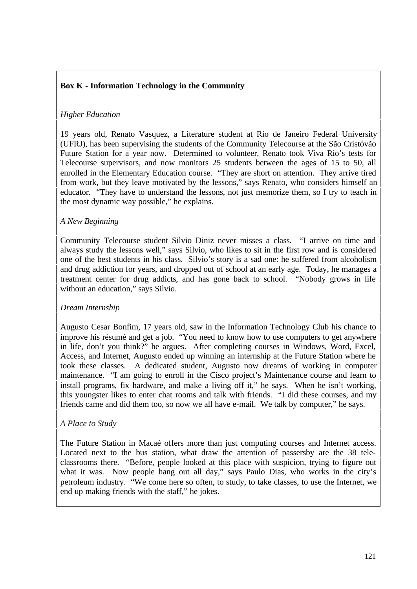# **Box K - Information Technology in the Community**

# *Higher Education*

19 years old, Renato Vasquez, a Literature student at Rio de Janeiro Federal University (UFRJ), has been supervising the students of the Community Telecourse at the São Cristóvão Future Station for a year now. Determined to volunteer, Renato took Viva Rio's tests for Telecourse supervisors, and now monitors 25 students between the ages of 15 to 50, all enrolled in the Elementary Education course. "They are short on attention. They arrive tired from work, but they leave motivated by the lessons," says Renato, who considers himself an educator. "They have to understand the lessons, not just memorize them, so I try to teach in the most dynamic way possible," he explains.

# *A New Beginning*

Community Telecourse student Silvio Diniz never misses a class. "I arrive on time and always study the lessons well," says Silvio, who likes to sit in the first row and is considered one of the best students in his class. Silvio's story is a sad one: he suffered from alcoholism and drug addiction for years, and dropped out of school at an early age. Today, he manages a treatment center for drug addicts, and has gone back to school. "Nobody grows in life without an education," says Silvio.

## *Dream Internship*

Augusto Cesar Bonfim, 17 years old, saw in the Information Technology Club his chance to improve his résumé and get a job. "You need to know how to use computers to get anywhere in life, don't you think?" he argues. After completing courses in Windows, Word, Excel, Access, and Internet, Augusto ended up winning an internship at the Future Station where he took these classes. A dedicated student, Augusto now dreams of working in computer maintenance. "I am going to enroll in the Cisco project's Maintenance course and learn to install programs, fix hardware, and make a living off it," he says. When he isn't working, this youngster likes to enter chat rooms and talk with friends. "I did these courses, and my friends came and did them too, so now we all have e-mail. We talk by computer," he says.

## *A Place to Study*

The Future Station in Macaé offers more than just computing courses and Internet access. Located next to the bus station, what draw the attention of passersby are the 38 teleclassrooms there. "Before, people looked at this place with suspicion, trying to figure out what it was. Now people hang out all day," says Paulo Dias, who works in the city's petroleum industry. "We come here so often, to study, to take classes, to use the Internet, we end up making friends with the staff," he jokes.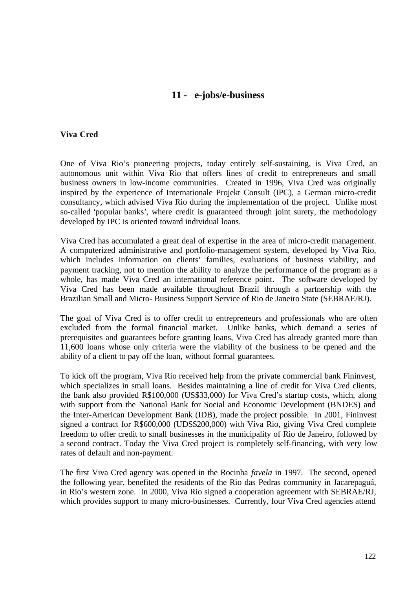# **11 - e-jobs/e-business**

### **Viva Cred**

One of Viva Rio's pioneering projects, today entirely self-sustaining, is Viva Cred, an autonomous unit within Viva Rio that offers lines of credit to entrepreneurs and small business owners in low-income communities. Created in 1996, Viva Cred was originally inspired by the experience of Internationale Projekt Consult (IPC), a German micro-credit consultancy, which advised Viva Rio during the implementation of the project. Unlike most so-called 'popular banks', where credit is guaranteed through joint surety, the methodology developed by IPC is oriented toward individual loans.

Viva Cred has accumulated a great deal of expertise in the area of micro-credit management. A computerized administrative and portfolio-management system, developed by Viva Rio, which includes information on clients' families, evaluations of business viability, and payment tracking, not to mention the ability to analyze the performance of the program as a whole, has made Viva Cred an international reference point. The software developed by Viva Cred has been made available throughout Brazil through a partnership with the Brazilian Small and Micro- Business Support Service of Rio de Janeiro State (SEBRAE/RJ).

The goal of Viva Cred is to offer credit to entrepreneurs and professionals who are often excluded from the formal financial market. Unlike banks, which demand a series of prerequisites and guarantees before granting loans, Viva Cred has already granted more than 11,600 loans whose only criteria were the viability of the business to be opened and the ability of a client to pay off the loan, without formal guarantees.

To kick off the program, Viva Rio received help from the private commercial bank Fininvest, which specializes in small loans. Besides maintaining a line of credit for Viva Cred clients, the bank also provided R\$100,000 (US\$33,000) for Viva Cred's startup costs, which, along with support from the National Bank for Social and Economic Development (BNDES) and the Inter-American Development Bank (IDB), made the project possible. In 2001, Fininvest signed a contract for R\$600,000 (UDS\$200,000) with Viva Rio, giving Viva Cred complete freedom to offer credit to small businesses in the municipality of Rio de Janeiro, followed by a second contract. Today the Viva Cred project is completely self-financing, with very low rates of default and non-payment.

The first Viva Cred agency was opened in the Rocinha *favela* in 1997. The second, opened the following year, benefited the residents of the Rio das Pedras community in Jacarepaguá, in Rio's western zone. In 2000, Viva Rio signed a cooperation agreement with SEBRAE/RJ, which provides support to many micro-businesses. Currently, four Viva Cred agencies attend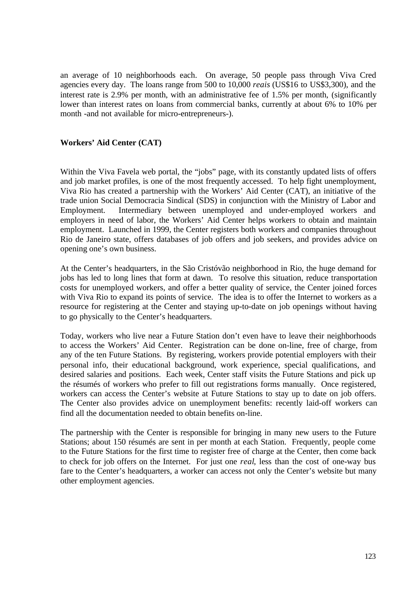an average of 10 neighborhoods each. On average, 50 people pass through Viva Cred agencies every day. The loans range from 500 to 10,000 *reais* (US\$16 to US\$3,300), and the interest rate is 2.9% per month, with an administrative fee of 1.5% per month, (significantly lower than interest rates on loans from commercial banks, currently at about 6% to 10% per month -and not available for micro-entrepreneurs-).

## **Workers' Aid Center (CAT)**

Within the Viva Favela web portal, the "jobs" page, with its constantly updated lists of offers and job market profiles, is one of the most frequently accessed. To help fight unemployment, Viva Rio has created a partnership with the Workers' Aid Center (CAT), an initiative of the trade union Social Democracia Sindical (SDS) in conjunction with the Ministry of Labor and Employment. Intermediary between unemployed and under-employed workers and employers in need of labor, the Workers' Aid Center helps workers to obtain and maintain employment. Launched in 1999, the Center registers both workers and companies throughout Rio de Janeiro state, offers databases of job offers and job seekers, and provides advice on opening one's own business.

At the Center's headquarters, in the São Cristóvão neighborhood in Rio, the huge demand for jobs has led to long lines that form at dawn. To resolve this situation, reduce transportation costs for unemployed workers, and offer a better quality of service, the Center joined forces with Viva Rio to expand its points of service. The idea is to offer the Internet to workers as a resource for registering at the Center and staying up-to-date on job openings without having to go physically to the Center's headquarters.

Today, workers who live near a Future Station don't even have to leave their neighborhoods to access the Workers' Aid Center. Registration can be done on-line, free of charge, from any of the ten Future Stations. By registering, workers provide potential employers with their personal info, their educational background, work experience, special qualifications, and desired salaries and positions. Each week, Center staff visits the Future Stations and pick up the résumés of workers who prefer to fill out registrations forms manually. Once registered, workers can access the Center's website at Future Stations to stay up to date on job offers. The Center also provides advice on unemployment benefits: recently laid-off workers can find all the documentation needed to obtain benefits on-line.

The partnership with the Center is responsible for bringing in many new users to the Future Stations; about 150 résumés are sent in per month at each Station. Frequently, people come to the Future Stations for the first time to register free of charge at the Center, then come back to check for job offers on the Internet. For just one *real*, less than the cost of one-way bus fare to the Center's headquarters, a worker can access not only the Center's website but many other employment agencies.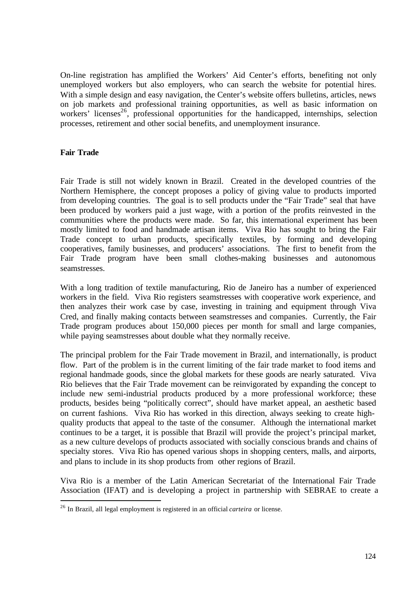On-line registration has amplified the Workers' Aid Center's efforts, benefiting not only unemployed workers but also employers, who can search the website for potential hires. With a simple design and easy navigation, the Center's website offers bulletins, articles, news on job markets and professional training opportunities, as well as basic information on workers' licenses<sup>26</sup>, professional opportunities for the handicapped, internships, selection processes, retirement and other social benefits, and unemployment insurance.

## **Fair Trade**

 $\overline{a}$ 

Fair Trade is still not widely known in Brazil. Created in the developed countries of the Northern Hemisphere, the concept proposes a policy of giving value to products imported from developing countries. The goal is to sell products under the "Fair Trade" seal that have been produced by workers paid a just wage, with a portion of the profits reinvested in the communities where the products were made. So far, this international experiment has been mostly limited to food and handmade artisan items. Viva Rio has sought to bring the Fair Trade concept to urban products, specifically textiles, by forming and developing cooperatives, family businesses, and producers' associations. The first to benefit from the Fair Trade program have been small clothes-making businesses and autonomous seamstresses.

With a long tradition of textile manufacturing, Rio de Janeiro has a number of experienced workers in the field. Viva Rio registers seamstresses with cooperative work experience, and then analyzes their work case by case, investing in training and equipment through Viva Cred, and finally making contacts between seamstresses and companies. Currently, the Fair Trade program produces about 150,000 pieces per month for small and large companies, while paying seamstresses about double what they normally receive.

The principal problem for the Fair Trade movement in Brazil, and internationally, is product flow. Part of the problem is in the current limiting of the fair trade market to food items and regional handmade goods, since the global markets for these goods are nearly saturated. Viva Rio believes that the Fair Trade movement can be reinvigorated by expanding the concept to include new semi-industrial products produced by a more professional workforce; these products, besides being "politically correct", should have market appeal, an aesthetic based on current fashions. Viva Rio has worked in this direction, always seeking to create highquality products that appeal to the taste of the consumer. Although the international market continues to be a target, it is possible that Brazil will provide the project's principal market, as a new culture develops of products associated with socially conscious brands and chains of specialty stores. Viva Rio has opened various shops in shopping centers, malls, and airports, and plans to include in its shop products from other regions of Brazil.

Viva Rio is a member of the Latin American Secretariat of the International Fair Trade Association (IFAT) and is developing a project in partnership with SEBRAE to create a

<sup>26</sup> In Brazil, all legal employment is registered in an official *carteira* or license.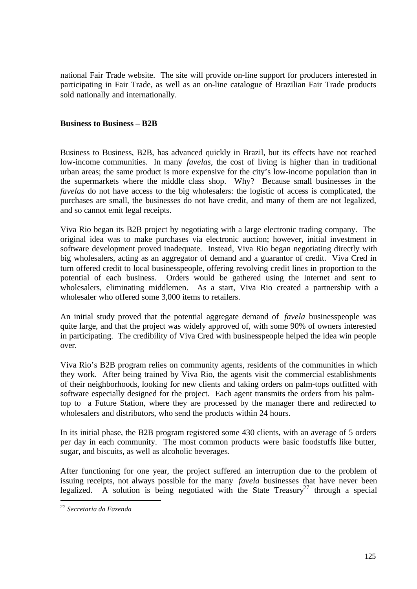national Fair Trade website. The site will provide on-line support for producers interested in participating in Fair Trade, as well as an on-line catalogue of Brazilian Fair Trade products sold nationally and internationally.

### **Business to Business – B2B**

Business to Business, B2B, has advanced quickly in Brazil, but its effects have not reached low-income communities. In many *favelas*, the cost of living is higher than in traditional urban areas; the same product is more expensive for the city's low-income population than in the supermarkets where the middle class shop. Why? Because small businesses in the *favelas* do not have access to the big wholesalers: the logistic of access is complicated, the purchases are small, the businesses do not have credit, and many of them are not legalized, and so cannot emit legal receipts.

Viva Rio began its B2B project by negotiating with a large electronic trading company. The original idea was to make purchases via electronic auction; however, initial investment in software development proved inadequate. Instead, Viva Rio began negotiating directly with big wholesalers, acting as an aggregator of demand and a guarantor of credit. Viva Cred in turn offered credit to local businesspeople, offering revolving credit lines in proportion to the potential of each business. Orders would be gathered using the Internet and sent to wholesalers, eliminating middlemen. As a start, Viva Rio created a partnership with a wholesaler who offered some 3,000 items to retailers.

An initial study proved that the potential aggregate demand of *favela* businesspeople was quite large, and that the project was widely approved of, with some 90% of owners interested in participating. The credibility of Viva Cred with businesspeople helped the idea win people over.

Viva Rio's B2B program relies on community agents, residents of the communities in which they work. After being trained by Viva Rio, the agents visit the commercial establishments of their neighborhoods, looking for new clients and taking orders on palm-tops outfitted with software especially designed for the project. Each agent transmits the orders from his palmtop to a Future Station, where they are processed by the manager there and redirected to wholesalers and distributors, who send the products within 24 hours.

In its initial phase, the B2B program registered some 430 clients, with an average of 5 orders per day in each community. The most common products were basic foodstuffs like butter, sugar, and biscuits, as well as alcoholic beverages.

After functioning for one year, the project suffered an interruption due to the problem of issuing receipts, not always possible for the many *favela* businesses that have never been legalized. A solution is being negotiated with the State Treasury<sup>27</sup> through a special

 $\overline{a}$ 

<sup>27</sup> *Secretaria da Fazenda*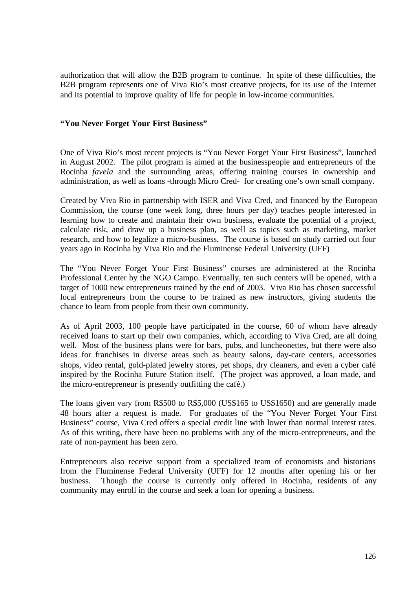authorization that will allow the B2B program to continue. In spite of these difficulties, the B2B program represents one of Viva Rio's most creative projects, for its use of the Internet and its potential to improve quality of life for people in low-income communities.

## **"You Never Forget Your First Business"**

One of Viva Rio's most recent projects is "You Never Forget Your First Business", launched in August 2002. The pilot program is aimed at the businesspeople and entrepreneurs of the Rocinha *favela* and the surrounding areas, offering training courses in ownership and administration, as well as loans -through Micro Cred- for creating one's own small company.

Created by Viva Rio in partnership with ISER and Viva Cred, and financed by the European Commission, the course (one week long, three hours per day) teaches people interested in learning how to create and maintain their own business, evaluate the potential of a project, calculate risk, and draw up a business plan, as well as topics such as marketing, market research, and how to legalize a micro-business. The course is based on study carried out four years ago in Rocinha by Viva Rio and the Fluminense Federal University (UFF)

The "You Never Forget Your First Business" courses are administered at the Rocinha Professional Center by the NGO Campo. Eventually, ten such centers will be opened, with a target of 1000 new entrepreneurs trained by the end of 2003. Viva Rio has chosen successful local entrepreneurs from the course to be trained as new instructors, giving students the chance to learn from people from their own community.

As of April 2003, 100 people have participated in the course, 60 of whom have already received loans to start up their own companies, which, according to Viva Cred, are all doing well. Most of the business plans were for bars, pubs, and luncheonettes, but there were also ideas for franchises in diverse areas such as beauty salons, day-care centers, accessories shops, video rental, gold-plated jewelry stores, pet shops, dry cleaners, and even a cyber café inspired by the Rocinha Future Station itself. (The project was approved, a loan made, and the micro-entrepreneur is presently outfitting the café.)

The loans given vary from R\$500 to R\$5,000 (US\$165 to US\$1650) and are generally made 48 hours after a request is made. For graduates of the "You Never Forget Your First Business" course, Viva Cred offers a special credit line with lower than normal interest rates. As of this writing, there have been no problems with any of the micro-entrepreneurs, and the rate of non-payment has been zero.

Entrepreneurs also receive support from a specialized team of economists and historians from the Fluminense Federal University (UFF) for 12 months after opening his or her business. Though the course is currently only offered in Rocinha, residents of any community may enroll in the course and seek a loan for opening a business.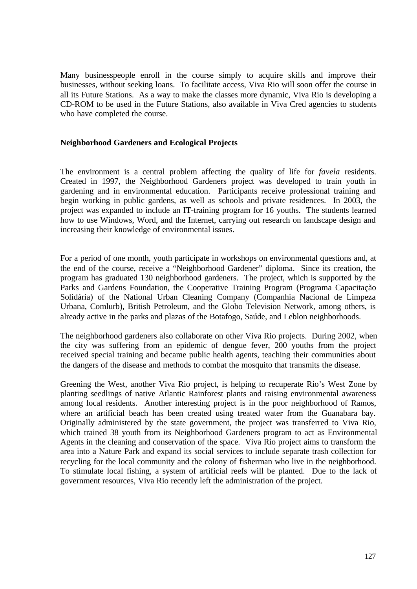Many businesspeople enroll in the course simply to acquire skills and improve their businesses, without seeking loans. To facilitate access, Viva Rio will soon offer the course in all its Future Stations. As a way to make the classes more dynamic, Viva Rio is developing a CD-ROM to be used in the Future Stations, also available in Viva Cred agencies to students who have completed the course.

## **Neighborhood Gardeners and Ecological Projects**

The environment is a central problem affecting the quality of life for *favela* residents. Created in 1997, the Neighborhood Gardeners project was developed to train youth in gardening and in environmental education. Participants receive professional training and begin working in public gardens, as well as schools and private residences. In 2003, the project was expanded to include an IT-training program for 16 youths. The students learned how to use Windows, Word, and the Internet, carrying out research on landscape design and increasing their knowledge of environmental issues.

For a period of one month, youth participate in workshops on environmental questions and, at the end of the course, receive a "Neighborhood Gardener" diploma. Since its creation, the program has graduated 130 neighborhood gardeners. The project, which is supported by the Parks and Gardens Foundation, the Cooperative Training Program (Programa Capacitação Solidária) of the National Urban Cleaning Company (Companhia Nacional de Limpeza Urbana, Comlurb), British Petroleum, and the Globo Television Network, among others, is already active in the parks and plazas of the Botafogo, Saúde, and Leblon neighborhoods.

The neighborhood gardeners also collaborate on other Viva Rio projects. During 2002, when the city was suffering from an epidemic of dengue fever, 200 youths from the project received special training and became public health agents, teaching their communities about the dangers of the disease and methods to combat the mosquito that transmits the disease.

Greening the West, another Viva Rio project, is helping to recuperate Rio's West Zone by planting seedlings of native Atlantic Rainforest plants and raising environmental awareness among local residents. Another interesting project is in the poor neighborhood of Ramos, where an artificial beach has been created using treated water from the Guanabara bay. Originally administered by the state government, the project was transferred to Viva Rio, which trained 38 youth from its Neighborhood Gardeners program to act as Environmental Agents in the cleaning and conservation of the space. Viva Rio project aims to transform the area into a Nature Park and expand its social services to include separate trash collection for recycling for the local community and the colony of fisherman who live in the neighborhood. To stimulate local fishing, a system of artificial reefs will be planted. Due to the lack of government resources, Viva Rio recently left the administration of the project.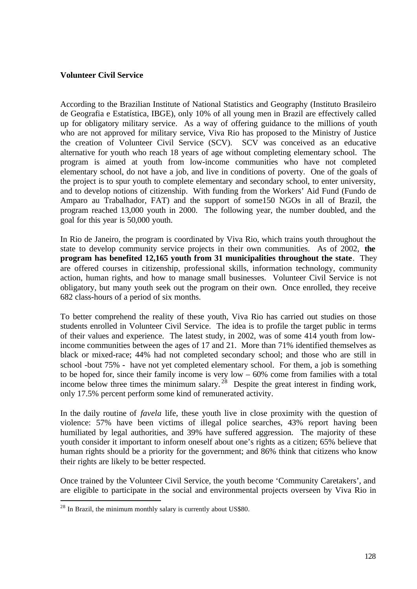## **Volunteer Civil Service**

According to the Brazilian Institute of National Statistics and Geography (Instituto Brasileiro de Geografia e Estatística, IBGE), only 10% of all young men in Brazil are effectively called up for obligatory military service. As a way of offering guidance to the millions of youth who are not approved for military service, Viva Rio has proposed to the Ministry of Justice the creation of Volunteer Civil Service (SCV). SCV was conceived as an educative alternative for youth who reach 18 years of age without completing elementary school. The program is aimed at youth from low-income communities who have not completed elementary school, do not have a job, and live in conditions of poverty. One of the goals of the project is to spur youth to complete elementary and secondary school, to enter university, and to develop notions of citizenship. With funding from the Workers' Aid Fund (Fundo de Amparo au Trabalhador, FAT) and the support of some150 NGOs in all of Brazil, the program reached 13,000 youth in 2000. The following year, the number doubled, and the goal for this year is 50,000 youth.

In Rio de Janeiro, the program is coordinated by Viva Rio, which trains youth throughout the state to develop community service projects in their own communities. As of 2002, **the program has benefited 12,165 youth from 31 municipalities throughout the state**. They are offered courses in citizenship, professional skills, information technology, community action, human rights, and how to manage small businesses. Volunteer Civil Service is not obligatory, but many youth seek out the program on their own. Once enrolled, they receive 682 class-hours of a period of six months.

To better comprehend the reality of these youth, Viva Rio has carried out studies on those students enrolled in Volunteer Civil Service. The idea is to profile the target public in terms of their values and experience. The latest study, in 2002, was of some 414 youth from lowincome communities between the ages of 17 and 21. More than 71% identified themselves as black or mixed-race; 44% had not completed secondary school; and those who are still in school -bout 75% - have not yet completed elementary school. For them, a job is something to be hoped for, since their family income is very low – 60% come from families with a total income below three times the minimum salary.<sup>28</sup> Despite the great interest in finding work, only 17.5% percent perform some kind of remunerated activity.

In the daily routine of *favela* life, these youth live in close proximity with the question of violence: 57% have been victims of illegal police searches, 43% report having been humiliated by legal authorities, and 39% have suffered aggression. The majority of these youth consider it important to inform oneself about one's rights as a citizen; 65% believe that human rights should be a priority for the government; and 86% think that citizens who know their rights are likely to be better respected.

Once trained by the Volunteer Civil Service, the youth become 'Community Caretakers', and are eligible to participate in the social and environmental projects overseen by Viva Rio in

 $\overline{a}$ 

<sup>&</sup>lt;sup>28</sup> In Brazil, the minimum monthly salary is currently about US\$80.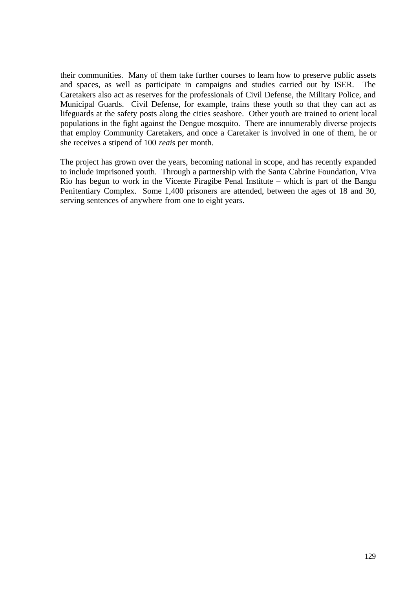their communities. Many of them take further courses to learn how to preserve public assets and spaces, as well as participate in campaigns and studies carried out by ISER. The Caretakers also act as reserves for the professionals of Civil Defense, the Military Police, and Municipal Guards. Civil Defense, for example, trains these youth so that they can act as lifeguards at the safety posts along the cities seashore. Other youth are trained to orient local populations in the fight against the Dengue mosquito. There are innumerably diverse projects that employ Community Caretakers, and once a Caretaker is involved in one of them, he or she receives a stipend of 100 *reais* per month.

The project has grown over the years, becoming national in scope, and has recently expanded to include imprisoned youth. Through a partnership with the Santa Cabrine Foundation, Viva Rio has begun to work in the Vicente Piragibe Penal Institute – which is part of the Bangu Penitentiary Complex. Some 1,400 prisoners are attended, between the ages of 18 and 30, serving sentences of anywhere from one to eight years.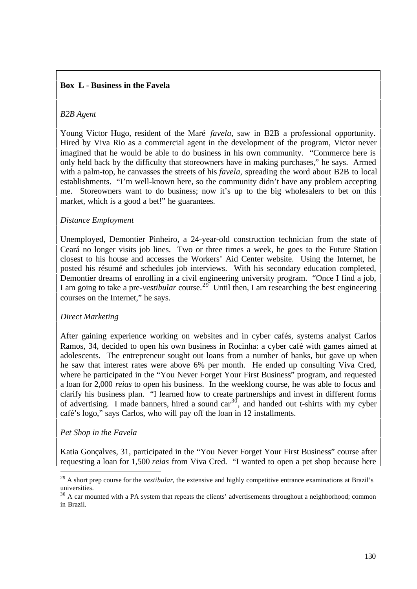# **Box L - Business in the Favela**

## *B2B Agent*

Young Victor Hugo, resident of the Maré *favela*, saw in B2B a professional opportunity. Hired by Viva Rio as a commercial agent in the development of the program, Victor never imagined that he would be able to do business in his own community. "Commerce here is only held back by the difficulty that storeowners have in making purchases," he says. Armed with a palm-top, he canvasses the streets of his *favela*, spreading the word about B2B to local establishments. "I'm well-known here, so the community didn't have any problem accepting me. Storeowners want to do business; now it's up to the big wholesalers to bet on this market, which is a good a bet!" he guarantees.

## *Distance Employment*

Unemployed, Demontier Pinheiro, a 24-year-old construction technician from the state of Ceará no longer visits job lines. Two or three times a week, he goes to the Future Station closest to his house and accesses the Workers' Aid Center website. Using the Internet, he posted his résumé and schedules job interviews. With his secondary education completed, Demontier dreams of enrolling in a civil engineering university program. "Once I find a job, I am going to take a pre-*vestibular* course.<sup>29</sup> Until then, I am researching the best engineering courses on the Internet," he says.

### *Direct Marketing*

After gaining experience working on websites and in cyber cafés, systems analyst Carlos Ramos, 34, decided to open his own business in Rocinha: a cyber café with games aimed at adolescents. The entrepreneur sought out loans from a number of banks, but gave up when he saw that interest rates were above 6% per month. He ended up consulting Viva Cred, where he participated in the "You Never Forget Your First Business" program, and requested a loan for 2,000 *reias* to open his business. In the weeklong course, he was able to focus and clarify his business plan. "I learned how to create partnerships and invest in different forms of advertising. I made banners, hired a sound  $car<sup>30</sup>$ , and handed out t-shirts with my cyber café's logo," says Carlos, who will pay off the loan in 12 installments.

### *Pet Shop in the Favela*

 $\overline{a}$ 

Katia Gonçalves, 31, participated in the "You Never Forget Your First Business" course after requesting a loan for 1,500 *reias* from Viva Cred. "I wanted to open a pet shop because here

<sup>&</sup>lt;sup>29</sup> A short prep course for the *vestibular*, the extensive and highly competitive entrance examinations at Brazil's universities.

<sup>&</sup>lt;sup>30</sup> A car mounted with a PA system that repeats the clients' advertisements throughout a neighborhood; common in Brazil.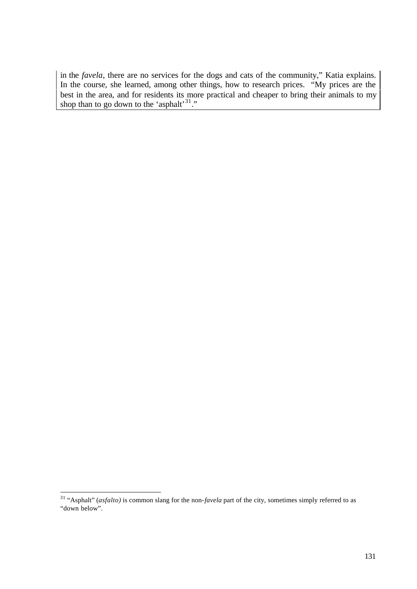in the *favela*, there are no services for the dogs and cats of the community," Katia explains. In the course, she learned, among other things, how to research prices. "My prices are the best in the area, and for residents its more practical and cheaper to bring their animals to my shop than to go down to the 'asphalt' $31$ ."

 $\overline{a}$ <sup>31</sup> "Asphalt" (*asfalto)* is common slang for the non-*favela* part of the city, sometimes simply referred to as "down below".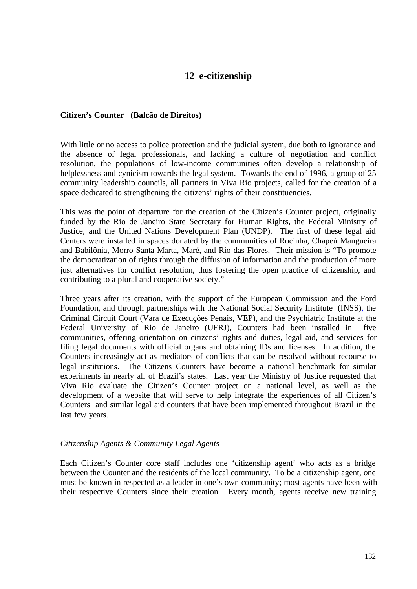# **12 e-citizenship**

### **Citizen's Counter (Balcão de Direitos)**

With little or no access to police protection and the judicial system, due both to ignorance and the absence of legal professionals, and lacking a culture of negotiation and conflict resolution, the populations of low-income communities often develop a relationship of helplessness and cynicism towards the legal system. Towards the end of 1996, a group of 25 community leadership councils, all partners in Viva Rio projects, called for the creation of a space dedicated to strengthening the citizens' rights of their constituencies.

This was the point of departure for the creation of the Citizen's Counter project, originally funded by the Rio de Janeiro State Secretary for Human Rights, the Federal Ministry of Justice, and the United Nations Development Plan (UNDP). The first of these legal aid Centers were installed in spaces donated by the communities of Rocinha, Chapeú Mangueira and Babilônia, Morro Santa Marta, Maré, and Rio das Flores. Their mission is "To promote the democratization of rights through the diffusion of information and the production of more just alternatives for conflict resolution, thus fostering the open practice of citizenship, and contributing to a plural and cooperative society."

Three years after its creation, with the support of the European Commission and the Ford Foundation, and through partnerships with the National Social Security Institute (INSS), the Criminal Circuit Court (Vara de Execuções Penais, VEP), and the Psychiatric Institute at the Federal University of Rio de Janeiro (UFRJ), Counters had been installed in communities, offering orientation on citizens' rights and duties, legal aid, and services for filing legal documents with official organs and obtaining IDs and licenses. In addition, the Counters increasingly act as mediators of conflicts that can be resolved without recourse to legal institutions. The Citizens Counters have become a national benchmark for similar experiments in nearly all of Brazil's states. Last year the Ministry of Justice requested that Viva Rio evaluate the Citizen's Counter project on a national level, as well as the development of a website that will serve to help integrate the experiences of all Citizen's Counters and similar legal aid counters that have been implemented throughout Brazil in the last few years.

### *Citizenship Agents & Community Legal Agents*

Each Citizen's Counter core staff includes one 'citizenship agent' who acts as a bridge between the Counter and the residents of the local community. To be a citizenship agent, one must be known in respected as a leader in one's own community; most agents have been with their respective Counters since their creation. Every month, agents receive new training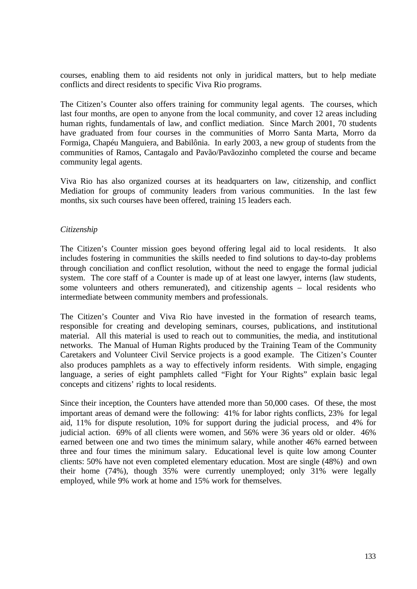courses, enabling them to aid residents not only in juridical matters, but to help mediate conflicts and direct residents to specific Viva Rio programs.

The Citizen's Counter also offers training for community legal agents. The courses, which last four months, are open to anyone from the local community, and cover 12 areas including human rights, fundamentals of law, and conflict mediation. Since March 2001, 70 students have graduated from four courses in the communities of Morro Santa Marta, Morro da Formiga, Chapéu Manguiera, and Babilônia. In early 2003, a new group of students from the communities of Ramos, Cantagalo and Pavão/Pavãozinho completed the course and became community legal agents.

Viva Rio has also organized courses at its headquarters on law, citizenship, and conflict Mediation for groups of community leaders from various communities. In the last few months, six such courses have been offered, training 15 leaders each.

## *Citizenship*

The Citizen's Counter mission goes beyond offering legal aid to local residents. It also includes fostering in communities the skills needed to find solutions to day-to-day problems through conciliation and conflict resolution, without the need to engage the formal judicial system. The core staff of a Counter is made up of at least one lawyer, interns (law students, some volunteers and others remunerated), and citizenship agents – local residents who intermediate between community members and professionals.

The Citizen's Counter and Viva Rio have invested in the formation of research teams, responsible for creating and developing seminars, courses, publications, and institutional material. All this material is used to reach out to communities, the media, and institutional networks. The Manual of Human Rights produced by the Training Team of the Community Caretakers and Volunteer Civil Service projects is a good example. The Citizen's Counter also produces pamphlets as a way to effectively inform residents. With simple, engaging language, a series of eight pamphlets called "Fight for Your Rights" explain basic legal concepts and citizens' rights to local residents.

Since their inception, the Counters have attended more than 50,000 cases. Of these, the most important areas of demand were the following: 41% for labor rights conflicts, 23% for legal aid, 11% for dispute resolution, 10% for support during the judicial process, and 4% for judicial action. 69% of all clients were women, and 56% were 36 years old or older. 46% earned between one and two times the minimum salary, while another 46% earned between three and four times the minimum salary. Educational level is quite low among Counter clients: 50% have not even completed elementary education. Most are single (48%) and own their home (74%), though 35% were currently unemployed; only 31% were legally employed, while 9% work at home and 15% work for themselves.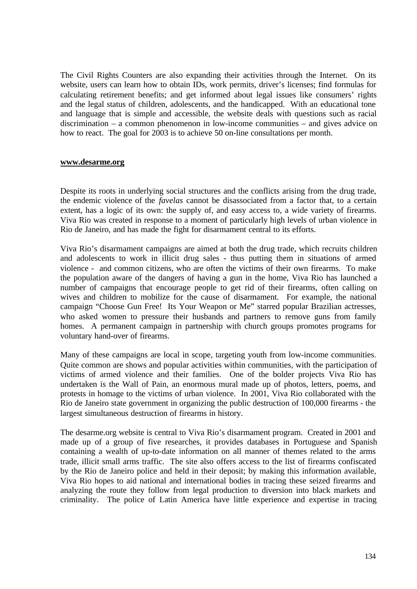The Civil Rights Counters are also expanding their activities through the Internet. On its website, users can learn how to obtain IDs, work permits, driver's licenses; find formulas for calculating retirement benefits; and get informed about legal issues like consumers' rights and the legal status of children, adolescents, and the handicapped. With an educational tone and language that is simple and accessible, the website deals with questions such as racial discrimination – a common phenomenon in low-income communities – and gives advice on how to react. The goal for 2003 is to achieve 50 on-line consultations per month.

### **www.desarme.org**

Despite its roots in underlying social structures and the conflicts arising from the drug trade, the endemic violence of the *favelas* cannot be disassociated from a factor that, to a certain extent, has a logic of its own: the supply of, and easy access to, a wide variety of firearms. Viva Rio was created in response to a moment of particularly high levels of urban violence in Rio de Janeiro, and has made the fight for disarmament central to its efforts.

Viva Rio's disarmament campaigns are aimed at both the drug trade, which recruits children and adolescents to work in illicit drug sales - thus putting them in situations of armed violence - and common citizens, who are often the victims of their own firearms. To make the population aware of the dangers of having a gun in the home, Viva Rio has launched a number of campaigns that encourage people to get rid of their firearms, often calling on wives and children to mobilize for the cause of disarmament. For example, the national campaign "Choose Gun Free! Its Your Weapon or Me" starred popular Brazilian actresses, who asked women to pressure their husbands and partners to remove guns from family homes. A permanent campaign in partnership with church groups promotes programs for voluntary hand-over of firearms.

Many of these campaigns are local in scope, targeting youth from low-income communities. Quite common are shows and popular activities within communities, with the participation of victims of armed violence and their families. One of the bolder projects Viva Rio has undertaken is the Wall of Pain, an enormous mural made up of photos, letters, poems, and protests in homage to the victims of urban violence. In 2001, Viva Rio collaborated with the Rio de Janeiro state government in organizing the public destruction of 100,000 firearms - the largest simultaneous destruction of firearms in history.

The desarme.org website is central to Viva Rio's disarmament program. Created in 2001 and made up of a group of five researches, it provides databases in Portuguese and Spanish containing a wealth of up-to-date information on all manner of themes related to the arms trade, illicit small arms traffic. The site also offers access to the list of firearms confiscated by the Rio de Janeiro police and held in their deposit; by making this information available, Viva Rio hopes to aid national and international bodies in tracing these seized firearms and analyzing the route they follow from legal production to diversion into black markets and criminality. The police of Latin America have little experience and expertise in tracing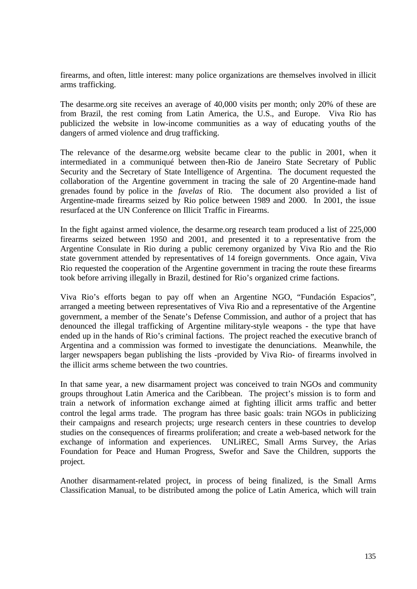firearms, and often, little interest: many police organizations are themselves involved in illicit arms trafficking.

The desarme.org site receives an average of 40,000 visits per month; only 20% of these are from Brazil, the rest coming from Latin America, the U.S., and Europe. Viva Rio has publicized the website in low-income communities as a way of educating youths of the dangers of armed violence and drug trafficking.

The relevance of the desarme.org website became clear to the public in 2001, when it intermediated in a communiqué between then-Rio de Janeiro State Secretary of Public Security and the Secretary of State Intelligence of Argentina. The document requested the collaboration of the Argentine government in tracing the sale of 20 Argentine-made hand grenades found by police in the *favelas* of Rio. The document also provided a list of Argentine-made firearms seized by Rio police between 1989 and 2000. In 2001, the issue resurfaced at the UN Conference on Illicit Traffic in Firearms.

In the fight against armed violence, the desarme.org research team produced a list of 225,000 firearms seized between 1950 and 2001, and presented it to a representative from the Argentine Consulate in Rio during a public ceremony organized by Viva Rio and the Rio state government attended by representatives of 14 foreign governments. Once again, Viva Rio requested the cooperation of the Argentine government in tracing the route these firearms took before arriving illegally in Brazil, destined for Rio's organized crime factions.

Viva Rio's efforts began to pay off when an Argentine NGO, "Fundación Espacios", arranged a meeting between representatives of Viva Rio and a representative of the Argentine government, a member of the Senate's Defense Commission, and author of a project that has denounced the illegal trafficking of Argentine military-style weapons - the type that have ended up in the hands of Rio's criminal factions. The project reached the executive branch of Argentina and a commission was formed to investigate the denunciations. Meanwhile, the larger newspapers began publishing the lists -provided by Viva Rio- of firearms involved in the illicit arms scheme between the two countries.

In that same year, a new disarmament project was conceived to train NGOs and community groups throughout Latin America and the Caribbean. The project's mission is to form and train a network of information exchange aimed at fighting illicit arms traffic and better control the legal arms trade. The program has three basic goals: train NGOs in publicizing their campaigns and research projects; urge research centers in these countries to develop studies on the consequences of firearms proliferation; and create a web-based network for the exchange of information and experiences. UNLiREC, Small Arms Survey, the Arias Foundation for Peace and Human Progress, Swefor and Save the Children, supports the project.

Another disarmament-related project, in process of being finalized, is the Small Arms Classification Manual, to be distributed among the police of Latin America, which will train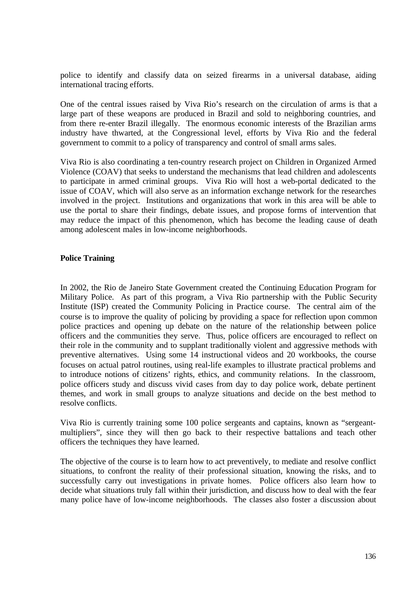police to identify and classify data on seized firearms in a universal database, aiding international tracing efforts.

One of the central issues raised by Viva Rio's research on the circulation of arms is that a large part of these weapons are produced in Brazil and sold to neighboring countries, and from there re-enter Brazil illegally. The enormous economic interests of the Brazilian arms industry have thwarted, at the Congressional level, efforts by Viva Rio and the federal government to commit to a policy of transparency and control of small arms sales.

Viva Rio is also coordinating a ten-country research project on Children in Organized Armed Violence (COAV) that seeks to understand the mechanisms that lead children and adolescents to participate in armed criminal groups. Viva Rio will host a web-portal dedicated to the issue of COAV, which will also serve as an information exchange network for the researches involved in the project. Institutions and organizations that work in this area will be able to use the portal to share their findings, debate issues, and propose forms of intervention that may reduce the impact of this phenomenon, which has become the leading cause of death among adolescent males in low-income neighborhoods.

## **Police Training**

In 2002, the Rio de Janeiro State Government created the Continuing Education Program for Military Police. As part of this program, a Viva Rio partnership with the Public Security Institute (ISP) created the Community Policing in Practice course. The central aim of the course is to improve the quality of policing by providing a space for reflection upon common police practices and opening up debate on the nature of the relationship between police officers and the communities they serve. Thus, police officers are encouraged to reflect on their role in the community and to supplant traditionally violent and aggressive methods with preventive alternatives. Using some 14 instructional videos and 20 workbooks, the course focuses on actual patrol routines, using real-life examples to illustrate practical problems and to introduce notions of citizens' rights, ethics, and community relations. In the classroom, police officers study and discuss vivid cases from day to day police work, debate pertinent themes, and work in small groups to analyze situations and decide on the best method to resolve conflicts.

Viva Rio is currently training some 100 police sergeants and captains, known as "sergeantmultipliers", since they will then go back to their respective battalions and teach other officers the techniques they have learned.

The objective of the course is to learn how to act preventively, to mediate and resolve conflict situations, to confront the reality of their professional situation, knowing the risks, and to successfully carry out investigations in private homes. Police officers also learn how to decide what situations truly fall within their jurisdiction, and discuss how to deal with the fear many police have of low-income neighborhoods. The classes also foster a discussion about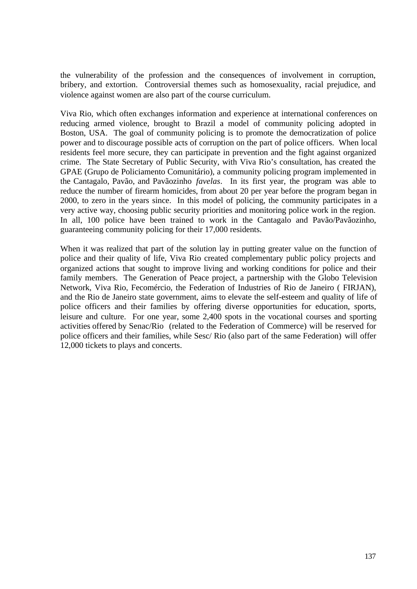the vulnerability of the profession and the consequences of involvement in corruption, bribery, and extortion. Controversial themes such as homosexuality, racial prejudice, and violence against women are also part of the course curriculum.

Viva Rio, which often exchanges information and experience at international conferences on reducing armed violence, brought to Brazil a model of community policing adopted in Boston, USA. The goal of community policing is to promote the democratization of police power and to discourage possible acts of corruption on the part of police officers. When local residents feel more secure, they can participate in prevention and the fight against organized crime. The State Secretary of Public Security, with Viva Rio's consultation, has created the GPAE (Grupo de Policiamento Comunitário), a community policing program implemented in the Cantagalo, Pavão, and Pavãozinho *favelas*. In its first year, the program was able to reduce the number of firearm homicides, from about 20 per year before the program began in 2000, to zero in the years since. In this model of policing, the community participates in a very active way, choosing public security priorities and monitoring police work in the region. In all, 100 police have been trained to work in the Cantagalo and Pavão/Pavãozinho, guaranteeing community policing for their 17,000 residents.

When it was realized that part of the solution lay in putting greater value on the function of police and their quality of life, Viva Rio created complementary public policy projects and organized actions that sought to improve living and working conditions for police and their family members. The Generation of Peace project, a partnership with the Globo Television Network, Viva Rio, Fecomércio, the Federation of Industries of Rio de Janeiro ( FIRJAN), and the Rio de Janeiro state government, aims to elevate the self-esteem and quality of life of police officers and their families by offering diverse opportunities for education, sports, leisure and culture. For one year, some 2,400 spots in the vocational courses and sporting activities offered by Senac/Rio (related to the Federation of Commerce) will be reserved for police officers and their families, while Sesc/ Rio (also part of the same Federation) will offer 12,000 tickets to plays and concerts.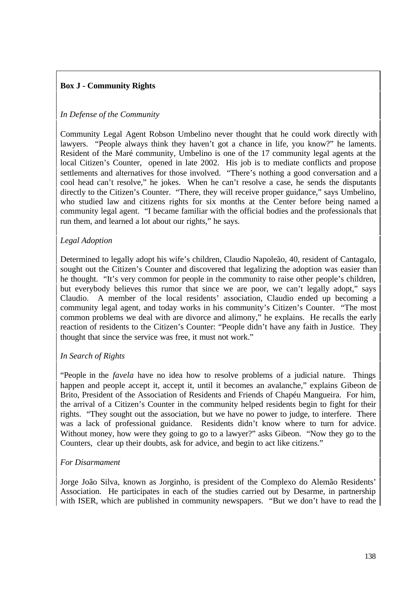# **Box J - Community Rights**

# *In Defense of the Community*

Community Legal Agent Robson Umbelino never thought that he could work directly with lawyers. "People always think they haven't got a chance in life, you know?" he laments. Resident of the Maré community, Umbelino is one of the 17 community legal agents at the local Citizen's Counter, opened in late 2002. His job is to mediate conflicts and propose settlements and alternatives for those involved. "There's nothing a good conversation and a cool head can't resolve," he jokes. When he can't resolve a case, he sends the disputants directly to the Citizen's Counter. "There, they will receive proper guidance," says Umbelino, who studied law and citizens rights for six months at the Center before being named a community legal agent. "I became familiar with the official bodies and the professionals that run them, and learned a lot about our rights," he says.

# *Legal Adoption*

Determined to legally adopt his wife's children, Claudio Napoleão, 40, resident of Cantagalo, sought out the Citizen's Counter and discovered that legalizing the adoption was easier than he thought. "It's very common for people in the community to raise other people's children, but everybody believes this rumor that since we are poor, we can't legally adopt," says Claudio. A member of the local residents' association, Claudio ended up becoming a community legal agent, and today works in his community's Citizen's Counter. "The most common problems we deal with are divorce and alimony," he explains. He recalls the early reaction of residents to the Citizen's Counter: "People didn't have any faith in Justice. They thought that since the service was free, it must not work."

## *In Search of Rights*

"People in the *favela* have no idea how to resolve problems of a judicial nature. Things happen and people accept it, accept it, until it becomes an avalanche," explains Gibeon de Brito, President of the Association of Residents and Friends of Chapéu Mangueira. For him, the arrival of a Citizen's Counter in the community helped residents begin to fight for their rights. "They sought out the association, but we have no power to judge, to interfere. There was a lack of professional guidance. Residents didn't know where to turn for advice. Without money, how were they going to go to a lawyer?" asks Gibeon. "Now they go to the Counters, clear up their doubts, ask for advice, and begin to act like citizens."

## *For Disarmament*

Jorge João Silva, known as Jorginho, is president of the Complexo do Alemão Residents' Association. He participates in each of the studies carried out by Desarme, in partnership with ISER, which are published in community newspapers. "But we don't have to read the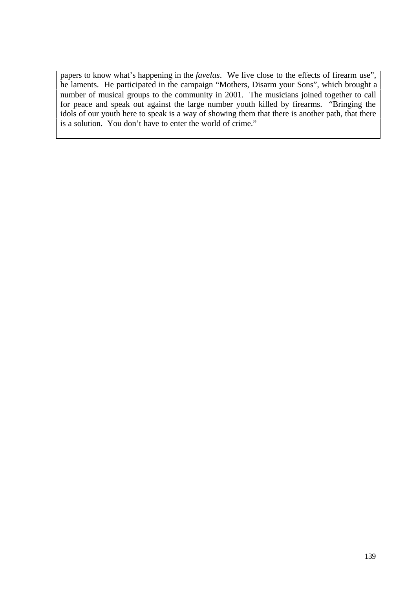papers to know what's happening in the *favelas*. We live close to the effects of firearm use", he laments. He participated in the campaign "Mothers, Disarm your Sons", which brought a number of musical groups to the community in 2001. The musicians joined together to call for peace and speak out against the large number youth killed by firearms. "Bringing the idols of our youth here to speak is a way of showing them that there is another path, that there is a solution. You don't have to enter the world of crime."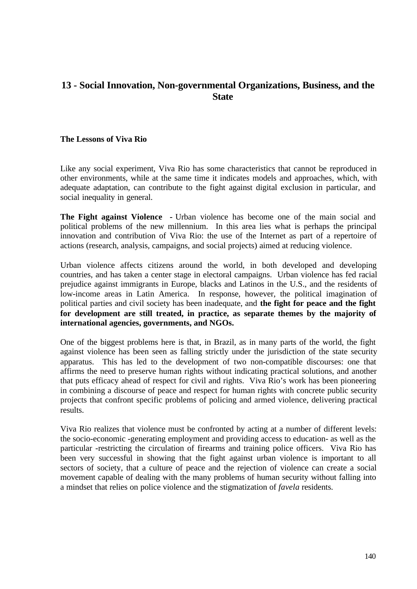# **13 - Social Innovation, Non-governmental Organizations, Business, and the State**

#### **The Lessons of Viva Rio**

Like any social experiment, Viva Rio has some characteristics that cannot be reproduced in other environments, while at the same time it indicates models and approaches, which, with adequate adaptation, can contribute to the fight against digital exclusion in particular, and social inequality in general.

**The Fight against Violence -** Urban violence has become one of the main social and political problems of the new millennium. In this area lies what is perhaps the principal innovation and contribution of Viva Rio: the use of the Internet as part of a repertoire of actions (research, analysis, campaigns, and social projects) aimed at reducing violence.

Urban violence affects citizens around the world, in both developed and developing countries, and has taken a center stage in electoral campaigns. Urban violence has fed racial prejudice against immigrants in Europe, blacks and Latinos in the U.S., and the residents of low-income areas in Latin America. In response, however, the political imagination of political parties and civil society has been inadequate, and **the fight for peace and the fight for development are still treated, in practice, as separate themes by the majority of international agencies, governments, and NGOs.**

One of the biggest problems here is that, in Brazil, as in many parts of the world, the fight against violence has been seen as falling strictly under the jurisdiction of the state security apparatus. This has led to the development of two non-compatible discourses: one that affirms the need to preserve human rights without indicating practical solutions, and another that puts efficacy ahead of respect for civil and rights. Viva Rio's work has been pioneering in combining a discourse of peace and respect for human rights with concrete public security projects that confront specific problems of policing and armed violence, delivering practical results.

Viva Rio realizes that violence must be confronted by acting at a number of different levels: the socio-economic -generating employment and providing access to education- as well as the particular -restricting the circulation of firearms and training police officers. Viva Rio has been very successful in showing that the fight against urban violence is important to all sectors of society, that a culture of peace and the rejection of violence can create a social movement capable of dealing with the many problems of human security without falling into a mindset that relies on police violence and the stigmatization of *favela* residents.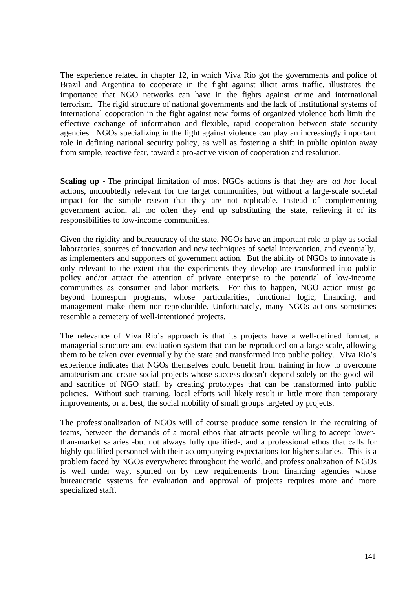The experience related in chapter 12, in which Viva Rio got the governments and police of Brazil and Argentina to cooperate in the fight against illicit arms traffic, illustrates the importance that NGO networks can have in the fights against crime and international terrorism. The rigid structure of national governments and the lack of institutional systems of international cooperation in the fight against new forms of organized violence both limit the effective exchange of information and flexible, rapid cooperation between state security agencies. NGOs specializing in the fight against violence can play an increasingly important role in defining national security policy, as well as fostering a shift in public opinion away from simple, reactive fear, toward a pro-active vision of cooperation and resolution.

**Scaling up -** The principal limitation of most NGOs actions is that they are *ad hoc* local actions, undoubtedly relevant for the target communities, but without a large-scale societal impact for the simple reason that they are not replicable. Instead of complementing government action, all too often they end up substituting the state, relieving it of its responsibilities to low-income communities.

Given the rigidity and bureaucracy of the state, NGOs have an important role to play as social laboratories, sources of innovation and new techniques of social intervention, and eventually, as implementers and supporters of government action. But the ability of NGOs to innovate is only relevant to the extent that the experiments they develop are transformed into public policy and/or attract the attention of private enterprise to the potential of low-income communities as consumer and labor markets. For this to happen, NGO action must go beyond homespun programs, whose particularities, functional logic, financing, and management make them non-reproducible. Unfortunately, many NGOs actions sometimes resemble a cemetery of well-intentioned projects.

The relevance of Viva Rio's approach is that its projects have a well-defined format, a managerial structure and evaluation system that can be reproduced on a large scale, allowing them to be taken over eventually by the state and transformed into public policy. Viva Rio's experience indicates that NGOs themselves could benefit from training in how to overcome amateurism and create social projects whose success doesn't depend solely on the good will and sacrifice of NGO staff, by creating prototypes that can be transformed into public policies. Without such training, local efforts will likely result in little more than temporary improvements, or at best, the social mobility of small groups targeted by projects.

The professionalization of NGOs will of course produce some tension in the recruiting of teams, between the demands of a moral ethos that attracts people willing to accept lowerthan-market salaries -but not always fully qualified-, and a professional ethos that calls for highly qualified personnel with their accompanying expectations for higher salaries. This is a problem faced by NGOs everywhere: throughout the world, and professionalization of NGOs is well under way, spurred on by new requirements from financing agencies whose bureaucratic systems for evaluation and approval of projects requires more and more specialized staff.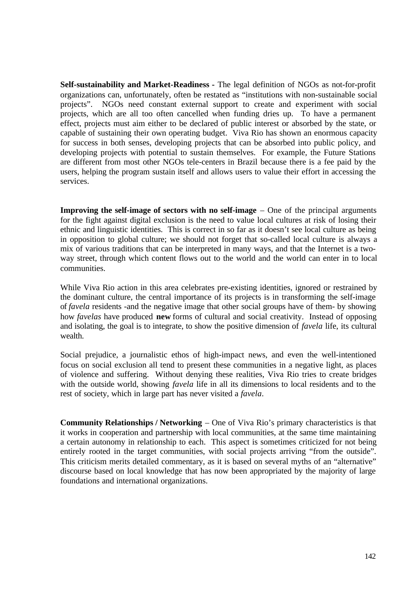**Self-sustainability and Market-Readiness -** The legal definition of NGOs as not-for-profit organizations can, unfortunately, often be restated as "institutions with non-sustainable social projects". NGOs need constant external support to create and experiment with social projects, which are all too often cancelled when funding dries up. To have a permanent effect, projects must aim either to be declared of public interest or absorbed by the state, or capable of sustaining their own operating budget. Viva Rio has shown an enormous capacity for success in both senses, developing projects that can be absorbed into public policy, and developing projects with potential to sustain themselves. For example, the Future Stations are different from most other NGOs tele-centers in Brazil because there is a fee paid by the users, helping the program sustain itself and allows users to value their effort in accessing the services.

**Improving the self-image of sectors with no self-image** – One of the principal arguments for the fight against digital exclusion is the need to value local cultures at risk of losing their ethnic and linguistic identities. This is correct in so far as it doesn't see local culture as being in opposition to global culture; we should not forget that so-called local culture is always a mix of various traditions that can be interpreted in many ways, and that the Internet is a twoway street, through which content flows out to the world and the world can enter in to local communities.

While Viva Rio action in this area celebrates pre-existing identities, ignored or restrained by the dominant culture, the central importance of its projects is in transforming the self-image of *favela* residents -and the negative image that other social groups have of them- by showing how *favelas* have produced **new** forms of cultural and social creativity. Instead of opposing and isolating, the goal is to integrate, to show the positive dimension of *favela* life, its cultural wealth.

Social prejudice, a journalistic ethos of high-impact news, and even the well-intentioned focus on social exclusion all tend to present these communities in a negative light, as places of violence and suffering. Without denying these realities, Viva Rio tries to create bridges with the outside world, showing *favela* life in all its dimensions to local residents and to the rest of society, which in large part has never visited a *favela*.

**Community Relationships / Networking** – One of Viva Rio's primary characteristics is that it works in cooperation and partnership with local communities, at the same time maintaining a certain autonomy in relationship to each. This aspect is sometimes criticized for not being entirely rooted in the target communities, with social projects arriving "from the outside". This criticism merits detailed commentary, as it is based on several myths of an "alternative" discourse based on local knowledge that has now been appropriated by the majority of large foundations and international organizations.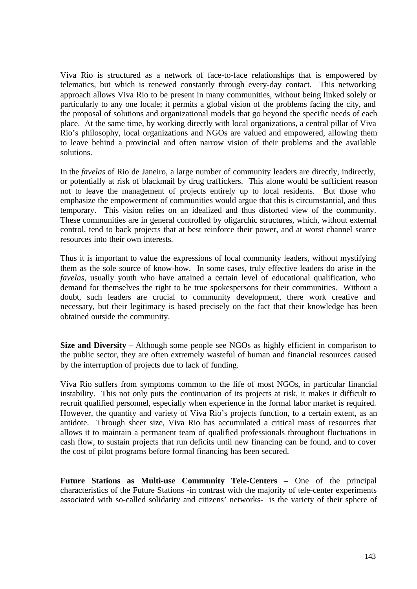Viva Rio is structured as a network of face-to-face relationships that is empowered by telematics, but which is renewed constantly through every-day contact. This networking approach allows Viva Rio to be present in many communities, without being linked solely or particularly to any one locale; it permits a global vision of the problems facing the city, and the proposal of solutions and organizational models that go beyond the specific needs of each place. At the same time, by working directly with local organizations, a central pillar of Viva Rio's philosophy, local organizations and NGOs are valued and empowered, allowing them to leave behind a provincial and often narrow vision of their problems and the available solutions.

In the *favelas* of Rio de Janeiro, a large number of community leaders are directly, indirectly, or potentially at risk of blackmail by drug traffickers. This alone would be sufficient reason not to leave the management of projects entirely up to local residents. But those who emphasize the empowerment of communities would argue that this is circumstantial, and thus temporary. This vision relies on an idealized and thus distorted view of the community. These communities are in general controlled by oligarchic structures, which, without external control, tend to back projects that at best reinforce their power, and at worst channel scarce resources into their own interests.

Thus it is important to value the expressions of local community leaders, without mystifying them as the sole source of know-how. In some cases, truly effective leaders do arise in the *favelas*, usually youth who have attained a certain level of educational qualification, who demand for themselves the right to be true spokespersons for their communities. Without a doubt, such leaders are crucial to community development, there work creative and necessary, but their legitimacy is based precisely on the fact that their knowledge has been obtained outside the community.

**Size and Diversity –** Although some people see NGOs as highly efficient in comparison to the public sector, they are often extremely wasteful of human and financial resources caused by the interruption of projects due to lack of funding.

Viva Rio suffers from symptoms common to the life of most NGOs, in particular financial instability. This not only puts the continuation of its projects at risk, it makes it difficult to recruit qualified personnel, especially when experience in the formal labor market is required. However, the quantity and variety of Viva Rio's projects function, to a certain extent, as an antidote. Through sheer size, Viva Rio has accumulated a critical mass of resources that allows it to maintain a permanent team of qualified professionals throughout fluctuations in cash flow, to sustain projects that run deficits until new financing can be found, and to cover the cost of pilot programs before formal financing has been secured.

**Future Stations as Multi-use Community Tele-Centers –** One of the principal characteristics of the Future Stations -in contrast with the majority of tele-center experiments associated with so-called solidarity and citizens' networks- is the variety of their sphere of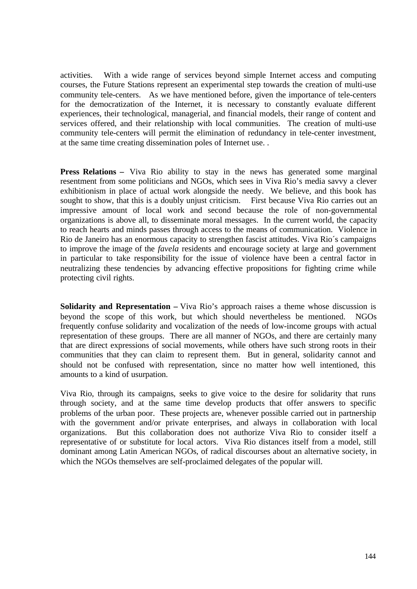activities. With a wide range of services beyond simple Internet access and computing courses, the Future Stations represent an experimental step towards the creation of multi-use community tele-centers. As we have mentioned before, given the importance of tele-centers for the democratization of the Internet, it is necessary to constantly evaluate different experiences, their technological, managerial, and financial models, their range of content and services offered, and their relationship with local communities. The creation of multi-use community tele-centers will permit the elimination of redundancy in tele-center investment, at the same time creating dissemination poles of Internet use. .

**Press Relations –** Viva Rio ability to stay in the news has generated some marginal resentment from some politicians and NGOs, which sees in Viva Rio's media savvy a clever exhibitionism in place of actual work alongside the needy. We believe, and this book has sought to show, that this is a doubly unjust criticism. First because Viva Rio carries out an impressive amount of local work and second because the role of non-governmental organizations is above all, to disseminate moral messages. In the current world, the capacity to reach hearts and minds passes through access to the means of communication. Violence in Rio de Janeiro has an enormous capacity to strengthen fascist attitudes. Viva Rio´s campaigns to improve the image of the *favela* residents and encourage society at large and government in particular to take responsibility for the issue of violence have been a central factor in neutralizing these tendencies by advancing effective propositions for fighting crime while protecting civil rights.

**Solidarity and Representation –** Viva Rio's approach raises a theme whose discussion is beyond the scope of this work, but which should nevertheless be mentioned. NGOs frequently confuse solidarity and vocalization of the needs of low-income groups with actual representation of these groups. There are all manner of NGOs, and there are certainly many that are direct expressions of social movements, while others have such strong roots in their communities that they can claim to represent them. But in general, solidarity cannot and should not be confused with representation, since no matter how well intentioned, this amounts to a kind of usurpation.

Viva Rio, through its campaigns, seeks to give voice to the desire for solidarity that runs through society, and at the same time develop products that offer answers to specific problems of the urban poor. These projects are, whenever possible carried out in partnership with the government and/or private enterprises, and always in collaboration with local organizations. But this collaboration does not authorize Viva Rio to consider itself a representative of or substitute for local actors. Viva Rio distances itself from a model, still dominant among Latin American NGOs, of radical discourses about an alternative society, in which the NGOs themselves are self-proclaimed delegates of the popular will.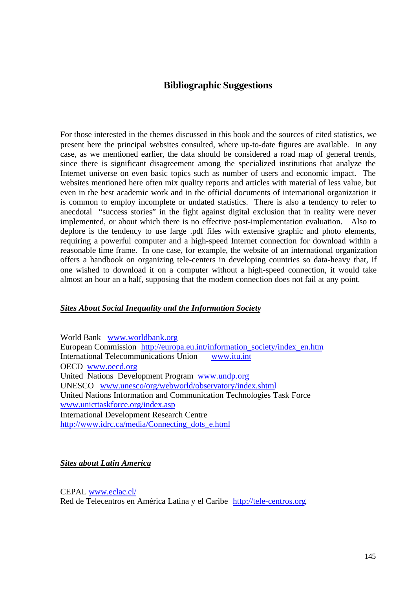# **Bibliographic Suggestions**

For those interested in the themes discussed in this book and the sources of cited statistics, we present here the principal websites consulted, where up-to-date figures are available. In any case, as we mentioned earlier, the data should be considered a road map of general trends, since there is significant disagreement among the specialized institutions that analyze the Internet universe on even basic topics such as number of users and economic impact. The websites mentioned here often mix quality reports and articles with material of less value, but even in the best academic work and in the official documents of international organization it is common to employ incomplete or undated statistics. There is also a tendency to refer to anecdotal "success stories" in the fight against digital exclusion that in reality were never implemented, or about which there is no effective post-implementation evaluation. Also to deplore is the tendency to use large .pdf files with extensive graphic and photo elements, requiring a powerful computer and a high-speed Internet connection for download within a reasonable time frame. In one case, for example, the website of an international organization offers a handbook on organizing tele-centers in developing countries so data-heavy that, if one wished to download it on a computer without a high-speed connection, it would take almost an hour an a half, supposing that the modem connection does not fail at any point.

### *Sites About Social Inequality and the Information Society*

World Bank www.worldbank.org European Commission http://europa.eu.int/information\_society/index\_en.htm<br>International Telecommunications Union www.itu.int International Telecommunications Union OECD www.oecd.org United Nations Development Program www.undp.org UNESCO www.unesco/org/webworld/observatory/index.shtml United Nations Information and Communication Technologies Task Force www.unicttaskforce.org/index.asp International Development Research Centre http://www.idrc.ca/media/Connecting\_dots\_e.html

### *Sites about Latin America*

CEPAL www.eclac.cl/ Red de Telecentros en América Latina y el Caribe http://tele-centros.org.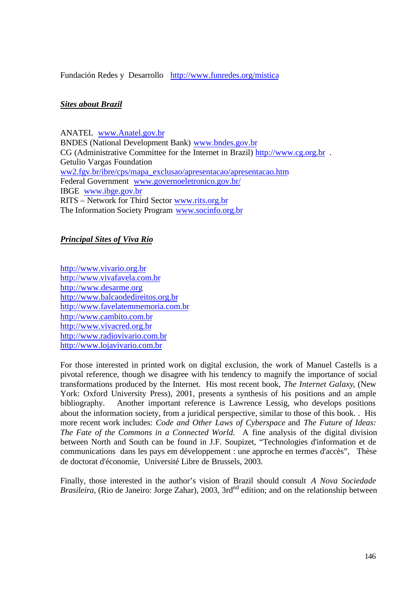Fundación Redes y Desarrollo http://www.funredes.org/mistica

## *Sites about Brazil*

### ANATEL www.Anatel.gov.br

BNDES (National Development Bank) www.bndes.gov.br CG (Administrative Committee for the Internet in Brazil) http://www.cg.org.br . Getulio Vargas Foundation ww2.fgv.br/ibre/cps/mapa\_exclusao/apresentacao/apresentacao.htm Federal Government www.governoeletronico.gov.br/ IBGE www.ibge.gov.br RITS – Network for Third Sector www.rits.org.br The Information Society Program www.socinfo.org.br

### *Principal Sites of Viva Rio*

http://www.vivario.org.br http://www.vivafavela.com.br http://www.desarme.org http://www.balcaodedireitos.org.br http://www.favelatemmemoria.com.br http://www.cambito.com.br http://www.vivacred.org.br http://www.radiovivario.com.br http://www.lojavivario.com.br

For those interested in printed work on digital exclusion, the work of Manuel Castells is a pivotal reference, though we disagree with his tendency to magnify the importance of social transformations produced by the Internet. His most recent book, *The Internet Galaxy*, (New York: Oxford University Press), 2001, presents a synthesis of his positions and an ample bibliography. Another important reference is Lawrence Lessig, who develops positions about the information society, from a juridical perspective, similar to those of this book. . His more recent work includes: *Code and Other Laws of Cyberspace* and *The Future of Ideas: The Fate of the Commons in a Connected World*. A fine analysis of the digital division between North and South can be found in J.F. Soupizet, "Technologies d'information et de communications dans les pays em développement : une approche en termes d'accès", Thèse de doctorat d'économie, Université Libre de Brussels, 2003.

Finally, those interested in the author's vision of Brazil should consult *A Nova Sociedade Brasileira*, (Rio de Janeiro: Jorge Zahar), 2003, 3rd<sup>nd</sup> edition; and on the relationship between